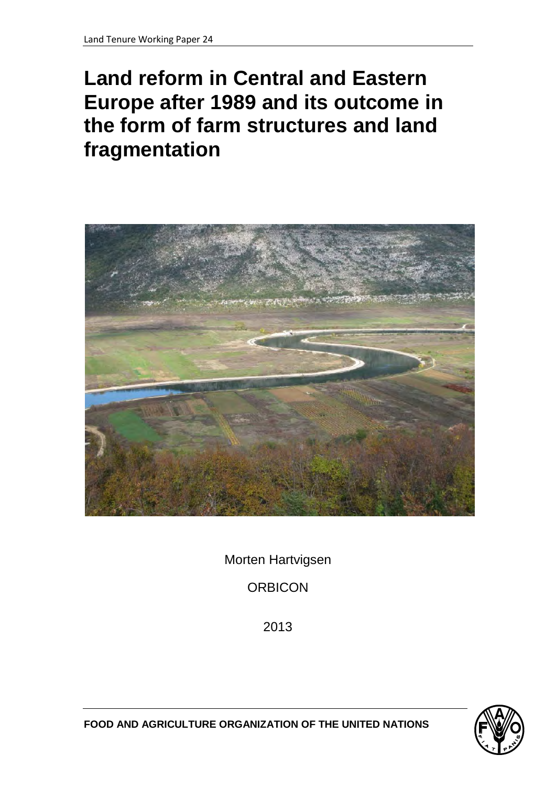# **Land reform in Central and Eastern Europe after 1989 and its outcome in the form of farm structures and land fragmentation**



Morten Hartvigsen

**ORBICON** 

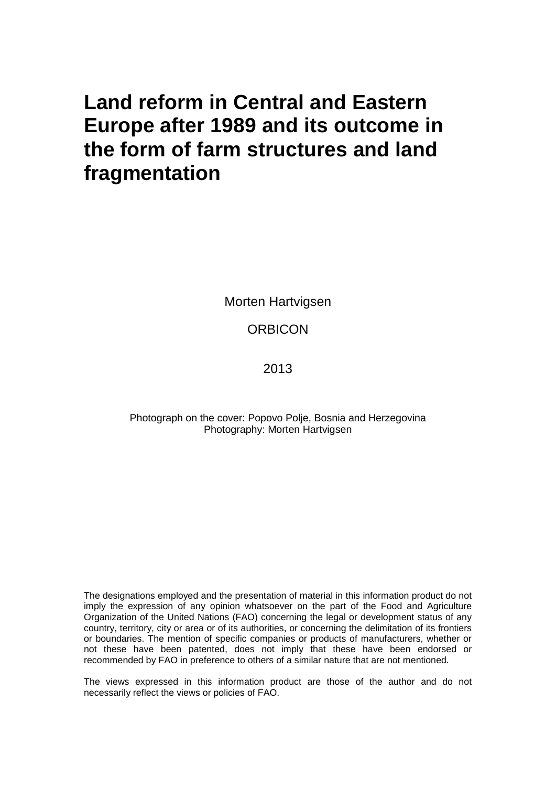## **Land reform in Central and Eastern Europe after 1989 and its outcome in the form of farm structures and land fragmentation**

Morten Hartvigsen

**ORBICON** 

2013

Photograph on the cover: Popovo Polje, Bosnia and Herzegovina Photography: Morten Hartvigsen

The designations employed and the presentation of material in this information product do not imply the expression of any opinion whatsoever on the part of the Food and Agriculture Organization of the United Nations (FAO) concerning the legal or development status of any country, territory, city or area or of its authorities, or concerning the delimitation of its frontiers or boundaries. The mention of specific companies or products of manufacturers, whether or not these have been patented, does not imply that these have been endorsed or recommended by FAO in preference to others of a similar nature that are not mentioned.

The views expressed in this information product are those of the author and do not necessarily reflect the views or policies of FAO.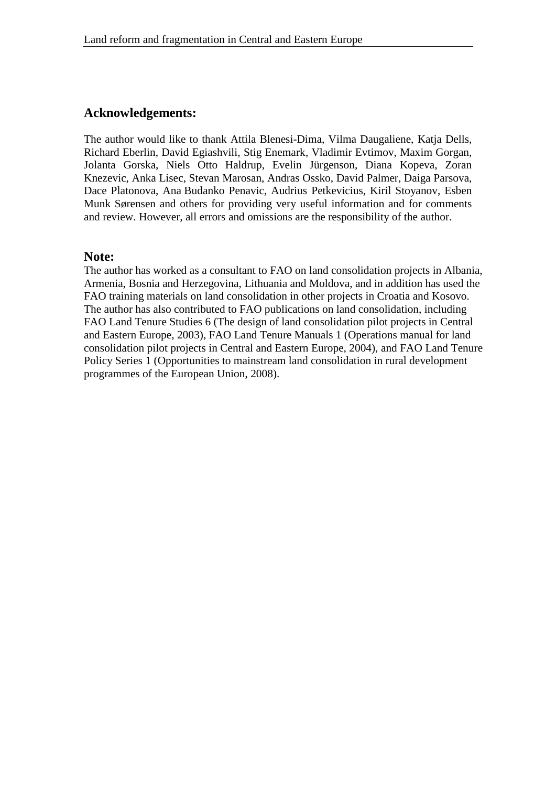#### **Acknowledgements:**

The author would like to thank Attila Blenesi-Dima, Vilma Daugaliene, Katja Dells, Richard Eberlin, David Egiashvili, Stig Enemark, Vladimir Evtimov, Maxim Gorgan, Jolanta Gorska, Niels Otto Haldrup, Evelin Jürgenson, Diana Kopeva, Zoran Knezevic, Anka Lisec, Stevan Marosan, Andras Ossko, David Palmer, Daiga Parsova, Dace Platonova, Ana Budanko Penavic, Audrius Petkevicius, Kiril Stoyanov, Esben Munk Sørensen and others for providing very useful information and for comments and review. However, all errors and omissions are the responsibility of the author.

#### **Note:**

The author has worked as a consultant to FAO on land consolidation projects in Albania, Armenia, Bosnia and Herzegovina, Lithuania and Moldova, and in addition has used the FAO training materials on land consolidation in other projects in Croatia and Kosovo. The author has also contributed to FAO publications on land consolidation, including FAO Land Tenure Studies 6 (The design of land consolidation pilot projects in Central and Eastern Europe, 2003), FAO Land Tenure Manuals 1 (Operations manual for land consolidation pilot projects in Central and Eastern Europe, 2004), and FAO Land Tenure Policy Series 1 (Opportunities to mainstream land consolidation in rural development programmes of the European Union, 2008).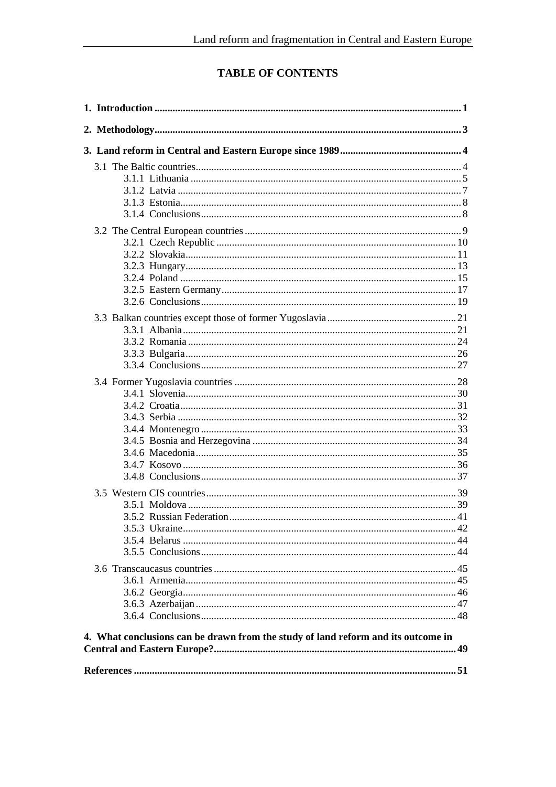### **TABLE OF CONTENTS**

| 4. What conclusions can be drawn from the study of land reform and its outcome in |  |
|-----------------------------------------------------------------------------------|--|
|                                                                                   |  |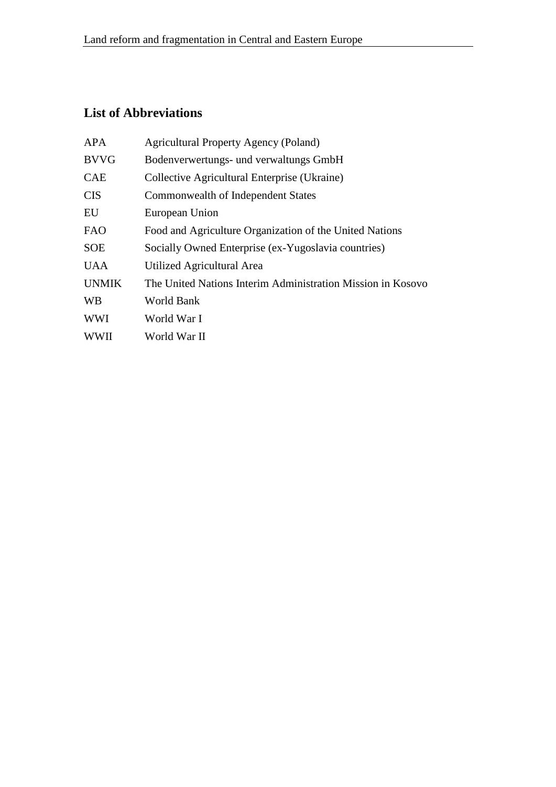### **List of Abbreviations**

| <b>APA</b>   | <b>Agricultural Property Agency (Poland)</b>                |
|--------------|-------------------------------------------------------------|
| <b>BVVG</b>  | Bodenverwertungs- und verwaltungs GmbH                      |
| <b>CAE</b>   | Collective Agricultural Enterprise (Ukraine)                |
| <b>CIS</b>   | Commonwealth of Independent States                          |
| EU           | European Union                                              |
| <b>FAO</b>   | Food and Agriculture Organization of the United Nations     |
| <b>SOE</b>   | Socially Owned Enterprise (ex-Yugoslavia countries)         |
| <b>UAA</b>   | Utilized Agricultural Area                                  |
| <b>UNMIK</b> | The United Nations Interim Administration Mission in Kosovo |
| <b>WB</b>    | World Bank                                                  |
| <b>WWI</b>   | World War I                                                 |
| <b>WWII</b>  | World War II                                                |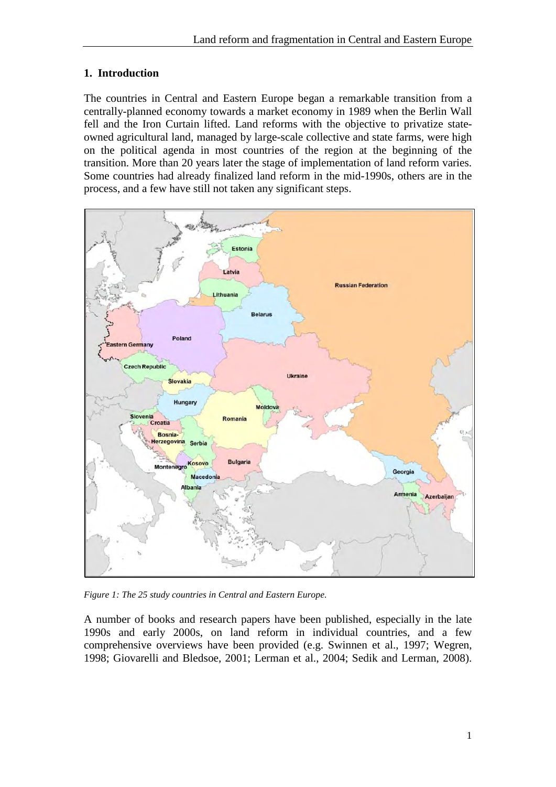#### <span id="page-6-0"></span>**1. Introduction**

The countries in Central and Eastern Europe began a remarkable transition from a centrally-planned economy towards a market economy in 1989 when the Berlin Wall fell and the Iron Curtain lifted. Land reforms with the objective to privatize stateowned agricultural land, managed by large-scale collective and state farms, were high on the political agenda in most countries of the region at the beginning of the transition. More than 20 years later the stage of implementation of land reform varies. Some countries had already finalized land reform in the mid-1990s, others are in the process, and a few have still not taken any significant steps.



*Figure 1: The 25 study countries in Central and Eastern Europe.*

A number of books and research papers have been published, especially in the late 1990s and early 2000s, on land reform in individual countries, and a few comprehensive overviews have been provided (e.g. Swinnen et al., 1997; Wegren, 1998; Giovarelli and Bledsoe, 2001; Lerman et al., 2004; Sedik and Lerman, 2008).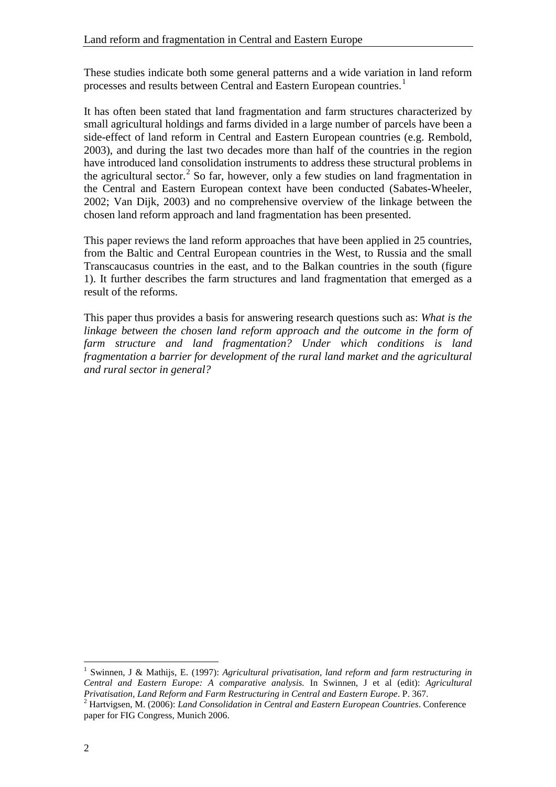These studies indicate both some general patterns and a wide variation in land reform processes and results between Central and Eastern European countries.<sup>[1](#page-7-0)</sup>

It has often been stated that land fragmentation and farm structures characterized by small agricultural holdings and farms divided in a large number of parcels have been a side-effect of land reform in Central and Eastern European countries (e.g. Rembold, 2003), and during the last two decades more than half of the countries in the region have introduced land consolidation instruments to address these structural problems in the agricultural sector.<sup>[2](#page-7-1)</sup> So far, however, only a few studies on land fragmentation in the Central and Eastern European context have been conducted (Sabates-Wheeler, 2002; Van Dijk, 2003) and no comprehensive overview of the linkage between the chosen land reform approach and land fragmentation has been presented.

This paper reviews the land reform approaches that have been applied in 25 countries, from the Baltic and Central European countries in the West, to Russia and the small Transcaucasus countries in the east, and to the Balkan countries in the south (figure 1). It further describes the farm structures and land fragmentation that emerged as a result of the reforms.

This paper thus provides a basis for answering research questions such as: *What is the linkage between the chosen land reform approach and the outcome in the form of farm structure and land fragmentation? Under which conditions is land fragmentation a barrier for development of the rural land market and the agricultural and rural sector in general?*

<span id="page-7-0"></span><sup>1</sup> Swinnen, J & Mathijs, E. (1997): *Agricultural privatisation, land reform and farm restructuring in Central and Eastern Europe: A comparative analysis.* In Swinnen, J et al (edit): *Agricultural* 

<span id="page-7-1"></span><sup>&</sup>lt;sup>2</sup> Hartvigsen, M. (2006): *Land Consolidation in Central and Eastern European Countries*. Conference paper for FIG Congress, Munich 2006.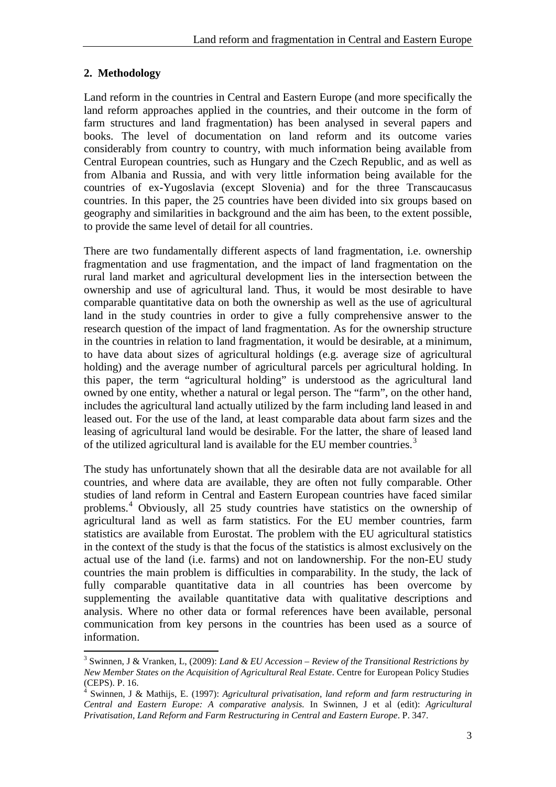#### <span id="page-8-0"></span>**2. Methodology**

 $\overline{a}$ 

Land reform in the countries in Central and Eastern Europe (and more specifically the land reform approaches applied in the countries, and their outcome in the form of farm structures and land fragmentation) has been analysed in several papers and books. The level of documentation on land reform and its outcome varies considerably from country to country, with much information being available from Central European countries, such as Hungary and the Czech Republic, and as well as from Albania and Russia, and with very little information being available for the countries of ex-Yugoslavia (except Slovenia) and for the three Transcaucasus countries. In this paper, the 25 countries have been divided into six groups based on geography and similarities in background and the aim has been, to the extent possible, to provide the same level of detail for all countries.

There are two fundamentally different aspects of land fragmentation, i.e. ownership fragmentation and use fragmentation, and the impact of land fragmentation on the rural land market and agricultural development lies in the intersection between the ownership and use of agricultural land. Thus, it would be most desirable to have comparable quantitative data on both the ownership as well as the use of agricultural land in the study countries in order to give a fully comprehensive answer to the research question of the impact of land fragmentation. As for the ownership structure in the countries in relation to land fragmentation, it would be desirable, at a minimum, to have data about sizes of agricultural holdings (e.g. average size of agricultural holding) and the average number of agricultural parcels per agricultural holding. In this paper, the term "agricultural holding" is understood as the agricultural land owned by one entity, whether a natural or legal person. The "farm", on the other hand, includes the agricultural land actually utilized by the farm including land leased in and leased out. For the use of the land, at least comparable data about farm sizes and the leasing of agricultural land would be desirable. For the latter, the share of leased land of the utilized agricultural land is available for the EU member countries.<sup>[3](#page-8-1)</sup>

The study has unfortunately shown that all the desirable data are not available for all countries, and where data are available, they are often not fully comparable. Other studies of land reform in Central and Eastern European countries have faced similar problems.[4](#page-8-2) Obviously, all 25 study countries have statistics on the ownership of agricultural land as well as farm statistics. For the EU member countries, farm statistics are available from Eurostat. The problem with the EU agricultural statistics in the context of the study is that the focus of the statistics is almost exclusively on the actual use of the land (i.e. farms) and not on landownership. For the non-EU study countries the main problem is difficulties in comparability. In the study, the lack of fully comparable quantitative data in all countries has been overcome by supplementing the available quantitative data with qualitative descriptions and analysis. Where no other data or formal references have been available, personal communication from key persons in the countries has been used as a source of information.

<span id="page-8-1"></span><sup>3</sup> Swinnen, J & Vranken, L, (2009): *Land & EU Accession – Review of the Transitional Restrictions by New Member States on the Acquisition of Agricultural Real Estate*. Centre for European Policy Studies (CEPS). P. 16.

<span id="page-8-2"></span><sup>4</sup> Swinnen, J & Mathijs, E. (1997): *Agricultural privatisation, land reform and farm restructuring in Central and Eastern Europe: A comparative analysis.* In Swinnen, J et al (edit): *Agricultural Privatisation, Land Reform and Farm Restructuring in Central and Eastern Europe*. P. 347.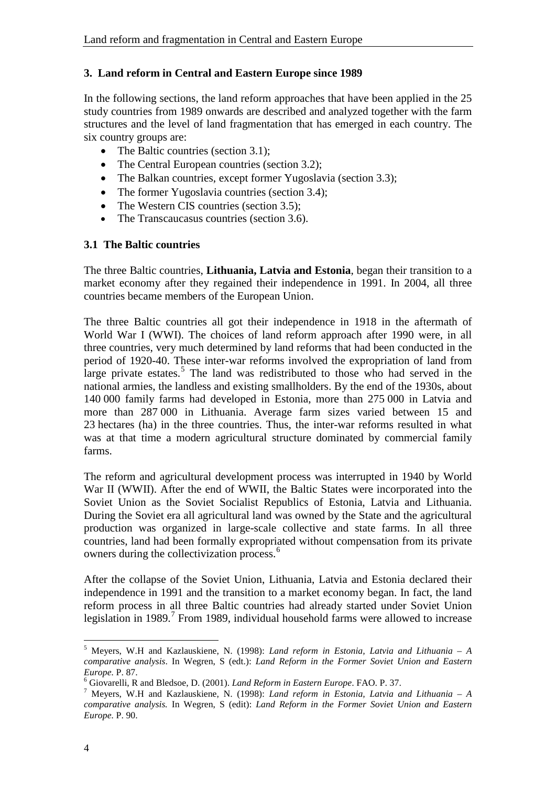#### <span id="page-9-0"></span>**3. Land reform in Central and Eastern Europe since 1989**

In the following sections, the land reform approaches that have been applied in the 25 study countries from 1989 onwards are described and analyzed together with the farm structures and the level of land fragmentation that has emerged in each country. The six country groups are:

- The Baltic countries (section 3.1);
- The Central European countries (section 3.2):
- The Balkan countries, except former Yugoslavia (section 3.3);
- The former Yugoslavia countries (section 3.4):
- The Western CIS countries (section 3.5);
- The Transcaucasus countries (section 3.6).

#### <span id="page-9-1"></span>**3.1 The Baltic countries**

The three Baltic countries, **Lithuania, Latvia and Estonia**, began their transition to a market economy after they regained their independence in 1991. In 2004, all three countries became members of the European Union.

The three Baltic countries all got their independence in 1918 in the aftermath of World War I (WWI). The choices of land reform approach after 1990 were, in all three countries, very much determined by land reforms that had been conducted in the period of 1920-40. These inter-war reforms involved the expropriation of land from large private estates.<sup>[5](#page-9-2)</sup> The land was redistributed to those who had served in the national armies, the landless and existing smallholders. By the end of the 1930s, about 140 000 family farms had developed in Estonia, more than 275 000 in Latvia and more than 287 000 in Lithuania. Average farm sizes varied between 15 and 23 hectares (ha) in the three countries. Thus, the inter-war reforms resulted in what was at that time a modern agricultural structure dominated by commercial family farms.

The reform and agricultural development process was interrupted in 1940 by World War II (WWII). After the end of WWII, the Baltic States were incorporated into the Soviet Union as the Soviet Socialist Republics of Estonia, Latvia and Lithuania. During the Soviet era all agricultural land was owned by the State and the agricultural production was organized in large-scale collective and state farms. In all three countries, land had been formally expropriated without compensation from its private owners during the collectivization process.[6](#page-9-3)

After the collapse of the Soviet Union, Lithuania, Latvia and Estonia declared their independence in 1991 and the transition to a market economy began. In fact, the land reform process in all three Baltic countries had already started under Soviet Union legislation in 1989.<sup>[7](#page-9-4)</sup> From 1989, individual household farms were allowed to increase

<span id="page-9-2"></span><sup>5</sup> Meyers, W.H and Kazlauskiene, N. (1998): *Land reform in Estonia, Latvia and Lithuania – A comparative analysis*. In Wegren, S (edt.): *Land Reform in the Former Soviet Union and Eastern Europe.* P. 87.

<span id="page-9-3"></span><sup>&</sup>lt;sup>6</sup> Giovarelli, R and Bledsoe, D. (2001). *Land Reform in Eastern Europe*. FAO. P. 37.

<span id="page-9-4"></span>Meyers, W.H and Kazlauskiene, N. (1998): *Land reform in Estonia, Latvia and Lithuania – A comparative analysis.* In Wegren, S (edit): *Land Reform in the Former Soviet Union and Eastern Europe.* P. 90.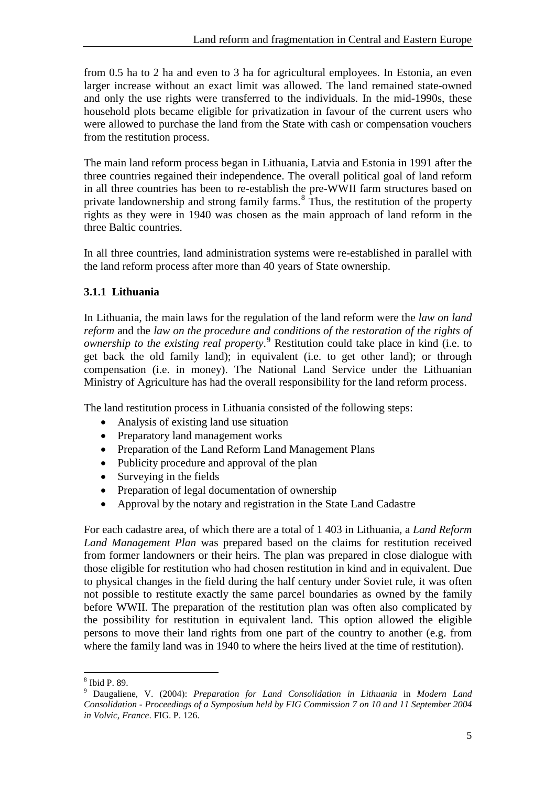from 0.5 ha to 2 ha and even to 3 ha for agricultural employees. In Estonia, an even larger increase without an exact limit was allowed. The land remained state-owned and only the use rights were transferred to the individuals. In the mid-1990s, these household plots became eligible for privatization in favour of the current users who were allowed to purchase the land from the State with cash or compensation vouchers from the restitution process.

The main land reform process began in Lithuania, Latvia and Estonia in 1991 after the three countries regained their independence. The overall political goal of land reform in all three countries has been to re-establish the pre-WWII farm structures based on private landownership and strong family farms.<sup>[8](#page-10-1)</sup> Thus, the restitution of the property rights as they were in 1940 was chosen as the main approach of land reform in the three Baltic countries.

In all three countries, land administration systems were re-established in parallel with the land reform process after more than 40 years of State ownership.

#### <span id="page-10-0"></span>**3.1.1 Lithuania**

In Lithuania, the main laws for the regulation of the land reform were the *law on land reform* and the *law on the procedure and conditions of the restoration of the rights of ownership to the existing real property*. [9](#page-10-2) Restitution could take place in kind (i.e. to get back the old family land); in equivalent (i.e. to get other land); or through compensation (i.e. in money). The National Land Service under the Lithuanian Ministry of Agriculture has had the overall responsibility for the land reform process.

The land restitution process in Lithuania consisted of the following steps:

- Analysis of existing land use situation
- Preparatory land management works
- Preparation of the Land Reform Land Management Plans
- Publicity procedure and approval of the plan
- Surveying in the fields
- Preparation of legal documentation of ownership
- Approval by the notary and registration in the State Land Cadastre

For each cadastre area, of which there are a total of 1 403 in Lithuania, a *Land Reform Land Management Plan* was prepared based on the claims for restitution received from former landowners or their heirs. The plan was prepared in close dialogue with those eligible for restitution who had chosen restitution in kind and in equivalent. Due to physical changes in the field during the half century under Soviet rule, it was often not possible to restitute exactly the same parcel boundaries as owned by the family before WWII. The preparation of the restitution plan was often also complicated by the possibility for restitution in equivalent land. This option allowed the eligible persons to move their land rights from one part of the country to another (e.g. from where the family land was in 1940 to where the heirs lived at the time of restitution).

<span id="page-10-2"></span><span id="page-10-1"></span><sup>&</sup>lt;sup>8</sup> Ibid P. 89.<br><sup>9</sup> Daugaliene, V. (2004): *Preparation for Land Consolidation in Lithuania* in *Modern Land Consolidation - Proceedings of a Symposium held by FIG Commission 7 on 10 and 11 September 2004 in Volvic, France*. FIG. P. 126.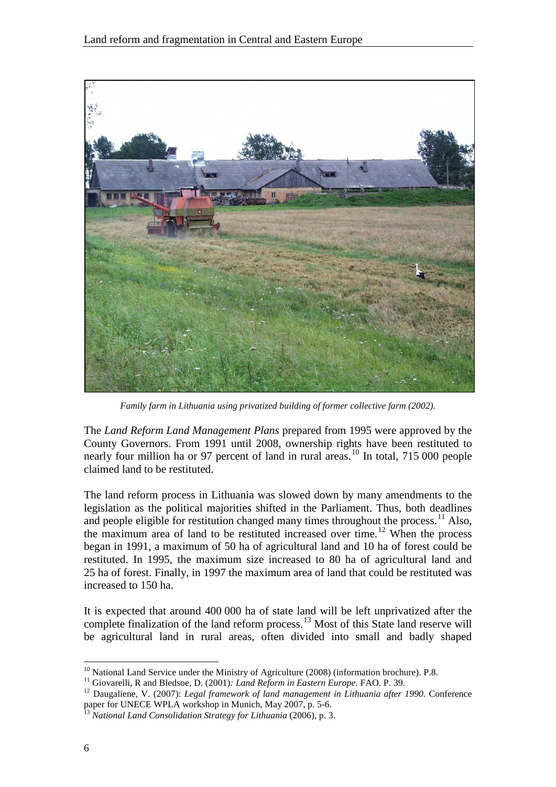

*Family farm in Lithuania using privatized building of former collective farm (2002).*

The *Land Reform Land Management Plans* prepared from 1995 were approved by the County Governors. From 1991 until 2008, ownership rights have been restituted to nearly four million ha or 97 percent of land in rural areas.<sup>[10](#page-11-0)</sup> In total, 715 000 people claimed land to be restituted.

The land reform process in Lithuania was slowed down by many amendments to the legislation as the political majorities shifted in the Parliament. Thus, both deadlines and people eligible for restitution changed many times throughout the process.<sup>[11](#page-11-1)</sup> Also, the maximum area of land to be restituted increased over time.<sup>[12](#page-11-2)</sup> When the process began in 1991, a maximum of 50 ha of agricultural land and 10 ha of forest could be restituted. In 1995, the maximum size increased to 80 ha of agricultural land and 25 ha of forest. Finally, in 1997 the maximum area of land that could be restituted was increased to 150 ha.

It is expected that around 400 000 ha of state land will be left unprivatized after the complete finalization of the land reform process.<sup>[13](#page-11-3)</sup> Most of this State land reserve will be agricultural land in rural areas, often divided into small and badly shaped

<span id="page-11-0"></span><sup>&</sup>lt;sup>10</sup> National Land Service under the Ministry of Agriculture (2008) (information brochure). P.8.<br><sup>11</sup> Giovarelli, R and Bledsoe, D. (2001): *Land Reform in Eastern Europe*. FAO. P. 39.

<span id="page-11-2"></span><span id="page-11-1"></span><sup>&</sup>lt;sup>12</sup> Daugaliene, V. (2007): Legal framework of land management in Lithuania after 1990. Conference paper for UNECE WPLA workshop in Munich, May 2007, p. 5-6. <sup>13</sup> *National Land Consolidation Strategy for Lithuania* (2006), p. 3.

<span id="page-11-3"></span>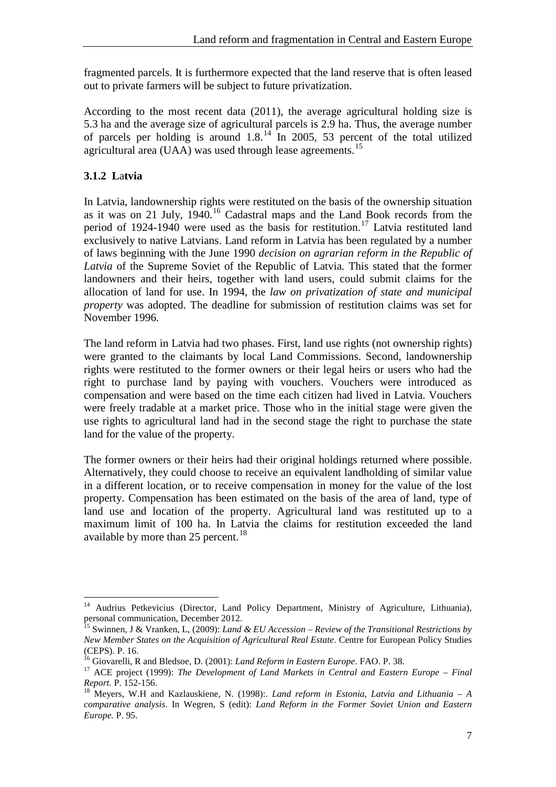fragmented parcels. It is furthermore expected that the land reserve that is often leased out to private farmers will be subject to future privatization.

According to the most recent data (2011), the average agricultural holding size is 5.3 ha and the average size of agricultural parcels is 2.9 ha. Thus, the average number of parcels per holding is around  $1.8<sup>14</sup>$  $1.8<sup>14</sup>$  $1.8<sup>14</sup>$  In 2005, 53 percent of the total utilized agricultural area (UAA) was used through lease agreements.<sup>[15](#page-12-2)</sup>

#### <span id="page-12-0"></span>**3.1.2 L**a**tvia**

 $\overline{a}$ 

In Latvia, landownership rights were restituted on the basis of the ownership situation as it was on 21 July, 1940.[16](#page-12-3) Cadastral maps and the Land Book records from the period of 1924-1940 were used as the basis for restitution.<sup>[17](#page-12-4)</sup> Latvia restituted land exclusively to native Latvians. Land reform in Latvia has been regulated by a number of laws beginning with the June 1990 *decision on agrarian reform in the Republic of Latvia* of the Supreme Soviet of the Republic of Latvia*.* This stated that the former landowners and their heirs, together with land users, could submit claims for the allocation of land for use. In 1994, the *law on privatization of state and municipal property* was adopted. The deadline for submission of restitution claims was set for November 1996.

The land reform in Latvia had two phases. First, land use rights (not ownership rights) were granted to the claimants by local Land Commissions. Second, landownership rights were restituted to the former owners or their legal heirs or users who had the right to purchase land by paying with vouchers. Vouchers were introduced as compensation and were based on the time each citizen had lived in Latvia. Vouchers were freely tradable at a market price. Those who in the initial stage were given the use rights to agricultural land had in the second stage the right to purchase the state land for the value of the property.

The former owners or their heirs had their original holdings returned where possible. Alternatively, they could choose to receive an equivalent landholding of similar value in a different location, or to receive compensation in money for the value of the lost property. Compensation has been estimated on the basis of the area of land, type of land use and location of the property. Agricultural land was restituted up to a maximum limit of 100 ha. In Latvia the claims for restitution exceeded the land available by more than 25 percent.<sup>[18](#page-12-5)</sup>

<span id="page-12-1"></span><sup>&</sup>lt;sup>14</sup> Audrius Petkevicius (Director, Land Policy Department, Ministry of Agriculture, Lithuania), personal communication, December 2012.<br><sup>15</sup> Swinnen, J & Vranken, L, (2009): *Land & EU Accession – Review of the Transitional Restrictions by* 

<span id="page-12-2"></span>*New Member States on the Acquisition of Agricultural Real Estate*. Centre for European Policy Studies (CEPS). P. 16.<br><sup>16</sup> Giovarelli, R and Bledsoe, D. (2001): *Land Reform in Eastern Europe*. FAO. P. 38.

<span id="page-12-3"></span>

<span id="page-12-4"></span><sup>&</sup>lt;sup>17</sup> ACE project (1999): *The Development of Land Markets in Central and Eastern Europe – Final Report.* P. 152-156.<br><sup>18</sup> Meyers, W.H and Kazlauskiene, N. (1998):. *Land reform in Estonia, Latvia and Lithuania – A* 

<span id="page-12-5"></span>*comparative analysis*. In Wegren, S (edit): *Land Reform in the Former Soviet Union and Eastern Europe.* P. 95.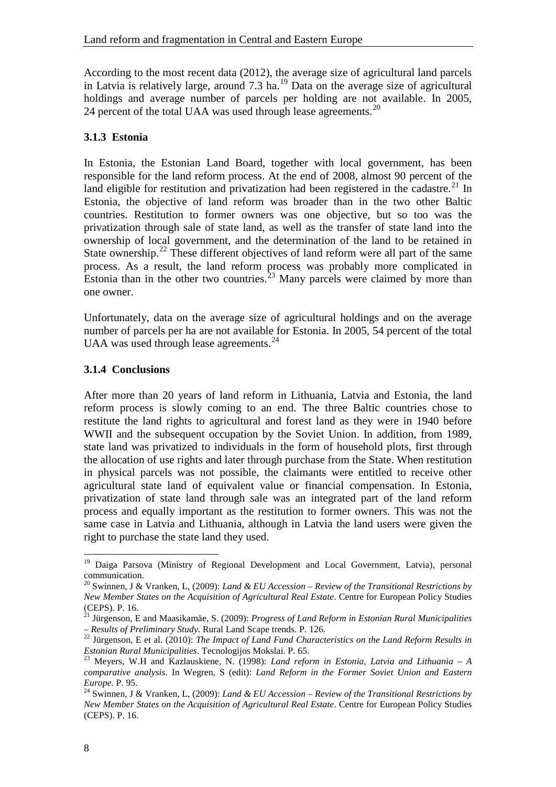According to the most recent data (2012), the average size of agricultural land parcels in Latvia is relatively large, around  $7.3$  ha.<sup>[19](#page-13-2)</sup> Data on the average size of agricultural holdings and average number of parcels per holding are not available. In 2005, 24 percent of the total UAA was used through lease agreements.<sup>[20](#page-13-3)</sup>

#### <span id="page-13-0"></span>**3.1.3 Estonia**

In Estonia, the Estonian Land Board, together with local government, has been responsible for the land reform process. At the end of 2008, almost 90 percent of the land eligible for restitution and privatization had been registered in the cadastre.<sup>[21](#page-13-4)</sup> In Estonia, the objective of land reform was broader than in the two other Baltic countries. Restitution to former owners was one objective, but so too was the privatization through sale of state land, as well as the transfer of state land into the ownership of local government, and the determination of the land to be retained in State ownership.<sup>[22](#page-13-5)</sup> These different objectives of land reform were all part of the same process. As a result, the land reform process was probably more complicated in Estonia than in the other two countries.<sup>[23](#page-13-6)</sup> Many parcels were claimed by more than one owner.

Unfortunately, data on the average size of agricultural holdings and on the average number of parcels per ha are not available for Estonia. In 2005, 54 percent of the total UAA was used through lease agreements.<sup>[24](#page-13-7)</sup>

#### <span id="page-13-1"></span>**3.1.4 Conclusions**

After more than 20 years of land reform in Lithuania, Latvia and Estonia, the land reform process is slowly coming to an end. The three Baltic countries chose to restitute the land rights to agricultural and forest land as they were in 1940 before WWII and the subsequent occupation by the Soviet Union. In addition, from 1989, state land was privatized to individuals in the form of household plots, first through the allocation of use rights and later through purchase from the State. When restitution in physical parcels was not possible, the claimants were entitled to receive other agricultural state land of equivalent value or financial compensation. In Estonia, privatization of state land through sale was an integrated part of the land reform process and equally important as the restitution to former owners. This was not the same case in Latvia and Lithuania, although in Latvia the land users were given the right to purchase the state land they used.

<span id="page-13-2"></span><sup>&</sup>lt;sup>19</sup> Daiga Parsova (Ministry of Regional Development and Local Government, Latvia), personal communication.

<span id="page-13-3"></span><sup>20</sup> Swinnen, J & Vranken, L, (2009): *Land & EU Accession – Review of the Transitional Restrictions by New Member States on the Acquisition of Agricultural Real Estate*. Centre for European Policy Studies (CEPS). P. 16.

<sup>21</sup> Jürgenson, E and Maasikamäe, S. (2009): *Progress of Land Reform in Estonian Rural Municipalities* 

<span id="page-13-4"></span>*<sup>–</sup> Results of Preliminary Study. Rural Land Scape trends. P. 126.*<br><sup>22</sup> Jürgenson, E et al. (2010): *The Impact of Land Fund Characteristics on the Land Reform Results in <i>Estonian Rural Municipalities.* Tecnologijos Moksl

<span id="page-13-6"></span><span id="page-13-5"></span>*Estonian Rural Municipalities: Tecnologijos Mokslai. P. 65.* 23 Meyers, W.H and Kazlauskiene, N. (1998): *Land reform in Estonia, Latvia and Lithuania – A comparative analysis*. In Wegren, S (edit): *Land Reform in the Former Soviet Union and Eastern* 

<span id="page-13-7"></span><sup>&</sup>lt;sup>24</sup> Swinnen, J & Vranken, L, (2009): *Land & EU Accession – Review of the Transitional Restrictions by New Member States on the Acquisition of Agricultural Real Estate*. Centre for European Policy Studies (CEPS). P. 16.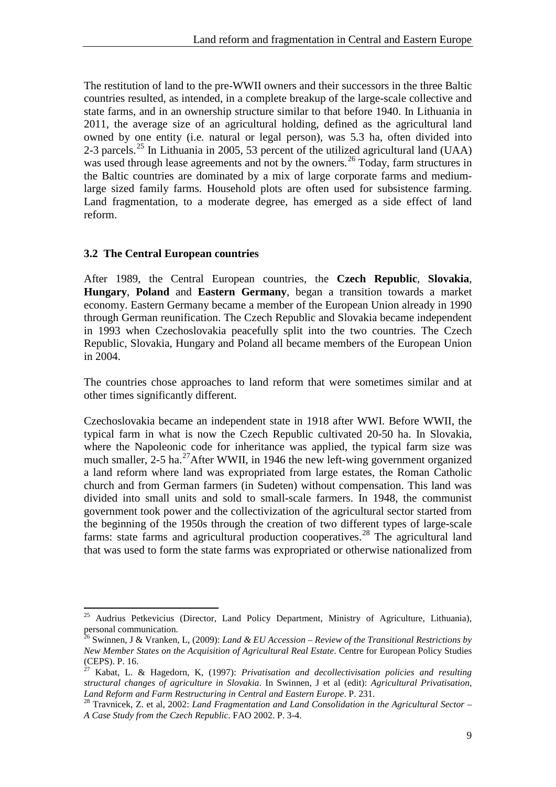The restitution of land to the pre-WWII owners and their successors in the three Baltic countries resulted, as intended, in a complete breakup of the large-scale collective and state farms, and in an ownership structure similar to that before 1940. In Lithuania in 2011, the average size of an agricultural holding, defined as the agricultural land owned by one entity (i.e. natural or legal person), was 5.3 ha, often divided into 2-3 parcels.<sup>[25](#page-14-1)</sup> In Lithuania in 2005, 53 percent of the utilized agricultural land (UAA) was used through lease agreements and not by the owners.<sup>[26](#page-14-2)</sup> Today, farm structures in the Baltic countries are dominated by a mix of large corporate farms and mediumlarge sized family farms. Household plots are often used for subsistence farming. Land fragmentation, to a moderate degree, has emerged as a side effect of land reform.

#### <span id="page-14-0"></span>**3.2 The Central European countries**

After 1989, the Central European countries, the **Czech Republic**, **Slovakia**, **Hungary**, **Poland** and **Eastern Germany**, began a transition towards a market economy. Eastern Germany became a member of the European Union already in 1990 through German reunification. The Czech Republic and Slovakia became independent in 1993 when Czechoslovakia peacefully split into the two countries. The Czech Republic, Slovakia, Hungary and Poland all became members of the European Union in 2004.

The countries chose approaches to land reform that were sometimes similar and at other times significantly different.

Czechoslovakia became an independent state in 1918 after WWI. Before WWII, the typical farm in what is now the Czech Republic cultivated 20-50 ha. In Slovakia, where the Napoleonic code for inheritance was applied, the typical farm size was much smaller,  $2-5$  ha.<sup>27</sup>After WWII, in 1946 the new left-wing government organized a land reform where land was expropriated from large estates, the Roman Catholic church and from German farmers (in Sudeten) without compensation. This land was divided into small units and sold to small-scale farmers. In 1948, the communist government took power and the collectivization of the agricultural sector started from the beginning of the 1950s through the creation of two different types of large-scale farms: state farms and agricultural production cooperatives.<sup>[28](#page-14-4)</sup> The agricultural land that was used to form the state farms was expropriated or otherwise nationalized from

<span id="page-14-1"></span><sup>&</sup>lt;sup>25</sup> Audrius Petkevicius (Director, Land Policy Department, Ministry of Agriculture, Lithuania), personal communication.

<span id="page-14-2"></span><sup>26</sup> Swinnen, J & Vranken, L, (2009): *Land & EU Accession – Review of the Transitional Restrictions by New Member States on the Acquisition of Agricultural Real Estate*. Centre for European Policy Studies (CEPS). P. 16.

<span id="page-14-3"></span><sup>27</sup> Kabat, L. & Hagedorn, K, (1997): *Privatisation and decollectivisation policies and resulting structural changes of agriculture in Slovakia*. In Swinnen, J et al (edit): *Agricultural Privatisation,* 

<span id="page-14-4"></span><sup>&</sup>lt;sup>28</sup> Travnicek, Z. et al, 2002: *Land Fragmentation and Land Consolidation in the Agricultural Sector – A Case Study from the Czech Republic*. FAO 2002. P. 3-4.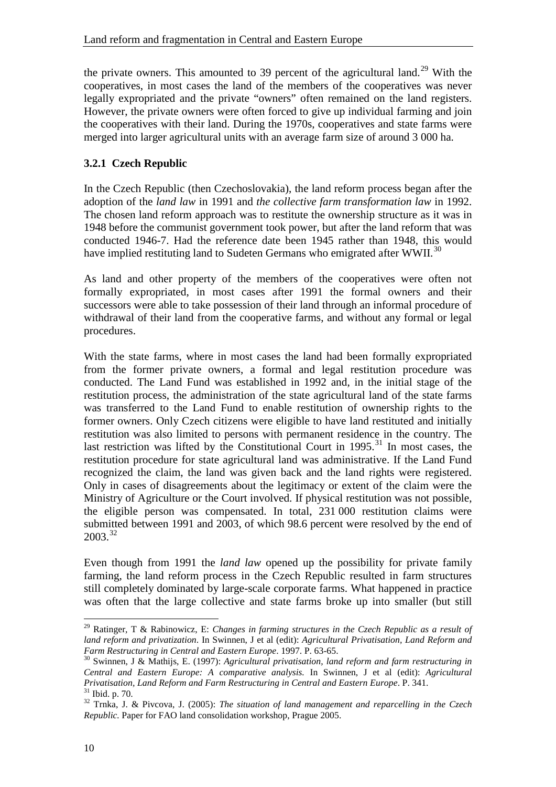the private owners. This amounted to 39 percent of the agricultural land.<sup>[29](#page-15-1)</sup> With the cooperatives, in most cases the land of the members of the cooperatives was never legally expropriated and the private "owners" often remained on the land registers. However, the private owners were often forced to give up individual farming and join the cooperatives with their land. During the 1970s, cooperatives and state farms were merged into larger agricultural units with an average farm size of around 3 000 ha.

#### <span id="page-15-0"></span>**3.2.1 Czech Republic**

In the Czech Republic (then Czechoslovakia), the land reform process began after the adoption of the *land law* in 1991 and *the collective farm transformation law* in 1992. The chosen land reform approach was to restitute the ownership structure as it was in 1948 before the communist government took power, but after the land reform that was conducted 1946-7. Had the reference date been 1945 rather than 1948, this would have implied restituting land to Sudeten Germans who emigrated after WWII.<sup>[30](#page-15-2)</sup>

As land and other property of the members of the cooperatives were often not formally expropriated, in most cases after 1991 the formal owners and their successors were able to take possession of their land through an informal procedure of withdrawal of their land from the cooperative farms, and without any formal or legal procedures.

With the state farms, where in most cases the land had been formally expropriated from the former private owners, a formal and legal restitution procedure was conducted. The Land Fund was established in 1992 and, in the initial stage of the restitution process, the administration of the state agricultural land of the state farms was transferred to the Land Fund to enable restitution of ownership rights to the former owners. Only Czech citizens were eligible to have land restituted and initially restitution was also limited to persons with permanent residence in the country. The last restriction was lifted by the Constitutional Court in  $1995$ .<sup>31</sup> In most cases, the restitution procedure for state agricultural land was administrative. If the Land Fund recognized the claim, the land was given back and the land rights were registered. Only in cases of disagreements about the legitimacy or extent of the claim were the Ministry of Agriculture or the Court involved. If physical restitution was not possible, the eligible person was compensated. In total, 231 000 restitution claims were submitted between 1991 and 2003, of which 98.6 percent were resolved by the end of  $2003.<sup>32</sup>$  $2003.<sup>32</sup>$  $2003.<sup>32</sup>$ 

Even though from 1991 the *land law* opened up the possibility for private family farming, the land reform process in the Czech Republic resulted in farm structures still completely dominated by large-scale corporate farms. What happened in practice was often that the large collective and state farms broke up into smaller (but still

<span id="page-15-1"></span><sup>29</sup> Ratinger, T & Rabinowicz, E: *Changes in farming structures in the Czech Republic as a result of land reform and privatization*. In Swinnen, J et al (edit): *Agricultural Privatisation, Land Reform and* 

<span id="page-15-2"></span>*Farm Restructuring in Central and Eastern Europe. 1997.* Processors 2008. And reform and farm restructuring in <sup>30</sup> Swinnen, J & Mathijs, E. (1997): *Agricultural privatisation, land reform and farm restructuring in Central and Eastern Europe: A comparative analysis.* In Swinnen, J et al (edit): *Agricultural Privatisation, Land Reform and Farm Restructuring in Central and Eastern Europe.* P. 341.<br><sup>31</sup> Ibid. p. 70.<br><sup>32</sup> Trnka, J. & Pivcova, J. (2005): *The situation of land management and reparcelling in the Czech* 

<span id="page-15-4"></span><span id="page-15-3"></span>*Republic.* Paper for FAO land consolidation workshop, Prague 2005.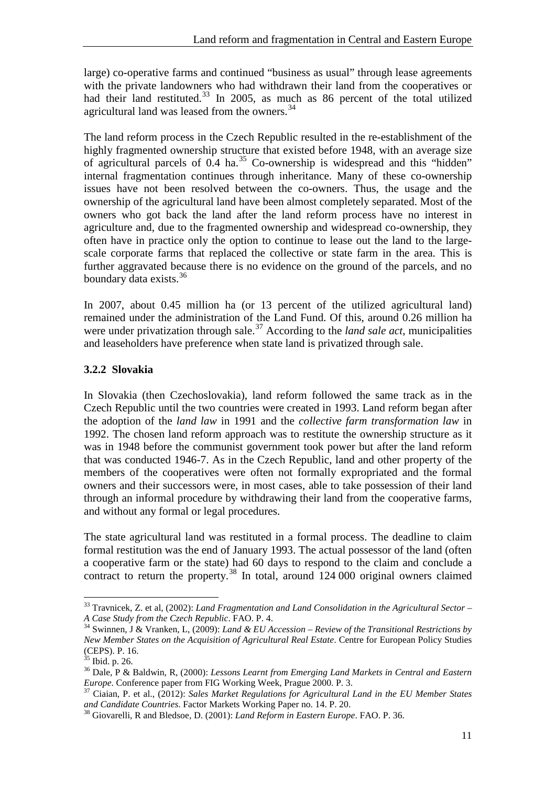large) co-operative farms and continued "business as usual" through lease agreements with the private landowners who had withdrawn their land from the cooperatives or had their land restituted.<sup>[33](#page-16-1)</sup> In 2005, as much as 86 percent of the total utilized agricultural land was leased from the owners.<sup>[34](#page-16-2)</sup>

The land reform process in the Czech Republic resulted in the re-establishment of the highly fragmented ownership structure that existed before 1948, with an average size of agricultural parcels of  $0.4$  ha.<sup>[35](#page-16-3)</sup> Co-ownership is widespread and this "hidden" internal fragmentation continues through inheritance. Many of these co-ownership issues have not been resolved between the co-owners. Thus, the usage and the ownership of the agricultural land have been almost completely separated. Most of the owners who got back the land after the land reform process have no interest in agriculture and, due to the fragmented ownership and widespread co-ownership, they often have in practice only the option to continue to lease out the land to the largescale corporate farms that replaced the collective or state farm in the area. This is further aggravated because there is no evidence on the ground of the parcels, and no boundary data exists.<sup>[36](#page-16-4)</sup>

In 2007, about 0.45 million ha (or 13 percent of the utilized agricultural land) remained under the administration of the Land Fund. Of this, around 0.26 million ha were under privatization through sale.<sup>[37](#page-16-5)</sup> According to the *land sale act*, municipalities and leaseholders have preference when state land is privatized through sale.

#### <span id="page-16-0"></span>**3.2.2 Slovakia**

In Slovakia (then Czechoslovakia), land reform followed the same track as in the Czech Republic until the two countries were created in 1993. Land reform began after the adoption of the *land law* in 1991 and the *collective farm transformation law* in 1992. The chosen land reform approach was to restitute the ownership structure as it was in 1948 before the communist government took power but after the land reform that was conducted 1946-7. As in the Czech Republic, land and other property of the members of the cooperatives were often not formally expropriated and the formal owners and their successors were, in most cases, able to take possession of their land through an informal procedure by withdrawing their land from the cooperative farms, and without any formal or legal procedures.

The state agricultural land was restituted in a formal process. The deadline to claim formal restitution was the end of January 1993. The actual possessor of the land (often a cooperative farm or the state) had 60 days to respond to the claim and conclude a contract to return the property.<sup>[38](#page-16-6)</sup> In total, around 124 000 original owners claimed

<span id="page-16-1"></span><sup>33</sup> Travnicek, Z. et al, (2002): *Land Fragmentation and Land Consolidation in the Agricultural Sector – A Case Study from the Czech Republic*. FAO. P. 4.

<span id="page-16-2"></span><sup>34</sup> Swinnen, J & Vranken, L, (2009): *Land & EU Accession – Review of the Transitional Restrictions by New Member States on the Acquisition of Agricultural Real Estate*. Centre for European Policy Studies (CEPS). P. 16.<br><sup>35</sup> Ibid. p. 26.

<span id="page-16-4"></span><span id="page-16-3"></span><sup>&</sup>lt;sup>36</sup> Dale, P & Baldwin, R, (2000): *Lessons Learnt from Emerging Land Markets in Central and Eastern Europe.* Conference paper from FIG Working Week, Prague 2000. P. 3.

<span id="page-16-5"></span><sup>&</sup>lt;sup>37</sup> Ciaian, P. et al., (2012): *Sales Market Regulations for Agricultural Land in the EU Member States and Candidate Countries. Factor Markets Working Paper no. 14. P. 20.* 

<span id="page-16-6"></span><sup>&</sup>lt;sup>38</sup> Giovarelli, R and Bledsoe, D. (2001): *Land Reform in Eastern Europe*. FAO. P. 36.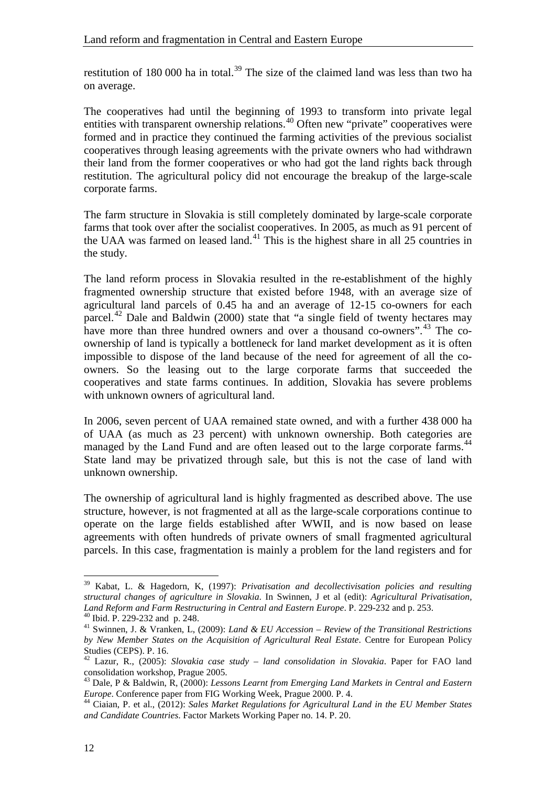restitution of 180 000 ha in total.<sup>[39](#page-17-0)</sup> The size of the claimed land was less than two ha on average.

The cooperatives had until the beginning of 1993 to transform into private legal entities with transparent ownership relations.<sup>[40](#page-17-1)</sup> Often new "private" cooperatives were formed and in practice they continued the farming activities of the previous socialist cooperatives through leasing agreements with the private owners who had withdrawn their land from the former cooperatives or who had got the land rights back through restitution. The agricultural policy did not encourage the breakup of the large-scale corporate farms.

The farm structure in Slovakia is still completely dominated by large-scale corporate farms that took over after the socialist cooperatives. In 2005, as much as 91 percent of the UAA was farmed on leased land.<sup>[41](#page-17-2)</sup> This is the highest share in all 25 countries in the study.

The land reform process in Slovakia resulted in the re-establishment of the highly fragmented ownership structure that existed before 1948, with an average size of agricultural land parcels of 0.45 ha and an average of 12-15 co-owners for each parcel.<sup>[42](#page-17-3)</sup> Dale and Baldwin (2000) state that "a single field of twenty hectares may have more than three hundred owners and over a thousand co-owners".<sup>[43](#page-17-4)</sup> The coownership of land is typically a bottleneck for land market development as it is often impossible to dispose of the land because of the need for agreement of all the coowners. So the leasing out to the large corporate farms that succeeded the cooperatives and state farms continues. In addition, Slovakia has severe problems with unknown owners of agricultural land.

In 2006, seven percent of UAA remained state owned, and with a further 438 000 ha of UAA (as much as 23 percent) with unknown ownership. Both categories are managed by the Land Fund and are often leased out to the large corporate farms.<sup>[44](#page-17-5)</sup> State land may be privatized through sale, but this is not the case of land with unknown ownership.

The ownership of agricultural land is highly fragmented as described above. The use structure, however, is not fragmented at all as the large-scale corporations continue to operate on the large fields established after WWII, and is now based on lease agreements with often hundreds of private owners of small fragmented agricultural parcels. In this case, fragmentation is mainly a problem for the land registers and for

<span id="page-17-0"></span><sup>39</sup> Kabat, L. & Hagedorn, K, (1997): *Privatisation and decollectivisation policies and resulting structural changes of agriculture in Slovakia*. In Swinnen, J et al (edit): *Agricultural Privatisation,* 

<span id="page-17-2"></span><span id="page-17-1"></span><sup>&</sup>lt;sup>40</sup> Ibid. P. 229-232 and p. 248.<br><sup>41</sup> Swinnen, J. & Vranken, L. (2009): *Land & EU Accession – Review of the Transitional Restrictions by New Member States on the Acquisition of Agricultural Real Estate*. Centre for European Policy Studies (CEPS). P. 16.

<span id="page-17-3"></span><sup>42</sup> Lazur, R., (2005): *Slovakia case study – land consolidation in Slovakia*. Paper for FAO land consolidation workshop, Prague 2005.

<span id="page-17-4"></span><sup>&</sup>lt;sup>43</sup> Dale, P & Baldwin, R, (2000): *Lessons Learnt from Emerging Land Markets in Central and Eastern Europe.* Conference paper from FIG Working Week, Prague 2000. P. 4.

<span id="page-17-5"></span><sup>&</sup>lt;sup>44</sup> Ciaian, P. et al., (2012): *Sales Market Regulations for Agricultural Land in the EU Member States and Candidate Countries*. Factor Markets Working Paper no. 14. P. 20.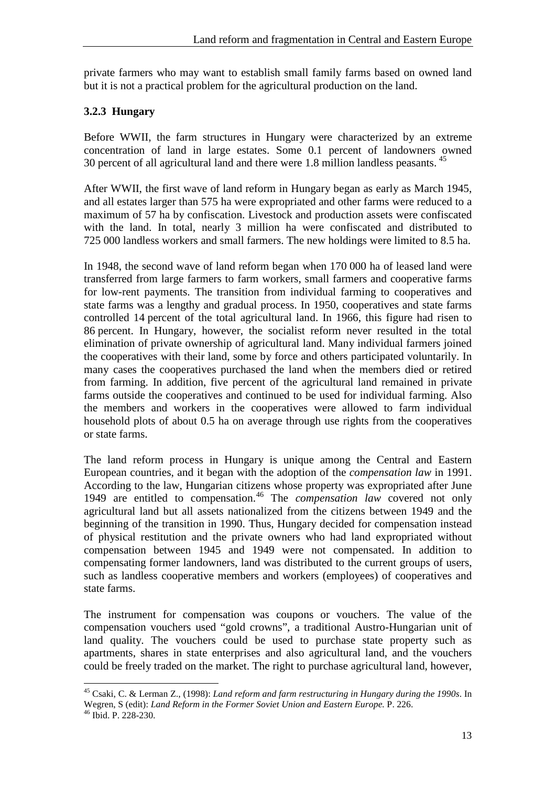private farmers who may want to establish small family farms based on owned land but it is not a practical problem for the agricultural production on the land.

#### <span id="page-18-0"></span>**3.2.3 Hungary**

Before WWII, the farm structures in Hungary were characterized by an extreme concentration of land in large estates. Some 0.1 percent of landowners owned 30 percent of all agricultural land and there were 1.8 million landless peasants. [45](#page-18-1)

After WWII, the first wave of land reform in Hungary began as early as March 1945, and all estates larger than 575 ha were expropriated and other farms were reduced to a maximum of 57 ha by confiscation. Livestock and production assets were confiscated with the land. In total, nearly 3 million ha were confiscated and distributed to 725 000 landless workers and small farmers. The new holdings were limited to 8.5 ha.

In 1948, the second wave of land reform began when 170 000 ha of leased land were transferred from large farmers to farm workers, small farmers and cooperative farms for low-rent payments. The transition from individual farming to cooperatives and state farms was a lengthy and gradual process. In 1950, cooperatives and state farms controlled 14 percent of the total agricultural land. In 1966, this figure had risen to 86 percent. In Hungary, however, the socialist reform never resulted in the total elimination of private ownership of agricultural land. Many individual farmers joined the cooperatives with their land, some by force and others participated voluntarily. In many cases the cooperatives purchased the land when the members died or retired from farming. In addition, five percent of the agricultural land remained in private farms outside the cooperatives and continued to be used for individual farming. Also the members and workers in the cooperatives were allowed to farm individual household plots of about 0.5 ha on average through use rights from the cooperatives or state farms.

The land reform process in Hungary is unique among the Central and Eastern European countries, and it began with the adoption of the *compensation law* in 1991. According to the law, Hungarian citizens whose property was expropriated after June 1949 are entitled to compensation.[46](#page-18-2) The *compensation law* covered not only agricultural land but all assets nationalized from the citizens between 1949 and the beginning of the transition in 1990. Thus, Hungary decided for compensation instead of physical restitution and the private owners who had land expropriated without compensation between 1945 and 1949 were not compensated. In addition to compensating former landowners, land was distributed to the current groups of users, such as landless cooperative members and workers (employees) of cooperatives and state farms.

The instrument for compensation was coupons or vouchers. The value of the compensation vouchers used "gold crowns", a traditional Austro-Hungarian unit of land quality. The vouchers could be used to purchase state property such as apartments, shares in state enterprises and also agricultural land, and the vouchers could be freely traded on the market. The right to purchase agricultural land, however,

<span id="page-18-1"></span><sup>45</sup> Csaki, C. & Lerman Z., (1998): *Land reform and farm restructuring in Hungary during the 1990s*. In Wegren, S (edit): *Land Reform in the Former Soviet Union and Eastern Europe.* P. 226. <sup>46</sup> Ibid. P. 228-230.

<span id="page-18-2"></span>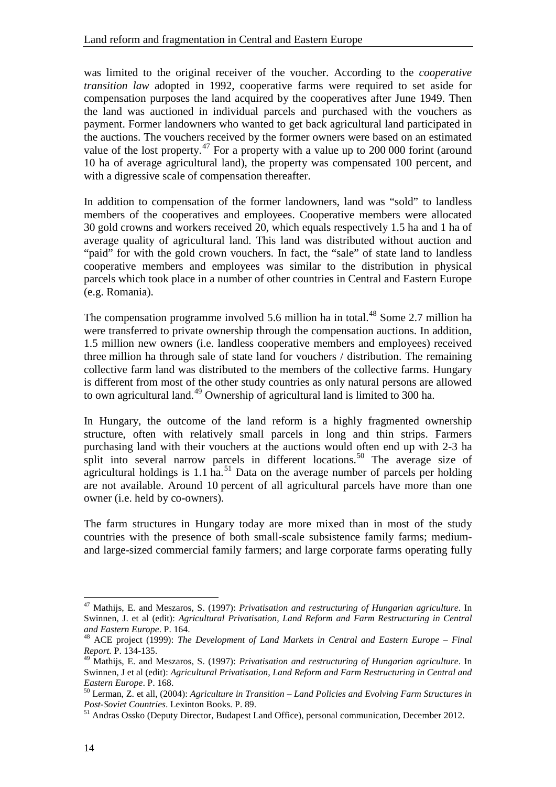was limited to the original receiver of the voucher. According to the *cooperative transition law* adopted in 1992, cooperative farms were required to set aside for compensation purposes the land acquired by the cooperatives after June 1949. Then the land was auctioned in individual parcels and purchased with the vouchers as payment. Former landowners who wanted to get back agricultural land participated in the auctions. The vouchers received by the former owners were based on an estimated value of the lost property.<sup>[47](#page-19-0)</sup> For a property with a value up to 200 000 forint (around 10 ha of average agricultural land), the property was compensated 100 percent, and with a digressive scale of compensation thereafter.

In addition to compensation of the former landowners, land was "sold" to landless members of the cooperatives and employees. Cooperative members were allocated 30 gold crowns and workers received 20, which equals respectively 1.5 ha and 1 ha of average quality of agricultural land. This land was distributed without auction and "paid" for with the gold crown vouchers. In fact, the "sale" of state land to landless cooperative members and employees was similar to the distribution in physical parcels which took place in a number of other countries in Central and Eastern Europe (e.g. Romania).

The compensation programme involved 5.6 million ha in total.<sup>[48](#page-19-1)</sup> Some 2.7 million ha were transferred to private ownership through the compensation auctions. In addition, 1.5 million new owners (i.e. landless cooperative members and employees) received three million ha through sale of state land for vouchers / distribution. The remaining collective farm land was distributed to the members of the collective farms. Hungary is different from most of the other study countries as only natural persons are allowed to own agricultural land.<sup>[49](#page-19-2)</sup> Ownership of agricultural land is limited to 300 ha.

In Hungary, the outcome of the land reform is a highly fragmented ownership structure, often with relatively small parcels in long and thin strips. Farmers purchasing land with their vouchers at the auctions would often end up with 2-3 ha split into several narrow parcels in different locations.<sup>[50](#page-19-3)</sup> The average size of agricultural holdings is 1.1 ha.<sup>[51](#page-19-4)</sup> Data on the average number of parcels per holding are not available. Around 10 percent of all agricultural parcels have more than one owner (i.e. held by co-owners).

The farm structures in Hungary today are more mixed than in most of the study countries with the presence of both small-scale subsistence family farms; mediumand large-sized commercial family farmers; and large corporate farms operating fully

<span id="page-19-0"></span><sup>47</sup> Mathijs, E. and Meszaros, S. (1997): *Privatisation and restructuring of Hungarian agriculture*. In Swinnen, J. et al (edit): *Agricultural Privatisation, Land Reform and Farm Restructuring in Central* 

<span id="page-19-1"></span><sup>&</sup>lt;sup>48</sup> ACE project (1999): *The Development of Land Markets in Central and Eastern Europe – Final Report.* P. 134-135.

<span id="page-19-2"></span><sup>49</sup> Mathijs, E. and Meszaros, S. (1997): *Privatisation and restructuring of Hungarian agriculture*. In Swinnen, J et al (edit): *Agricultural Privatisation, Land Reform and Farm Restructuring in Central and* 

<span id="page-19-3"></span><sup>&</sup>lt;sup>50</sup> Lerman, Z. et all, (2004): *Agriculture in Transition – Land Policies and Evolving Farm Structures in Post-Soviet Countries. Lexinton Books. P. 89.* 

<span id="page-19-4"></span><sup>&</sup>lt;sup>51</sup> Andras Ossko (Deputy Director, Budapest Land Office), personal communication, December 2012.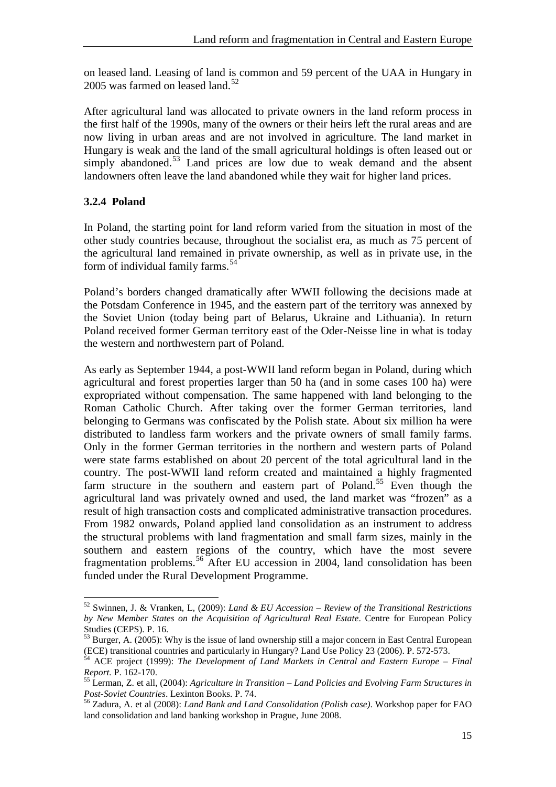on leased land. Leasing of land is common and 59 percent of the UAA in Hungary in 2005 was farmed on leased land.<sup>52</sup>

After agricultural land was allocated to private owners in the land reform process in the first half of the 1990s, many of the owners or their heirs left the rural areas and are now living in urban areas and are not involved in agriculture. The land market in Hungary is weak and the land of the small agricultural holdings is often leased out or simply abandoned.<sup>[53](#page-20-2)</sup> Land prices are low due to weak demand and the absent landowners often leave the land abandoned while they wait for higher land prices.

#### <span id="page-20-0"></span>**3.2.4 Poland**

 $\overline{a}$ 

In Poland, the starting point for land reform varied from the situation in most of the other study countries because, throughout the socialist era, as much as 75 percent of the agricultural land remained in private ownership, as well as in private use, in the form of individual family farms. $54$ 

Poland's borders changed dramatically after WWII following the decisions made at the Potsdam Conference in 1945, and the eastern part of the territory was annexed by the Soviet Union (today being part of Belarus, Ukraine and Lithuania). In return Poland received former German territory east of the Oder-Neisse line in what is today the western and northwestern part of Poland.

As early as September 1944, a post-WWII land reform began in Poland, during which agricultural and forest properties larger than 50 ha (and in some cases 100 ha) were expropriated without compensation. The same happened with land belonging to the Roman Catholic Church. After taking over the former German territories, land belonging to Germans was confiscated by the Polish state. About six million ha were distributed to landless farm workers and the private owners of small family farms. Only in the former German territories in the northern and western parts of Poland were state farms established on about 20 percent of the total agricultural land in the country. The post-WWII land reform created and maintained a highly fragmented farm structure in the southern and eastern part of Poland.<sup>[55](#page-20-4)</sup> Even though the agricultural land was privately owned and used, the land market was "frozen" as a result of high transaction costs and complicated administrative transaction procedures. From 1982 onwards, Poland applied land consolidation as an instrument to address the structural problems with land fragmentation and small farm sizes, mainly in the southern and eastern regions of the country, which have the most severe fragmentation problems. [56](#page-20-5) After EU accession in 2004, land consolidation has been funded under the Rural Development Programme.

<span id="page-20-1"></span><sup>52</sup> Swinnen, J. & Vranken, L, (2009): *Land & EU Accession – Review of the Transitional Restrictions by New Member States on the Acquisition of Agricultural Real Estate*. Centre for European Policy Studies (CEPS). P. 16.

<sup>&</sup>lt;sup>53</sup> Burger, A. (2005): Why is the issue of land ownership still a major concern in East Central European

<span id="page-20-3"></span><span id="page-20-2"></span><sup>(</sup>ECE) transitional countries and particularly in Hungary? Land Use Policy 23 (2006). P. 572-573.<br><sup>54</sup> ACE project (1999): *The Development of Land Markets in Central and Eastern Europe – Final Report*. P. 162-170.

<span id="page-20-4"></span><sup>&</sup>lt;sup>55</sup> Lerman, Z. et all, (2004): *Agriculture in Transition – Land Policies and Evolving Farm Structures in Post-Soviet Countries.* Lexinton Books. P. 74.

<span id="page-20-5"></span><sup>&</sup>lt;sup>56</sup> Zadura, A. et al (2008): *Land Bank and Land Consolidation (Polish case)*. Workshop paper for FAO land consolidation and land banking workshop in Prague, June 2008.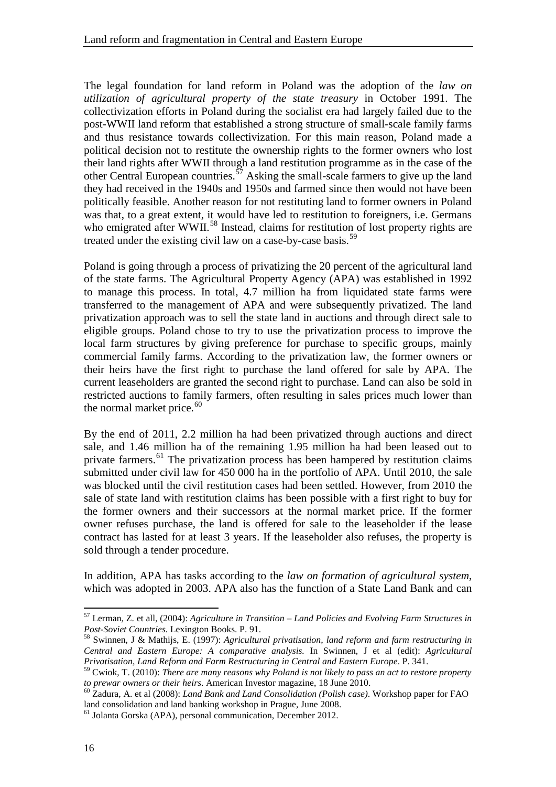The legal foundation for land reform in Poland was the adoption of the *law on utilization of agricultural property of the state treasury* in October 1991. The collectivization efforts in Poland during the socialist era had largely failed due to the post-WWII land reform that established a strong structure of small-scale family farms and thus resistance towards collectivization. For this main reason, Poland made a political decision not to restitute the ownership rights to the former owners who lost their land rights after WWII through a land restitution programme as in the case of the other Central European countries.<sup>[57](#page-21-0)</sup> Asking the small-scale farmers to give up the land they had received in the 1940s and 1950s and farmed since then would not have been politically feasible. Another reason for not restituting land to former owners in Poland was that, to a great extent, it would have led to restitution to foreigners, i.e. Germans who emigrated after WWII.<sup>[58](#page-21-1)</sup> Instead, claims for restitution of lost property rights are treated under the existing civil law on a case-by-case basis.<sup>[59](#page-21-2)</sup>

Poland is going through a process of privatizing the 20 percent of the agricultural land of the state farms. The Agricultural Property Agency (APA) was established in 1992 to manage this process. In total, 4.7 million ha from liquidated state farms were transferred to the management of APA and were subsequently privatized. The land privatization approach was to sell the state land in auctions and through direct sale to eligible groups. Poland chose to try to use the privatization process to improve the local farm structures by giving preference for purchase to specific groups, mainly commercial family farms. According to the privatization law, the former owners or their heirs have the first right to purchase the land offered for sale by APA. The current leaseholders are granted the second right to purchase. Land can also be sold in restricted auctions to family farmers, often resulting in sales prices much lower than the normal market price. $60$ 

By the end of 2011, 2.2 million ha had been privatized through auctions and direct sale, and 1.46 million ha of the remaining 1.95 million ha had been leased out to private farmers.<sup>[61](#page-21-4)</sup> The privatization process has been hampered by restitution claims submitted under civil law for 450 000 ha in the portfolio of APA. Until 2010, the sale was blocked until the civil restitution cases had been settled. However, from 2010 the sale of state land with restitution claims has been possible with a first right to buy for the former owners and their successors at the normal market price. If the former owner refuses purchase, the land is offered for sale to the leaseholder if the lease contract has lasted for at least 3 years. If the leaseholder also refuses, the property is sold through a tender procedure.

In addition, APA has tasks according to the *law on formation of agricultural system*, which was adopted in 2003. APA also has the function of a State Land Bank and can

<span id="page-21-0"></span><sup>57</sup> Lerman, Z. et all, (2004): *Agriculture in Transition – Land Policies and Evolving Farm Structures in* 

<span id="page-21-1"></span><sup>&</sup>lt;sup>58</sup> Swinnen, J & Mathijs, E. (1997): *Agricultural privatisation, land reform and farm restructuring in Central and Eastern Europe: A comparative analysis.* In Swinnen, J et al (edit): *Agricultural Privatisation, Land Reform and Farm Restructuring in Central and Eastern Europe*. P. 341.

<span id="page-21-2"></span> $^{59}$  Cwiok, T. (2010): *There are many reasons why Poland is not likely to pass an act to restore property to prewar owners or their heirs. American Investor magazine, 18 June 2010.* 

<span id="page-21-3"></span><sup>&</sup>lt;sup>60</sup> Zadura, A. et al (2008): *Land Bank and Land Consolidation (Polish case)*. Workshop paper for FAO land consolidation and land banking workshop in Prague, June 2008.

<span id="page-21-4"></span><sup>61</sup> Jolanta Gorska (APA), personal communication, December 2012.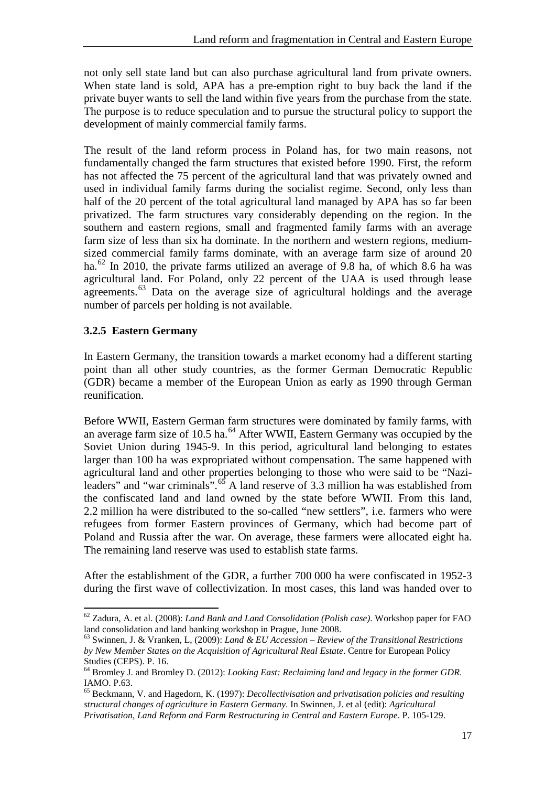not only sell state land but can also purchase agricultural land from private owners. When state land is sold, APA has a pre-emption right to buy back the land if the private buyer wants to sell the land within five years from the purchase from the state. The purpose is to reduce speculation and to pursue the structural policy to support the development of mainly commercial family farms.

The result of the land reform process in Poland has, for two main reasons, not fundamentally changed the farm structures that existed before 1990. First, the reform has not affected the 75 percent of the agricultural land that was privately owned and used in individual family farms during the socialist regime. Second, only less than half of the 20 percent of the total agricultural land managed by APA has so far been privatized. The farm structures vary considerably depending on the region. In the southern and eastern regions, small and fragmented family farms with an average farm size of less than six ha dominate. In the northern and western regions, mediumsized commercial family farms dominate, with an average farm size of around 20 ha.<sup>62</sup> In 2010, the private farms utilized an average of 9.8 ha, of which 8.6 ha was agricultural land. For Poland, only 22 percent of the UAA is used through lease agreements. $^{63}$  $^{63}$  $^{63}$  Data on the average size of agricultural holdings and the average number of parcels per holding is not available.

#### <span id="page-22-0"></span>**3.2.5 Eastern Germany**

In Eastern Germany, the transition towards a market economy had a different starting point than all other study countries, as the former German Democratic Republic (GDR) became a member of the European Union as early as 1990 through German reunification.

Before WWII, Eastern German farm structures were dominated by family farms, with an average farm size of 10.5 ha. $^{64}$  After WWII, Eastern Germany was occupied by the Soviet Union during 1945-9. In this period, agricultural land belonging to estates larger than 100 ha was expropriated without compensation. The same happened with agricultural land and other properties belonging to those who were said to be "Nazi-leaders" and "war criminals".<sup>[65](#page-22-4)</sup> A land reserve of 3.3 million ha was established from the confiscated land and land owned by the state before WWII. From this land, 2.2 million ha were distributed to the so-called "new settlers", i.e. farmers who were refugees from former Eastern provinces of Germany, which had become part of Poland and Russia after the war. On average, these farmers were allocated eight ha. The remaining land reserve was used to establish state farms.

After the establishment of the GDR, a further 700 000 ha were confiscated in 1952-3 during the first wave of collectivization. In most cases, this land was handed over to

<span id="page-22-1"></span><sup>62</sup> Zadura, A. et al. (2008): *Land Bank and Land Consolidation (Polish case)*. Workshop paper for FAO land consolidation and land banking workshop in Prague, June 2008.

<span id="page-22-2"></span><sup>63</sup> Swinnen, J. & Vranken, L, (2009): *Land & EU Accession – Review of the Transitional Restrictions by New Member States on the Acquisition of Agricultural Real Estate*. Centre for European Policy Studies (CEPS). P. 16.

<span id="page-22-3"></span><sup>64</sup> Bromley J. and Bromley D. (2012): *Looking East: Reclaiming land and legacy in the former GDR*. IAMO. P.63.

<span id="page-22-4"></span><sup>65</sup> Beckmann, V. and Hagedorn, K. (1997): *Decollectivisation and privatisation policies and resulting structural changes of agriculture in Eastern Germany*. In Swinnen, J. et al (edit): *Agricultural Privatisation, Land Reform and Farm Restructuring in Central and Eastern Europe*. P. 105-129.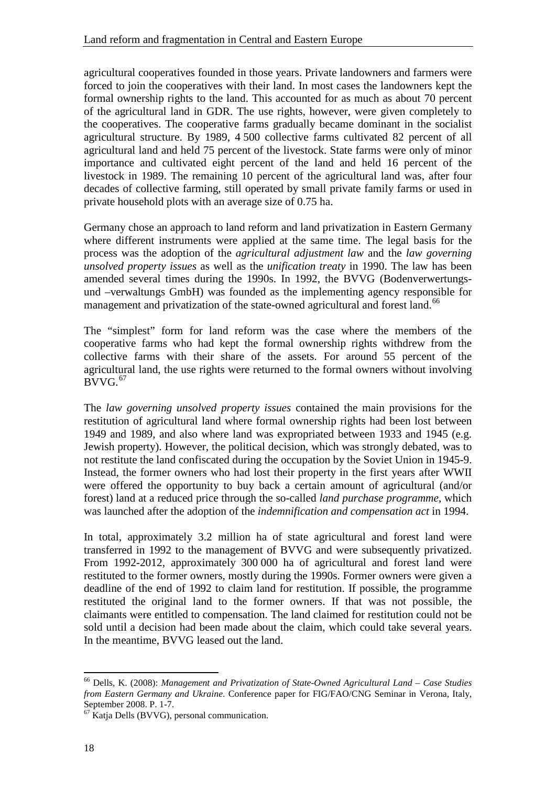agricultural cooperatives founded in those years. Private landowners and farmers were forced to join the cooperatives with their land. In most cases the landowners kept the formal ownership rights to the land. This accounted for as much as about 70 percent of the agricultural land in GDR. The use rights, however, were given completely to the cooperatives. The cooperative farms gradually became dominant in the socialist agricultural structure. By 1989, 4 500 collective farms cultivated 82 percent of all agricultural land and held 75 percent of the livestock. State farms were only of minor importance and cultivated eight percent of the land and held 16 percent of the livestock in 1989. The remaining 10 percent of the agricultural land was, after four decades of collective farming, still operated by small private family farms or used in private household plots with an average size of 0.75 ha.

Germany chose an approach to land reform and land privatization in Eastern Germany where different instruments were applied at the same time. The legal basis for the process was the adoption of the *agricultural adjustment law* and the *law governing unsolved property issues* as well as the *unification treaty* in 1990. The law has been amended several times during the 1990s. In 1992, the BVVG (Bodenverwertungsund –verwaltungs GmbH) was founded as the implementing agency responsible for management and privatization of the state-owned agricultural and forest land.<sup>[66](#page-23-0)</sup>

The "simplest" form for land reform was the case where the members of the cooperative farms who had kept the formal ownership rights withdrew from the collective farms with their share of the assets. For around 55 percent of the agricultural land, the use rights were returned to the formal owners without involving  $BVVG.<sub>67</sub>$  $BVVG.<sub>67</sub>$  $BVVG.<sub>67</sub>$ 

The *law governing unsolved property issues* contained the main provisions for the restitution of agricultural land where formal ownership rights had been lost between 1949 and 1989, and also where land was expropriated between 1933 and 1945 (e.g. Jewish property). However, the political decision, which was strongly debated, was to not restitute the land confiscated during the occupation by the Soviet Union in 1945-9. Instead, the former owners who had lost their property in the first years after WWII were offered the opportunity to buy back a certain amount of agricultural (and/or forest) land at a reduced price through the so-called *land purchase programme*, which was launched after the adoption of the *indemnification and compensation act* in 1994.

In total, approximately 3.2 million ha of state agricultural and forest land were transferred in 1992 to the management of BVVG and were subsequently privatized. From 1992-2012, approximately 300 000 ha of agricultural and forest land were restituted to the former owners, mostly during the 1990s. Former owners were given a deadline of the end of 1992 to claim land for restitution. If possible, the programme restituted the original land to the former owners. If that was not possible, the claimants were entitled to compensation. The land claimed for restitution could not be sold until a decision had been made about the claim, which could take several years. In the meantime, BVVG leased out the land.

<span id="page-23-0"></span><sup>66</sup> Dells, K. (2008): *Management and Privatization of State-Owned Agricultural Land – Case Studies from Eastern Germany and Ukraine*. Conference paper for FIG/FAO/CNG Seminar in Verona, Italy,

<span id="page-23-1"></span> $<sup>67</sup>$  Katja Dells (BVVG), personal communication.</sup>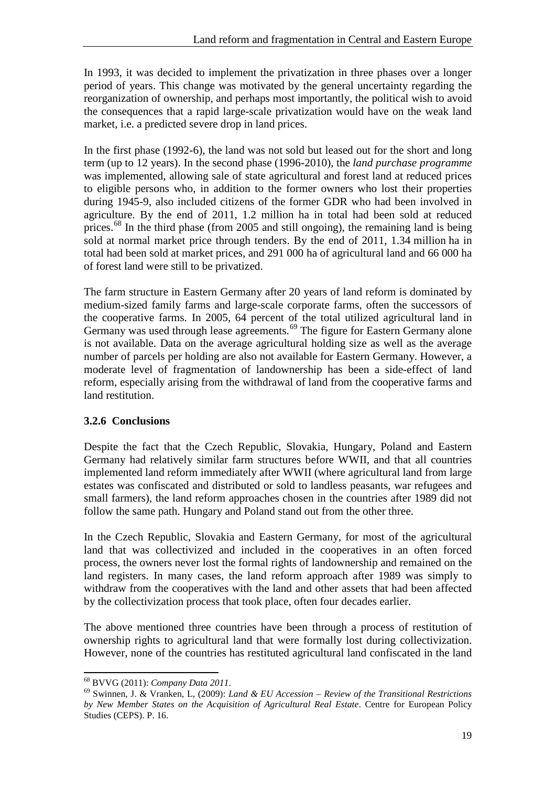In 1993, it was decided to implement the privatization in three phases over a longer period of years. This change was motivated by the general uncertainty regarding the reorganization of ownership, and perhaps most importantly, the political wish to avoid the consequences that a rapid large-scale privatization would have on the weak land market, i.e. a predicted severe drop in land prices.

In the first phase (1992-6), the land was not sold but leased out for the short and long term (up to 12 years). In the second phase (1996-2010), the *land purchase programme* was implemented, allowing sale of state agricultural and forest land at reduced prices to eligible persons who, in addition to the former owners who lost their properties during 1945-9, also included citizens of the former GDR who had been involved in agriculture. By the end of 2011, 1.2 million ha in total had been sold at reduced prices.<sup>[68](#page-24-1)</sup> In the third phase (from 2005 and still ongoing), the remaining land is being sold at normal market price through tenders. By the end of 2011, 1.34 million ha in total had been sold at market prices, and 291 000 ha of agricultural land and 66 000 ha of forest land were still to be privatized.

The farm structure in Eastern Germany after 20 years of land reform is dominated by medium-sized family farms and large-scale corporate farms, often the successors of the cooperative farms. In 2005, 64 percent of the total utilized agricultural land in Germany was used through lease agreements.<sup>[69](#page-24-2)</sup> The figure for Eastern Germany alone is not available. Data on the average agricultural holding size as well as the average number of parcels per holding are also not available for Eastern Germany. However, a moderate level of fragmentation of landownership has been a side-effect of land reform, especially arising from the withdrawal of land from the cooperative farms and land restitution.

#### <span id="page-24-0"></span>**3.2.6 Conclusions**

Despite the fact that the Czech Republic, Slovakia, Hungary, Poland and Eastern Germany had relatively similar farm structures before WWII, and that all countries implemented land reform immediately after WWII (where agricultural land from large estates was confiscated and distributed or sold to landless peasants, war refugees and small farmers), the land reform approaches chosen in the countries after 1989 did not follow the same path. Hungary and Poland stand out from the other three.

In the Czech Republic, Slovakia and Eastern Germany, for most of the agricultural land that was collectivized and included in the cooperatives in an often forced process, the owners never lost the formal rights of landownership and remained on the land registers. In many cases, the land reform approach after 1989 was simply to withdraw from the cooperatives with the land and other assets that had been affected by the collectivization process that took place, often four decades earlier.

The above mentioned three countries have been through a process of restitution of ownership rights to agricultural land that were formally lost during collectivization. However, none of the countries has restituted agricultural land confiscated in the land

<span id="page-24-2"></span><span id="page-24-1"></span><sup>68</sup> BVVG (2011): *Company Data 2011*. 69 Swinnen, J. & Vranken, L, (2009): *Land & EU Accession – Review of the Transitional Restrictions by New Member States on the Acquisition of Agricultural Real Estate*. Centre for European Policy Studies (CEPS). P. 16.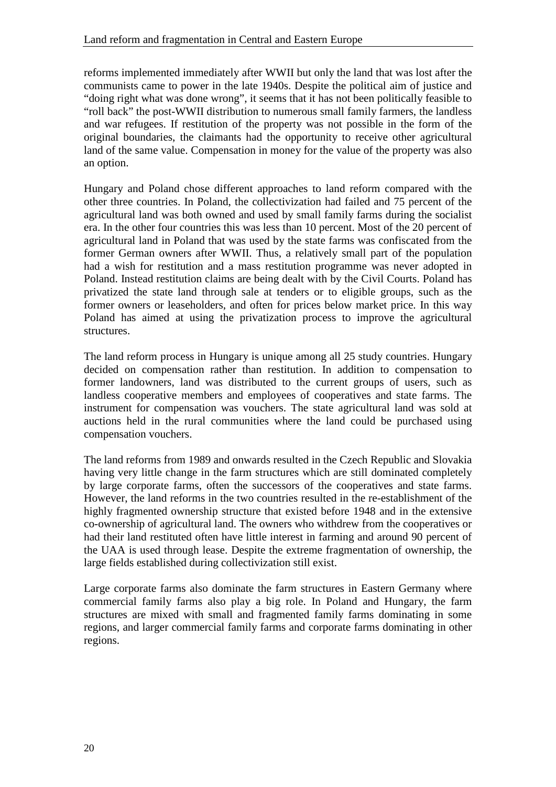reforms implemented immediately after WWII but only the land that was lost after the communists came to power in the late 1940s. Despite the political aim of justice and "doing right what was done wrong", it seems that it has not been politically feasible to "roll back" the post-WWII distribution to numerous small family farmers, the landless and war refugees. If restitution of the property was not possible in the form of the original boundaries, the claimants had the opportunity to receive other agricultural land of the same value. Compensation in money for the value of the property was also an option.

Hungary and Poland chose different approaches to land reform compared with the other three countries. In Poland, the collectivization had failed and 75 percent of the agricultural land was both owned and used by small family farms during the socialist era. In the other four countries this was less than 10 percent. Most of the 20 percent of agricultural land in Poland that was used by the state farms was confiscated from the former German owners after WWII. Thus, a relatively small part of the population had a wish for restitution and a mass restitution programme was never adopted in Poland. Instead restitution claims are being dealt with by the Civil Courts. Poland has privatized the state land through sale at tenders or to eligible groups, such as the former owners or leaseholders, and often for prices below market price. In this way Poland has aimed at using the privatization process to improve the agricultural structures.

The land reform process in Hungary is unique among all 25 study countries. Hungary decided on compensation rather than restitution. In addition to compensation to former landowners, land was distributed to the current groups of users, such as landless cooperative members and employees of cooperatives and state farms. The instrument for compensation was vouchers. The state agricultural land was sold at auctions held in the rural communities where the land could be purchased using compensation vouchers.

The land reforms from 1989 and onwards resulted in the Czech Republic and Slovakia having very little change in the farm structures which are still dominated completely by large corporate farms, often the successors of the cooperatives and state farms. However, the land reforms in the two countries resulted in the re-establishment of the highly fragmented ownership structure that existed before 1948 and in the extensive co-ownership of agricultural land. The owners who withdrew from the cooperatives or had their land restituted often have little interest in farming and around 90 percent of the UAA is used through lease. Despite the extreme fragmentation of ownership, the large fields established during collectivization still exist.

Large corporate farms also dominate the farm structures in Eastern Germany where commercial family farms also play a big role. In Poland and Hungary, the farm structures are mixed with small and fragmented family farms dominating in some regions, and larger commercial family farms and corporate farms dominating in other regions.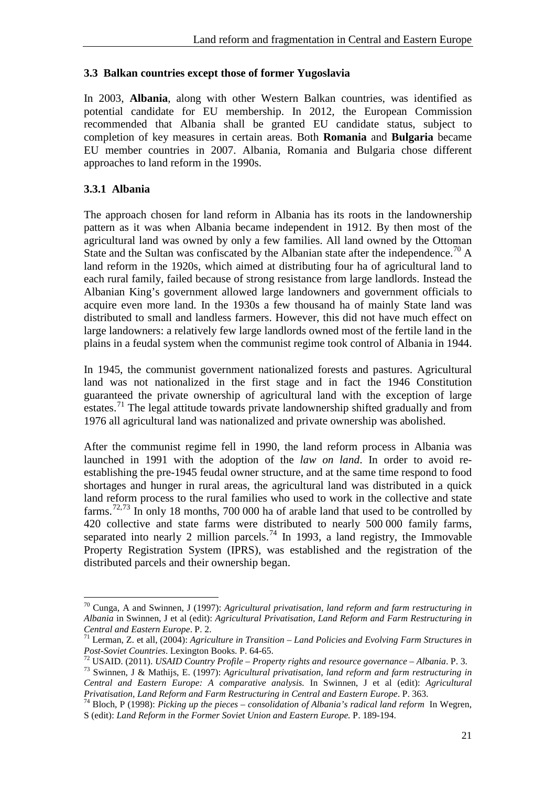#### <span id="page-26-0"></span>**3.3 Balkan countries except those of former Yugoslavia**

In 2003, **Albania**, along with other Western Balkan countries, was identified as potential candidate for EU membership. In 2012, the European Commission recommended that Albania shall be granted EU candidate status, subject to completion of key measures in certain areas. Both **Romania** and **Bulgaria** became EU member countries in 2007. Albania, Romania and Bulgaria chose different approaches to land reform in the 1990s.

#### <span id="page-26-1"></span>**3.3.1 Albania**

 $\overline{a}$ 

The approach chosen for land reform in Albania has its roots in the landownership pattern as it was when Albania became independent in 1912. By then most of the agricultural land was owned by only a few families. All land owned by the Ottoman State and the Sultan was confiscated by the Albanian state after the independence.<sup>70</sup> A land reform in the 1920s, which aimed at distributing four ha of agricultural land to each rural family, failed because of strong resistance from large landlords. Instead the Albanian King's government allowed large landowners and government officials to acquire even more land. In the 1930s a few thousand ha of mainly State land was distributed to small and landless farmers. However, this did not have much effect on large landowners: a relatively few large landlords owned most of the fertile land in the plains in a feudal system when the communist regime took control of Albania in 1944.

In 1945, the communist government nationalized forests and pastures. Agricultural land was not nationalized in the first stage and in fact the 1946 Constitution guaranteed the private ownership of agricultural land with the exception of large estates.<sup>[71](#page-26-3)</sup> The legal attitude towards private landownership shifted gradually and from 1976 all agricultural land was nationalized and private ownership was abolished.

After the communist regime fell in 1990, the land reform process in Albania was launched in 1991 with the adoption of the *law on land*. In order to avoid reestablishing the pre-1945 feudal owner structure, and at the same time respond to food shortages and hunger in rural areas, the agricultural land was distributed in a quick land reform process to the rural families who used to work in the collective and state farms.<sup>[72,](#page-26-4)[73](#page-26-5)</sup> In only 18 months, 700 000 ha of arable land that used to be controlled by 420 collective and state farms were distributed to nearly 500 000 family farms, separated into nearly 2 million parcels.<sup>[74](#page-26-6)</sup> In 1993, a land registry, the Immovable Property Registration System (IPRS), was established and the registration of the distributed parcels and their ownership began.

<span id="page-26-2"></span><sup>70</sup> Cunga, A and Swinnen, J (1997): *Agricultural privatisation, land reform and farm restructuring in Albania* in Swinnen, J et al (edit): *Agricultural Privatisation, Land Reform and Farm Restructuring in* 

<span id="page-26-3"></span>*CHERT ERSTERN ERSTERN ERSTERN EUROPERS 11* Lerman, Z. et all, (2004): *Agriculture in Transition – Land Policies and Evolving Farm Structures in Post-Soviet Countries.* Lexington Books. P. 64-65.

<span id="page-26-4"></span><sup>&</sup>lt;sup>72</sup> USAID. (2011). USAID Country Profile – Property rights and resource governance – Albania. P. 3.<br><sup>73</sup> Swinnen, J & Mathijs, E. (1997): Agricultural privatisation, land reform and farm restructuring in

<span id="page-26-5"></span>*Central and Eastern Europe: A comparative analysis.* In Swinnen, J et al (edit): *Agricultural* 

<span id="page-26-6"></span><sup>&</sup>lt;sup>74</sup> Bloch, P (1998): *Picking up the pieces – consolidation of Albania's radical land reform* In Wegren, S (edit): *Land Reform in the Former Soviet Union and Eastern Europe.* P. 189-194.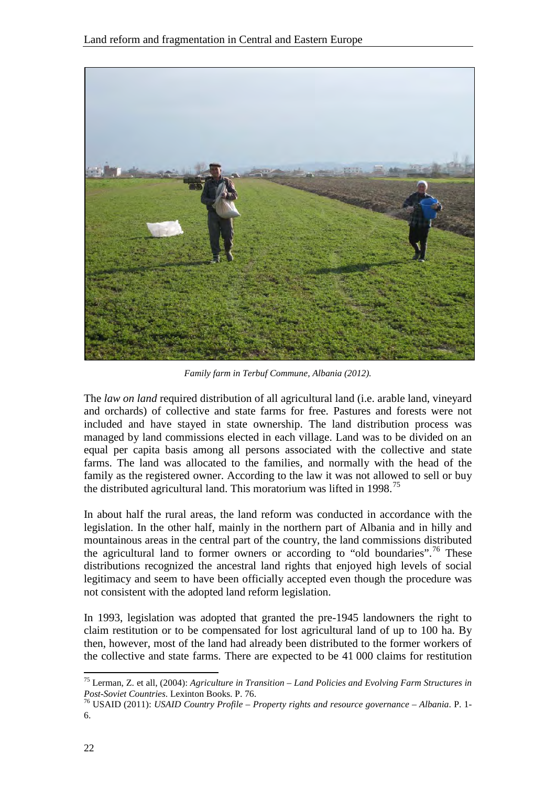

*Family farm in Terbuf Commune, Albania (2012).*

The *law on land* required distribution of all agricultural land (i.e. arable land, vineyard and orchards) of collective and state farms for free. Pastures and forests were not included and have stayed in state ownership. The land distribution process was managed by land commissions elected in each village. Land was to be divided on an equal per capita basis among all persons associated with the collective and state farms. The land was allocated to the families, and normally with the head of the family as the registered owner. According to the law it was not allowed to sell or buy the distributed agricultural land. This moratorium was lifted in 1998.<sup>75</sup>

In about half the rural areas, the land reform was conducted in accordance with the legislation. In the other half, mainly in the northern part of Albania and in hilly and mountainous areas in the central part of the country, the land commissions distributed the agricultural land to former owners or according to "old boundaries".<sup>[76](#page-27-1)</sup> These distributions recognized the ancestral land rights that enjoyed high levels of social legitimacy and seem to have been officially accepted even though the procedure was not consistent with the adopted land reform legislation.

In 1993, legislation was adopted that granted the pre-1945 landowners the right to claim restitution or to be compensated for lost agricultural land of up to 100 ha. By then, however, most of the land had already been distributed to the former workers of the collective and state farms. There are expected to be 41 000 claims for restitution

<span id="page-27-0"></span><sup>75</sup> Lerman, Z. et all, (2004): *Agriculture in Transition – Land Policies and Evolving Farm Structures in* 

<span id="page-27-1"></span><sup>&</sup>lt;sup>76</sup> USAID (2011): *USAID Country Profile – Property rights and resource governance – Albania*. P. 1-6.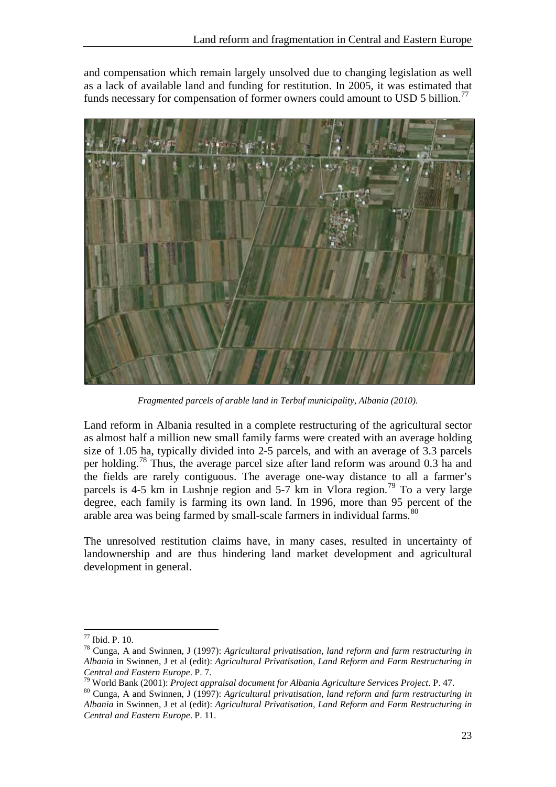and compensation which remain largely unsolved due to changing legislation as well as a lack of available land and funding for restitution. In 2005, it was estimated that funds necessary for compensation of former owners could amount to USD 5 billion.<sup>[77](#page-28-0)</sup>



*Fragmented parcels of arable land in Terbuf municipality, Albania (2010).*

Land reform in Albania resulted in a complete restructuring of the agricultural sector as almost half a million new small family farms were created with an average holding size of 1.05 ha, typically divided into 2-5 parcels, and with an average of 3.3 parcels per holding.<sup>[78](#page-28-1)</sup> Thus, the average parcel size after land reform was around 0.3 ha and the fields are rarely contiguous. The average one-way distance to all a farmer's parcels is 4-5 km in Lushnje region and 5-7 km in Vlora region.<sup>[79](#page-28-2)</sup> To a very large degree, each family is farming its own land. In 1996, more than 95 percent of the arable area was being farmed by small-scale farmers in individual farms.<sup>[80](#page-28-3)</sup>

The unresolved restitution claims have, in many cases, resulted in uncertainty of landownership and are thus hindering land market development and agricultural development in general.

<span id="page-28-1"></span><span id="page-28-0"></span><sup>77</sup> Ibid. P. 10. <sup>78</sup> Cunga, A and Swinnen, J (1997): *Agricultural privatisation, land reform and farm restructuring in Albania* in Swinnen, J et al (edit): *Agricultural Privatisation, Land Reform and Farm Restructuring in Central and Eastern Europe.* P. 7.<br><sup>79</sup> World Bark (2001): P. 7.

<span id="page-28-3"></span><span id="page-28-2"></span><sup>&</sup>lt;sup>79</sup> World Bank (2001): *Project appraisal document for Albania Agriculture Services Project.* P. 47.<br><sup>80</sup> Cunga, A and Swinnen, J (1997): *Agricultural privatisation, land reform and farm restructuring in Albania* in Swinnen, J et al (edit): *Agricultural Privatisation, Land Reform and Farm Restructuring in Central and Eastern Europe*. P. 11.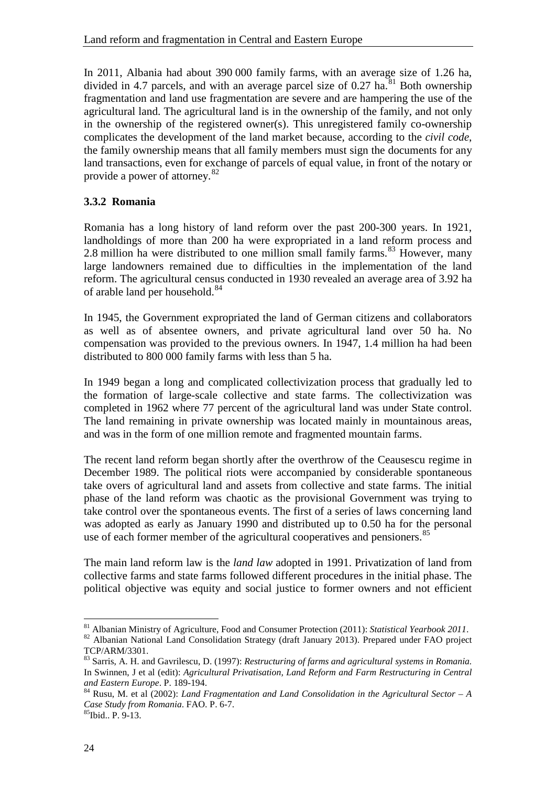In 2011, Albania had about 390 000 family farms, with an average size of 1.26 ha, divided in 4.7 parcels, and with an average parcel size of 0.27 ha.<sup>[81](#page-29-1)</sup> Both ownership fragmentation and land use fragmentation are severe and are hampering the use of the agricultural land. The agricultural land is in the ownership of the family, and not only in the ownership of the registered owner(s). This unregistered family co-ownership complicates the development of the land market because, according to the *civil code*, the family ownership means that all family members must sign the documents for any land transactions, even for exchange of parcels of equal value, in front of the notary or provide a power of attorney.[82](#page-29-2)

#### <span id="page-29-0"></span>**3.3.2 Romania**

Romania has a long history of land reform over the past 200-300 years. In 1921, landholdings of more than 200 ha were expropriated in a land reform process and 2.8 million ha were distributed to one million small family farms. $83$  However, many large landowners remained due to difficulties in the implementation of the land reform. The agricultural census conducted in 1930 revealed an average area of 3.92 ha of arable land per household.<sup>[84](#page-29-4)</sup>

In 1945, the Government expropriated the land of German citizens and collaborators as well as of absentee owners, and private agricultural land over 50 ha. No compensation was provided to the previous owners. In 1947, 1.4 million ha had been distributed to 800 000 family farms with less than 5 ha.

In 1949 began a long and complicated collectivization process that gradually led to the formation of large-scale collective and state farms. The collectivization was completed in 1962 where 77 percent of the agricultural land was under State control. The land remaining in private ownership was located mainly in mountainous areas, and was in the form of one million remote and fragmented mountain farms.

The recent land reform began shortly after the overthrow of the Ceausescu regime in December 1989. The political riots were accompanied by considerable spontaneous take overs of agricultural land and assets from collective and state farms. The initial phase of the land reform was chaotic as the provisional Government was trying to take control over the spontaneous events. The first of a series of laws concerning land was adopted as early as January 1990 and distributed up to 0.50 ha for the personal use of each former member of the agricultural cooperatives and pensioners.<sup>85</sup>

The main land reform law is the *land law* adopted in 1991. Privatization of land from collective farms and state farms followed different procedures in the initial phase. The political objective was equity and social justice to former owners and not efficient

<span id="page-29-1"></span><sup>81</sup> Albanian Ministry of Agriculture, Food and Consumer Protection (2011): *Statistical Yearbook <sup>2011</sup>*. 82 Albanian National Land Consolidation Strategy (draft January 2013). Prepared under FAO project

<span id="page-29-2"></span>TCP/ARM/3301.

<span id="page-29-3"></span><sup>83</sup> Sarris, A. H. and Gavrilescu, D. (1997): *Restructuring of farms and agricultural systems in Romania.* In Swinnen, J et al (edit): *Agricultural Privatisation, Land Reform and Farm Restructuring in Central*  and *Eastern Europe*. P. 189-194.<br><sup>84</sup> Rusu, M. et al (2002): *Land Fragmentation and Land Consolidation in the Agricultural Sector – A* 

<span id="page-29-4"></span>*Case Study from Romania*. FAO. P. 6-7. 85Ibid.. P. 9-13.

<span id="page-29-5"></span>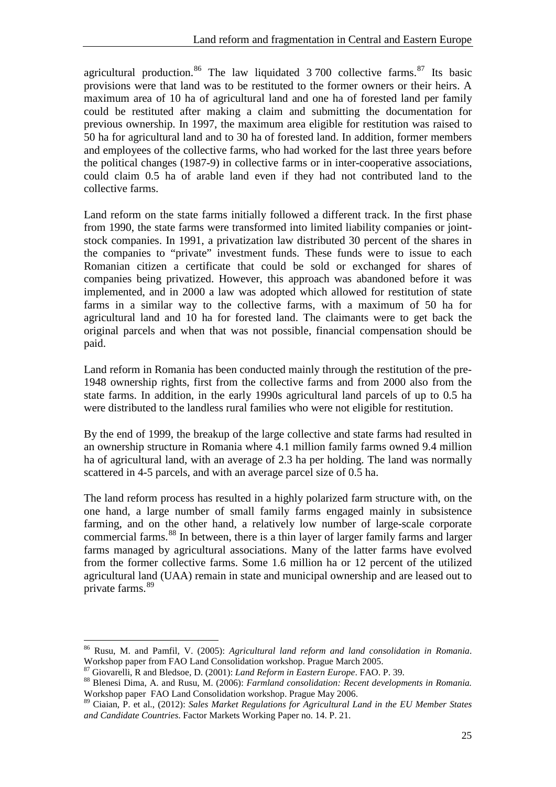agricultural production.<sup>[86](#page-30-0)</sup> The law liquidated  $3700$  collective farms.<sup>[87](#page-30-1)</sup> Its basic provisions were that land was to be restituted to the former owners or their heirs. A maximum area of 10 ha of agricultural land and one ha of forested land per family could be restituted after making a claim and submitting the documentation for previous ownership. In 1997, the maximum area eligible for restitution was raised to 50 ha for agricultural land and to 30 ha of forested land. In addition, former members and employees of the collective farms, who had worked for the last three years before the political changes (1987-9) in collective farms or in inter-cooperative associations, could claim 0.5 ha of arable land even if they had not contributed land to the collective farms.

Land reform on the state farms initially followed a different track. In the first phase from 1990, the state farms were transformed into limited liability companies or jointstock companies. In 1991, a privatization law distributed 30 percent of the shares in the companies to "private" investment funds. These funds were to issue to each Romanian citizen a certificate that could be sold or exchanged for shares of companies being privatized. However, this approach was abandoned before it was implemented, and in 2000 a law was adopted which allowed for restitution of state farms in a similar way to the collective farms, with a maximum of 50 ha for agricultural land and 10 ha for forested land. The claimants were to get back the original parcels and when that was not possible, financial compensation should be paid.

Land reform in Romania has been conducted mainly through the restitution of the pre-1948 ownership rights, first from the collective farms and from 2000 also from the state farms. In addition, in the early 1990s agricultural land parcels of up to 0.5 ha were distributed to the landless rural families who were not eligible for restitution.

By the end of 1999, the breakup of the large collective and state farms had resulted in an ownership structure in Romania where 4.1 million family farms owned 9.4 million ha of agricultural land, with an average of 2.3 ha per holding. The land was normally scattered in 4-5 parcels, and with an average parcel size of 0.5 ha.

The land reform process has resulted in a highly polarized farm structure with, on the one hand, a large number of small family farms engaged mainly in subsistence farming, and on the other hand, a relatively low number of large-scale corporate commercial farms.[88](#page-30-2) In between, there is a thin layer of larger family farms and larger farms managed by agricultural associations. Many of the latter farms have evolved from the former collective farms. Some 1.6 million ha or 12 percent of the utilized agricultural land (UAA) remain in state and municipal ownership and are leased out to private farms.<sup>[89](#page-30-3)</sup>

<span id="page-30-0"></span><sup>86</sup> Rusu, M. and Pamfil, V. (2005): *Agricultural land reform and land consolidation in Romania*. Workshop paper from FAO Land Consolidation workshop. Prague March 2005.<br><sup>87</sup> Giovarelli, R and Bledsoe, D. (2001): *Land Reform in Eastern Europe*. FAO. P. 39.

<span id="page-30-1"></span>

<span id="page-30-2"></span><sup>&</sup>lt;sup>88</sup> Blenesi Dima, A. and Rusu, M. (2006): *Farmland consolidation: Recent developments in Romania.* Workshop paper FAO Land Consolidation workshop. Prague May 2006.

<span id="page-30-3"></span><sup>89</sup> Ciaian, P. et al., (2012): *Sales Market Regulations for Agricultural Land in the EU Member States and Candidate Countries*. Factor Markets Working Paper no. 14. P. 21.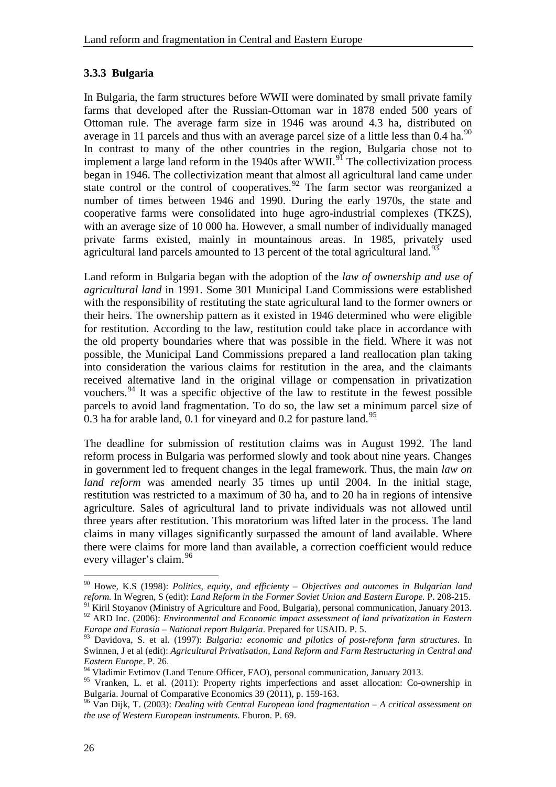#### <span id="page-31-0"></span>**3.3.3 Bulgaria**

In Bulgaria, the farm structures before WWII were dominated by small private family farms that developed after the Russian-Ottoman war in 1878 ended 500 years of Ottoman rule. The average farm size in 1946 was around 4.3 ha, distributed on average in 11 parcels and thus with an average parcel size of a little less than  $0.4$  ha.<sup>[90](#page-31-1)</sup> In contrast to many of the other countries in the region, Bulgaria chose not to implement a large land reform in the 1940s after  $WWII$ .<sup>[91](#page-31-2)</sup> The collectivization process began in 1946. The collectivization meant that almost all agricultural land came under state control or the control of cooperatives.  $92$  The farm sector was reorganized a number of times between 1946 and 1990. During the early 1970s, the state and cooperative farms were consolidated into huge agro-industrial complexes (TKZS), with an average size of 10 000 ha. However, a small number of individually managed private farms existed, mainly in mountainous areas. In 1985, privately used agricultural land parcels amounted to 13 percent of the total agricultural land.<sup>[93](#page-31-4)</sup>

Land reform in Bulgaria began with the adoption of the *law of ownership and use of agricultural land* in 1991. Some 301 Municipal Land Commissions were established with the responsibility of restituting the state agricultural land to the former owners or their heirs. The ownership pattern as it existed in 1946 determined who were eligible for restitution. According to the law, restitution could take place in accordance with the old property boundaries where that was possible in the field. Where it was not possible, the Municipal Land Commissions prepared a land reallocation plan taking into consideration the various claims for restitution in the area, and the claimants received alternative land in the original village or compensation in privatization vouchers.<sup>[94](#page-31-5)</sup> It was a specific objective of the law to restitute in the fewest possible parcels to avoid land fragmentation. To do so, the law set a minimum parcel size of 0.3 ha for arable land, 0.1 for vineyard and 0.2 for pasture land.<sup>[95](#page-31-6)</sup>

The deadline for submission of restitution claims was in August 1992. The land reform process in Bulgaria was performed slowly and took about nine years. Changes in government led to frequent changes in the legal framework. Thus, the main *law on land reform* was amended nearly 35 times up until 2004. In the initial stage, restitution was restricted to a maximum of 30 ha, and to 20 ha in regions of intensive agriculture. Sales of agricultural land to private individuals was not allowed until three years after restitution. This moratorium was lifted later in the process. The land claims in many villages significantly surpassed the amount of land available. Where there were claims for more land than available, a correction coefficient would reduce every villager's claim.<sup>[96](#page-31-7)</sup>

<span id="page-31-1"></span><sup>&</sup>lt;sup>90</sup> Howe, K.S (1998): *Politics, equity, and efficienty – Objectives and outcomes in Bulgarian land reform. In Wegren, S (edit): Land Reform in the Former Soviet Union and Eastern Europe. P. 208-215.* 

<span id="page-31-3"></span><span id="page-31-2"></span><sup>&</sup>lt;sup>91</sup> Kiril Stoyanov (Ministry of Agriculture and Food, Bulgaria), personal communication, January 2013.<br><sup>92</sup> ARD Inc. (2006): *Environmental and Economic impact assessment of land privatization in Eastern Europe and Eurasia – National report Bulgaria*. Prepared for USAID. P. 5.

<span id="page-31-4"></span><sup>93</sup> Davidova, S. et al. (1997): *Bulgaria: economic and pilotics of post-reform farm structures*. In Swinnen, J et al (edit): *Agricultural Privatisation, Land Reform and Farm Restructuring in Central and Eastern Europe.* P. 26.<br><sup>94</sup> Vladimir Evtimov (Land Tenure Officer, FAO), personal communication, January 2013.

<span id="page-31-5"></span>

<span id="page-31-6"></span><sup>&</sup>lt;sup>95</sup> Vranken, L. et al. (2011): Property rights imperfections and asset allocation: Co-ownership in Bulgaria. Journal of Comparative Economics 39 (2011), p. 159-163.

<span id="page-31-7"></span> $^{96}$  Van Dijk, T. (2003): *Dealing with Central European land fragmentation – A critical assessment on the use of Western European instruments*. Eburon. P. 69.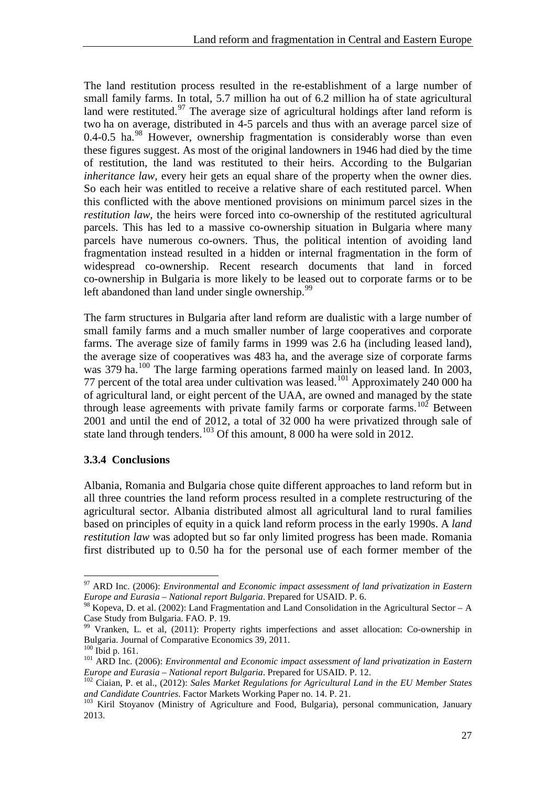The land restitution process resulted in the re-establishment of a large number of small family farms. In total, 5.7 million ha out of 6.2 million ha of state agricultural land were restituted.<sup>[97](#page-32-1)</sup> The average size of agricultural holdings after land reform is two ha on average, distributed in 4-5 parcels and thus with an average parcel size of  $0.4$ -0.5 ha. $^{98}$  However, ownership fragmentation is considerably worse than even these figures suggest. As most of the original landowners in 1946 had died by the time of restitution, the land was restituted to their heirs. According to the Bulgarian *inheritance law*, every heir gets an equal share of the property when the owner dies. So each heir was entitled to receive a relative share of each restituted parcel. When this conflicted with the above mentioned provisions on minimum parcel sizes in the *restitution law*, the heirs were forced into co-ownership of the restituted agricultural parcels. This has led to a massive co-ownership situation in Bulgaria where many parcels have numerous co-owners. Thus, the political intention of avoiding land fragmentation instead resulted in a hidden or internal fragmentation in the form of widespread co-ownership. Recent research documents that land in forced co-ownership in Bulgaria is more likely to be leased out to corporate farms or to be left abandoned than land under single ownership. $99$ 

The farm structures in Bulgaria after land reform are dualistic with a large number of small family farms and a much smaller number of large cooperatives and corporate farms. The average size of family farms in 1999 was 2.6 ha (including leased land), the average size of cooperatives was 483 ha, and the average size of corporate farms was 379 ha.<sup>[100](#page-32-4)</sup> The large farming operations farmed mainly on leased land. In 2003, 77 percent of the total area under cultivation was leased.<sup>101</sup> Approximately 240 000 ha of agricultural land, or eight percent of the UAA, are owned and managed by the state through lease agreements with private family farms or corporate farms.<sup>[102](#page-32-6)</sup> Between 2001 and until the end of 2012, a total of 32 000 ha were privatized through sale of state land through tenders.<sup>[103](#page-32-7)</sup> Of this amount, 8 000 ha were sold in 2012.

#### <span id="page-32-0"></span>**3.3.4 Conclusions**

Albania, Romania and Bulgaria chose quite different approaches to land reform but in all three countries the land reform process resulted in a complete restructuring of the agricultural sector. Albania distributed almost all agricultural land to rural families based on principles of equity in a quick land reform process in the early 1990s. A *land restitution law* was adopted but so far only limited progress has been made. Romania first distributed up to 0.50 ha for the personal use of each former member of the

<span id="page-32-1"></span><sup>97</sup> ARD Inc. (2006): *Environmental and Economic impact assessment of land privatization in Eastern Europe and Eurasia – National report Bulgaria*. Prepared for USAID. P. 6.

<span id="page-32-2"></span><sup>&</sup>lt;sup>98</sup> Kopeva, D. et al. (2002): Land Fragmentation and Land Consolidation in the Agricultural Sector – A Case Study from Bulgaria. FAO. P. 19.

<span id="page-32-3"></span><sup>&</sup>lt;sup>99</sup> Vranken, L. et al, (2011): Property rights imperfections and asset allocation: Co-ownership in Bulgaria. Journal of Comparative Economics 39, 2011.

<span id="page-32-4"></span><sup>&</sup>lt;sup>101</sup> ARD Inc. (2006): *Environmental and Economic impact assessment of land privatization in Eastern* 

<span id="page-32-6"></span><span id="page-32-5"></span>*Europe and Eurasia – National report Bulgaria.* Prepared for USAID. P. 12.<br><sup>102</sup> Ciaian, P. et al., (2012): *Sales Market Regulations for Agricultural Land in the EU Member States and Candidate Countries. Factor Markets W* 

<span id="page-32-7"></span><sup>&</sup>lt;sup>103</sup> Kiril Stoyanov (Ministry of Agriculture and Food, Bulgaria), personal communication, January 2013.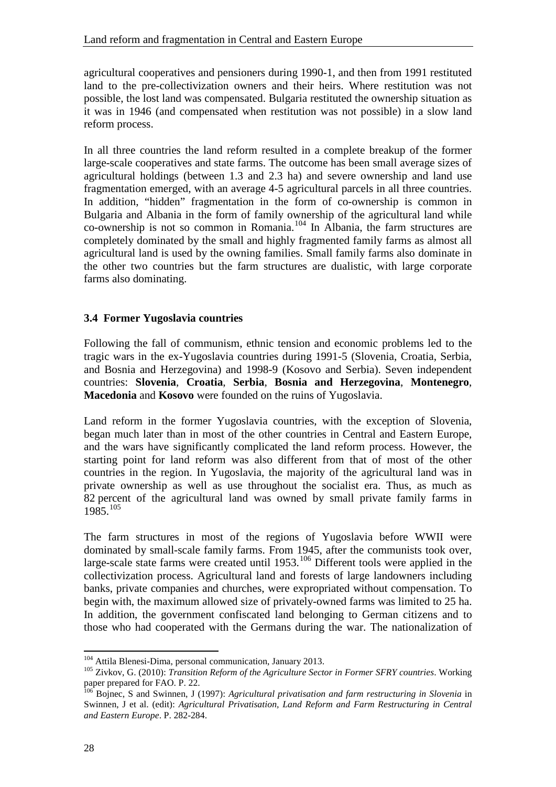agricultural cooperatives and pensioners during 1990-1, and then from 1991 restituted land to the pre-collectivization owners and their heirs. Where restitution was not possible, the lost land was compensated. Bulgaria restituted the ownership situation as it was in 1946 (and compensated when restitution was not possible) in a slow land reform process.

In all three countries the land reform resulted in a complete breakup of the former large-scale cooperatives and state farms. The outcome has been small average sizes of agricultural holdings (between 1.3 and 2.3 ha) and severe ownership and land use fragmentation emerged, with an average 4-5 agricultural parcels in all three countries. In addition, "hidden" fragmentation in the form of co-ownership is common in Bulgaria and Albania in the form of family ownership of the agricultural land while co-ownership is not so common in Romania.[104](#page-33-1) In Albania, the farm structures are completely dominated by the small and highly fragmented family farms as almost all agricultural land is used by the owning families. Small family farms also dominate in the other two countries but the farm structures are dualistic, with large corporate farms also dominating.

#### <span id="page-33-0"></span>**3.4 Former Yugoslavia countries**

Following the fall of communism, ethnic tension and economic problems led to the tragic wars in the ex-Yugoslavia countries during 1991-5 (Slovenia, Croatia, Serbia, and Bosnia and Herzegovina) and 1998-9 (Kosovo and Serbia). Seven independent countries: **Slovenia**, **Croatia**, **Serbia**, **Bosnia and Herzegovina**, **Montenegro**, **Macedonia** and **Kosovo** were founded on the ruins of Yugoslavia.

Land reform in the former Yugoslavia countries, with the exception of Slovenia, began much later than in most of the other countries in Central and Eastern Europe, and the wars have significantly complicated the land reform process. However, the starting point for land reform was also different from that of most of the other countries in the region. In Yugoslavia, the majority of the agricultural land was in private ownership as well as use throughout the socialist era. Thus, as much as 82 percent of the agricultural land was owned by small private family farms in  $1985^{105}$  $1985^{105}$  $1985^{105}$ 

The farm structures in most of the regions of Yugoslavia before WWII were dominated by small-scale family farms. From 1945, after the communists took over, large-scale state farms were created until  $1953$ .<sup>[106](#page-33-3)</sup> Different tools were applied in the collectivization process. Agricultural land and forests of large landowners including banks, private companies and churches, were expropriated without compensation. To begin with, the maximum allowed size of privately-owned farms was limited to 25 ha. In addition, the government confiscated land belonging to German citizens and to those who had cooperated with the Germans during the war. The nationalization of

<span id="page-33-1"></span><sup>&</sup>lt;sup>104</sup> Attila Blenesi-Dima, personal communication, January 2013.

<span id="page-33-2"></span><sup>105</sup> Zivkov, G. (2010): *Transition Reform of the Agriculture Sector in Former SFRY countries*. Working paper prepared for FAO. P. 22.

<span id="page-33-3"></span><sup>&</sup>lt;sup>106</sup> Bojnec, S and Swinnen, J (1997): *Agricultural privatisation and farm restructuring in Slovenia* in Swinnen, J et al. (edit): *Agricultural Privatisation, Land Reform and Farm Restructuring in Central and Eastern Europe*. P. 282-284.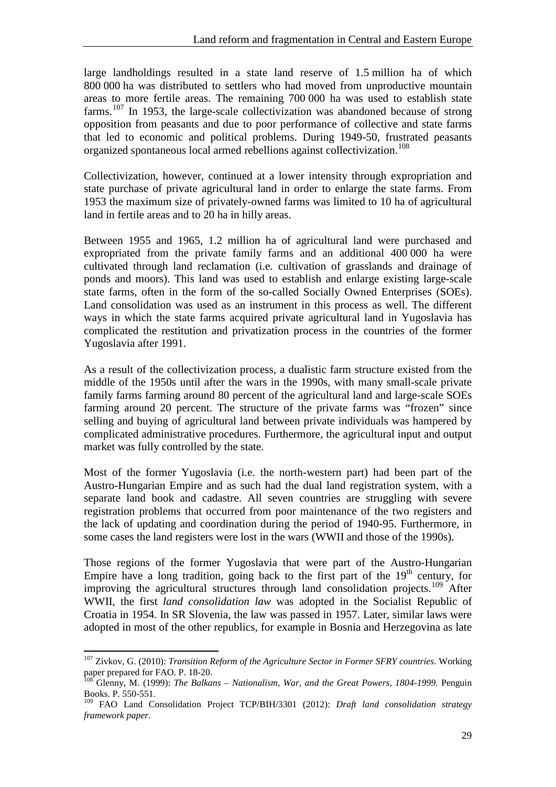large landholdings resulted in a state land reserve of 1.5 million ha of which 800 000 ha was distributed to settlers who had moved from unproductive mountain areas to more fertile areas. The remaining 700 000 ha was used to establish state farms.<sup>[107](#page-34-0)</sup> In 1953, the large-scale collectivization was abandoned because of strong opposition from peasants and due to poor performance of collective and state farms that led to economic and political problems. During 1949-50, frustrated peasants organized spontaneous local armed rebellions against collectivization.<sup>[108](#page-34-1)</sup>

Collectivization, however, continued at a lower intensity through expropriation and state purchase of private agricultural land in order to enlarge the state farms. From 1953 the maximum size of privately-owned farms was limited to 10 ha of agricultural land in fertile areas and to 20 ha in hilly areas.

Between 1955 and 1965, 1.2 million ha of agricultural land were purchased and expropriated from the private family farms and an additional 400 000 ha were cultivated through land reclamation (i.e. cultivation of grasslands and drainage of ponds and moors). This land was used to establish and enlarge existing large-scale state farms, often in the form of the so-called Socially Owned Enterprises (SOEs). Land consolidation was used as an instrument in this process as well. The different ways in which the state farms acquired private agricultural land in Yugoslavia has complicated the restitution and privatization process in the countries of the former Yugoslavia after 1991.

As a result of the collectivization process, a dualistic farm structure existed from the middle of the 1950s until after the wars in the 1990s, with many small-scale private family farms farming around 80 percent of the agricultural land and large-scale SOEs farming around 20 percent. The structure of the private farms was "frozen" since selling and buying of agricultural land between private individuals was hampered by complicated administrative procedures. Furthermore, the agricultural input and output market was fully controlled by the state.

Most of the former Yugoslavia (i.e. the north-western part) had been part of the Austro-Hungarian Empire and as such had the dual land registration system, with a separate land book and cadastre. All seven countries are struggling with severe registration problems that occurred from poor maintenance of the two registers and the lack of updating and coordination during the period of 1940-95. Furthermore, in some cases the land registers were lost in the wars (WWII and those of the 1990s).

Those regions of the former Yugoslavia that were part of the Austro-Hungarian Empire have a long tradition, going back to the first part of the  $19<sup>th</sup>$  century, for improving the agricultural structures through land consolidation projects.<sup>[109](#page-34-2)</sup> After WWII, the first *land consolidation law* was adopted in the Socialist Republic of Croatia in 1954. In SR Slovenia, the law was passed in 1957. Later, similar laws were adopted in most of the other republics, for example in Bosnia and Herzegovina as late

<span id="page-34-0"></span><sup>107</sup> Zivkov, G. (2010): *Transition Reform of the Agriculture Sector in Former SFRY countries*. Working paper prepared for FAO. P. 18-20.

<span id="page-34-1"></span><sup>108</sup> Glenny, M. (1999): *The Balkans – Nationalism, War, and the Great Powers, 1804-1999.* Penguin Books. P. 550-551.

<span id="page-34-2"></span><sup>109</sup> FAO Land Consolidation Project TCP/BIH/3301 (2012): *Draft land consolidation strategy framework paper*.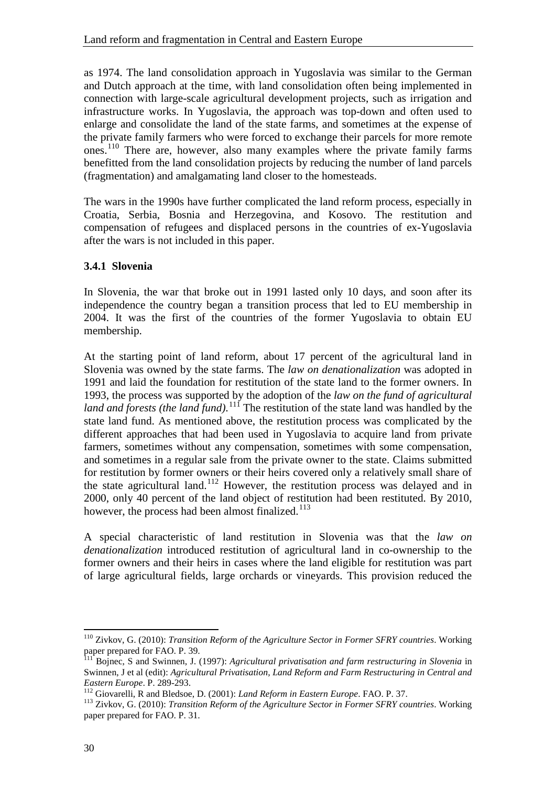as 1974. The land consolidation approach in Yugoslavia was similar to the German and Dutch approach at the time, with land consolidation often being implemented in connection with large-scale agricultural development projects, such as irrigation and infrastructure works. In Yugoslavia, the approach was top-down and often used to enlarge and consolidate the land of the state farms, and sometimes at the expense of the private family farmers who were forced to exchange their parcels for more remote ones.[110](#page-35-1) There are, however, also many examples where the private family farms benefitted from the land consolidation projects by reducing the number of land parcels (fragmentation) and amalgamating land closer to the homesteads.

The wars in the 1990s have further complicated the land reform process, especially in Croatia, Serbia, Bosnia and Herzegovina, and Kosovo. The restitution and compensation of refugees and displaced persons in the countries of ex-Yugoslavia after the wars is not included in this paper.

#### <span id="page-35-0"></span>**3.4.1 Slovenia**

In Slovenia, the war that broke out in 1991 lasted only 10 days, and soon after its independence the country began a transition process that led to EU membership in 2004. It was the first of the countries of the former Yugoslavia to obtain EU membership.

At the starting point of land reform, about 17 percent of the agricultural land in Slovenia was owned by the state farms. The *law on denationalization* was adopted in 1991 and laid the foundation for restitution of the state land to the former owners. In 1993, the process was supported by the adoption of the *law on the fund of agricultural*  land and forests (the land fund).<sup>111</sup> The restitution of the state land was handled by the state land fund. As mentioned above, the restitution process was complicated by the different approaches that had been used in Yugoslavia to acquire land from private farmers, sometimes without any compensation, sometimes with some compensation, and sometimes in a regular sale from the private owner to the state. Claims submitted for restitution by former owners or their heirs covered only a relatively small share of the state agricultural land.[112](#page-35-3) However, the restitution process was delayed and in 2000, only 40 percent of the land object of restitution had been restituted. By 2010, however, the process had been almost finalized. $113$ 

A special characteristic of land restitution in Slovenia was that the *law on denationalization* introduced restitution of agricultural land in co-ownership to the former owners and their heirs in cases where the land eligible for restitution was part of large agricultural fields, large orchards or vineyards. This provision reduced the

<span id="page-35-1"></span><sup>110</sup> Zivkov, G. (2010): *Transition Reform of the Agriculture Sector in Former SFRY countries*. Working paper prepared for FAO. P. 39.

<span id="page-35-2"></span><sup>111</sup> Bojnec, S and Swinnen, J. (1997): *Agricultural privatisation and farm restructuring in Slovenia* in Swinnen, J et al (edit): *Agricultural Privatisation, Land Reform and Farm Restructuring in Central and*  Eastern Europe. P. 289-293.<br>
<sup>112</sup> Giovarelli, R and Bledsoe, D. (2001): *Land Reform in Eastern Europe*. FAO. P. 37.<br>
<sup>113</sup> Zivkov, G. (2010): *Transition Reform of the Agriculture Sector in Former SFRY countries*. Workin

<span id="page-35-3"></span>

<span id="page-35-4"></span>paper prepared for FAO. P. 31.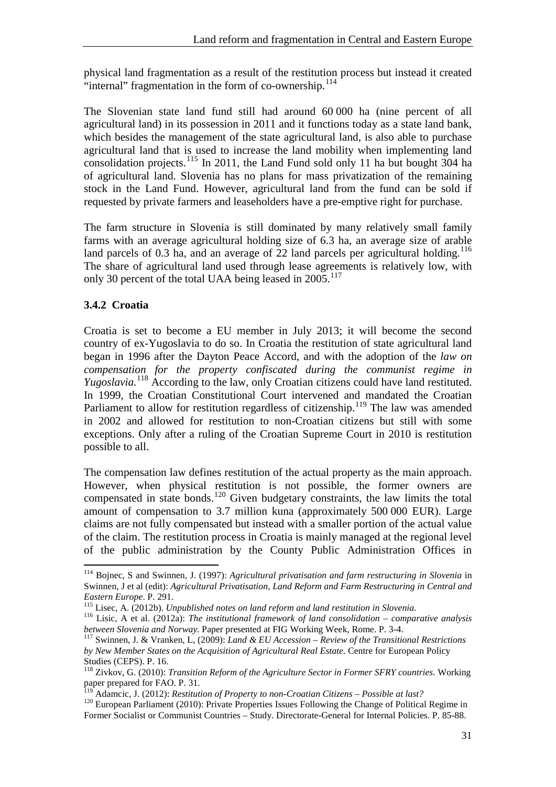physical land fragmentation as a result of the restitution process but instead it created "internal" fragmentation in the form of co-ownership.<sup>[114](#page-36-1)</sup>

The Slovenian state land fund still had around 60 000 ha (nine percent of all agricultural land) in its possession in 2011 and it functions today as a state land bank, which besides the management of the state agricultural land, is also able to purchase agricultural land that is used to increase the land mobility when implementing land consolidation projects.<sup>[115](#page-36-2)</sup> In 2011, the Land Fund sold only 11 ha but bought  $304$  ha of agricultural land. Slovenia has no plans for mass privatization of the remaining stock in the Land Fund. However, agricultural land from the fund can be sold if requested by private farmers and leaseholders have a pre-emptive right for purchase.

The farm structure in Slovenia is still dominated by many relatively small family farms with an average agricultural holding size of 6.3 ha, an average size of arable land parcels of 0.3 ha, and an average of  $22$  land parcels per agricultural holding.<sup>[116](#page-36-3)</sup> The share of agricultural land used through lease agreements is relatively low, with only 30 percent of the total UAA being leased in 2005.<sup>[117](#page-36-4)</sup>

#### <span id="page-36-0"></span>**3.4.2 Croatia**

 $\overline{a}$ 

Croatia is set to become a EU member in July 2013; it will become the second country of ex-Yugoslavia to do so. In Croatia the restitution of state agricultural land began in 1996 after the Dayton Peace Accord, and with the adoption of the *law on compensation for the property confiscated during the communist regime in Yugoslavia.*[118](#page-36-5) According to the law, only Croatian citizens could have land restituted. In 1999, the Croatian Constitutional Court intervened and mandated the Croatian Parliament to allow for restitution regardless of citizenship.<sup>[119](#page-36-6)</sup> The law was amended in 2002 and allowed for restitution to non-Croatian citizens but still with some exceptions. Only after a ruling of the Croatian Supreme Court in 2010 is restitution possible to all.

The compensation law defines restitution of the actual property as the main approach. However, when physical restitution is not possible, the former owners are compensated in state bonds.<sup>[120](#page-36-7)</sup> Given budgetary constraints, the law limits the total amount of compensation to 3.7 million kuna (approximately 500 000 EUR). Large claims are not fully compensated but instead with a smaller portion of the actual value of the claim. The restitution process in Croatia is mainly managed at the regional level of the public administration by the County Public Administration Offices in

<span id="page-36-1"></span><sup>&</sup>lt;sup>114</sup> Bojnec, S and Swinnen, J. (1997): *Agricultural privatisation and farm restructuring in Slovenia* in Swinnen, J et al (edit): *Agricultural Privatisation, Land Reform and Farm Restructuring in Central and Eastern Europe*. P. 291.<br><sup>115</sup> Lisec, A. (2012b). *Unpublished notes on land reform and land restitution in Slovenia.* 

<span id="page-36-2"></span>

<span id="page-36-3"></span><sup>&</sup>lt;sup>116</sup> Lisic, A. et al. (2012a): *The institutional framework of land consolidation – comparative analysis between Slovenia and Norway*. Paper presented at FIG Working Week, Rome. P. 3-4.

<span id="page-36-4"></span><sup>&</sup>lt;sup>117</sup> Swinnen, J. & Vranken, L, (2009): *Land & EU Accession – Review of the Transitional Restrictions by New Member States on the Acquisition of Agricultural Real Estate*. Centre for European Policy Studies (CEPS). P. 16.

<span id="page-36-5"></span><sup>118</sup> Zivkov, G. (2010): *Transition Reform of the Agriculture Sector in Former SFRY countries*. Working paper prepared for FAO. P. 31.<br><sup>119</sup> Adamcic, J. (2012): Restitution of Property to non-Croatian Citizens – Possible at last?

<span id="page-36-7"></span><span id="page-36-6"></span><sup>&</sup>lt;sup>120</sup> European Parliament (2010): Private Properties Issues Following the Change of Political Regime in Former Socialist or Communist Countries – Study. Directorate-General for Internal Policies. P. 85-88.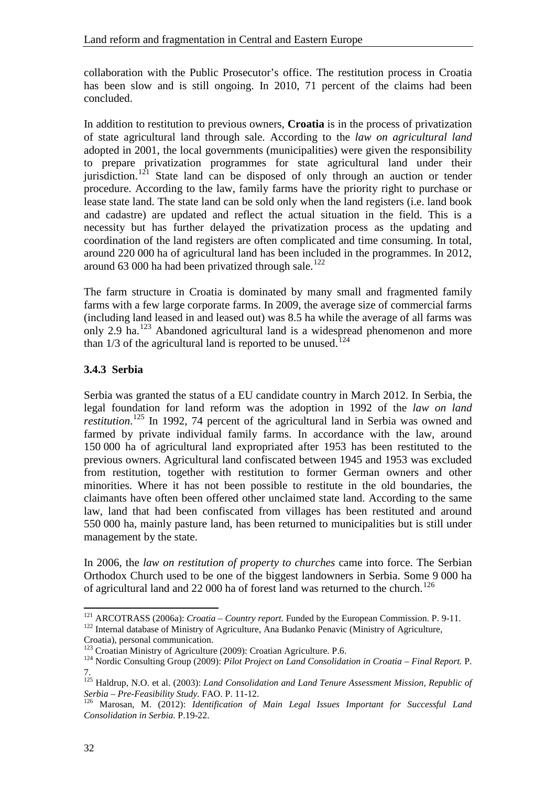collaboration with the Public Prosecutor's office. The restitution process in Croatia has been slow and is still ongoing. In 2010, 71 percent of the claims had been concluded.

In addition to restitution to previous owners, **Croatia** is in the process of privatization of state agricultural land through sale. According to the *law on agricultural land* adopted in 2001, the local governments (municipalities) were given the responsibility to prepare privatization programmes for state agricultural land under their jurisdiction.<sup>[121](#page-37-1)</sup> State land can be disposed of only through an auction or tender procedure. According to the law, family farms have the priority right to purchase or lease state land. The state land can be sold only when the land registers (i.e. land book and cadastre) are updated and reflect the actual situation in the field. This is a necessity but has further delayed the privatization process as the updating and coordination of the land registers are often complicated and time consuming. In total, around 220 000 ha of agricultural land has been included in the programmes. In 2012, around 63 000 ha had been privatized through sale.<sup>[122](#page-37-2)</sup>

The farm structure in Croatia is dominated by many small and fragmented family farms with a few large corporate farms. In 2009, the average size of commercial farms (including land leased in and leased out) was 8.5 ha while the average of all farms was only 2.9 ha.<sup>[123](#page-37-3)</sup> Abandoned agricultural land is a widespread phenomenon and more than  $1/3$  of the agricultural land is reported to be unused.<sup>[124](#page-37-4)</sup>

#### <span id="page-37-0"></span>**3.4.3 Serbia**

Serbia was granted the status of a EU candidate country in March 2012. In Serbia, the legal foundation for land reform was the adoption in 1992 of the *law on land restitution*. [125](#page-37-5) In 1992, 74 percent of the agricultural land in Serbia was owned and farmed by private individual family farms. In accordance with the law, around 150 000 ha of agricultural land expropriated after 1953 has been restituted to the previous owners. Agricultural land confiscated between 1945 and 1953 was excluded from restitution, together with restitution to former German owners and other minorities. Where it has not been possible to restitute in the old boundaries, the claimants have often been offered other unclaimed state land. According to the same law, land that had been confiscated from villages has been restituted and around 550 000 ha, mainly pasture land, has been returned to municipalities but is still under management by the state.

In 2006, the *law on restitution of property to churches* came into force. The Serbian Orthodox Church used to be one of the biggest landowners in Serbia. Some 9 000 ha of agricultural land and 22 000 ha of forest land was returned to the church.<sup>[126](#page-37-6)</sup>

<span id="page-37-3"></span><span id="page-37-2"></span>Croatia), personal communication.<br><sup>123</sup> Croatian Ministry of Agriculture (2009): Croatian Agriculture. P.6.

<span id="page-37-1"></span><sup>&</sup>lt;sup>121</sup> ARCOTRASS (2006a): *Croatia – Country report*. Funded by the European Commission. P. 9-11.<br><sup>122</sup> Internal database of Ministry of Agriculture, Ana Budanko Penavic (Ministry of Agriculture,

<span id="page-37-4"></span><sup>&</sup>lt;sup>124</sup> Nordic Consulting Group (2009): *Pilot Project on Land Consolidation in Croatia – Final Report.* P. 7.

<span id="page-37-5"></span><sup>125</sup> Haldrup, N.O. et al. (2003): *Land Consolidation and Land Tenure Assessment Mission, Republic of Serbia – Pre-Feasibility Study.* FAO. P. 11-12. <sup>126</sup> Marosan, M. (2012): *Identification of Main Legal Issues Important for Successful Land* 

<span id="page-37-6"></span>*Consolidation in Serbia.* P.19-22.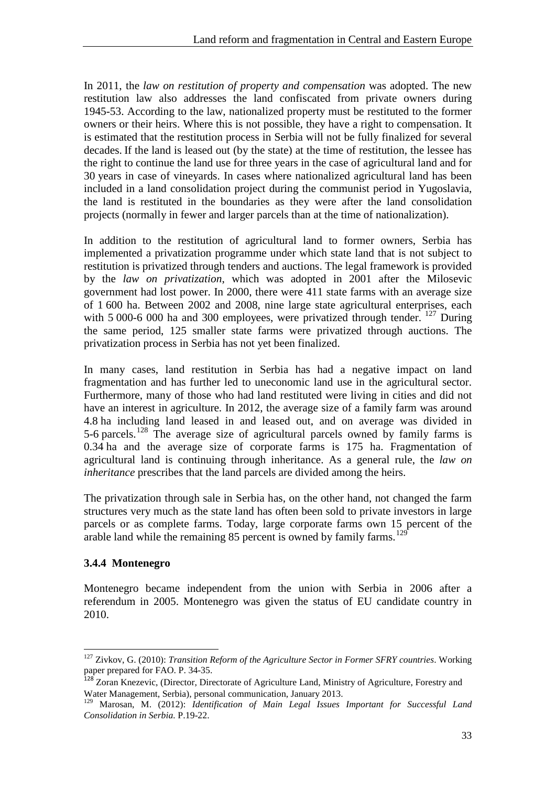In 2011, the *law on restitution of property and compensation* was adopted. The new restitution law also addresses the land confiscated from private owners during 1945-53. According to the law, nationalized property must be restituted to the former owners or their heirs. Where this is not possible, they have a right to compensation. It is estimated that the restitution process in Serbia will not be fully finalized for several decades. If the land is leased out (by the state) at the time of restitution, the lessee has the right to continue the land use for three years in the case of agricultural land and for 30 years in case of vineyards. In cases where nationalized agricultural land has been included in a land consolidation project during the communist period in Yugoslavia, the land is restituted in the boundaries as they were after the land consolidation projects (normally in fewer and larger parcels than at the time of nationalization).

In addition to the restitution of agricultural land to former owners, Serbia has implemented a privatization programme under which state land that is not subject to restitution is privatized through tenders and auctions. The legal framework is provided by the *law on privatization*, which was adopted in 2001 after the Milosevic government had lost power. In 2000, there were 411 state farms with an average size of 1 600 ha. Between 2002 and 2008, nine large state agricultural enterprises, each with 5 000-6 000 ha and 300 employees, were privatized through tender. <sup>[127](#page-38-1)</sup> During the same period, 125 smaller state farms were privatized through auctions. The privatization process in Serbia has not yet been finalized.

In many cases, land restitution in Serbia has had a negative impact on land fragmentation and has further led to uneconomic land use in the agricultural sector. Furthermore, many of those who had land restituted were living in cities and did not have an interest in agriculture. In 2012, the average size of a family farm was around 4.8 ha including land leased in and leased out, and on average was divided in 5-6 parcels.<sup>[128](#page-38-2)</sup> The average size of agricultural parcels owned by family farms is 0.34 ha and the average size of corporate farms is 175 ha. Fragmentation of agricultural land is continuing through inheritance. As a general rule, the *law on inheritance* prescribes that the land parcels are divided among the heirs.

The privatization through sale in Serbia has, on the other hand, not changed the farm structures very much as the state land has often been sold to private investors in large parcels or as complete farms. Today, large corporate farms own 15 percent of the arable land while the remaining 85 percent is owned by family farms.<sup>[129](#page-38-3)</sup>

#### <span id="page-38-0"></span>**3.4.4 Montenegro**

 $\overline{a}$ 

Montenegro became independent from the union with Serbia in 2006 after a referendum in 2005. Montenegro was given the status of EU candidate country in 2010.

<span id="page-38-1"></span><sup>127</sup> Zivkov, G. (2010): *Transition Reform of the Agriculture Sector in Former SFRY countries*. Working paper prepared for FAO. P. 34-35.

<span id="page-38-2"></span><sup>&</sup>lt;sup>128</sup> Zoran Knezevic, (Director, Directorate of Agriculture Land, Ministry of Agriculture, Forestry and Water Management, Serbia), personal communication, January 2013.

<span id="page-38-3"></span><sup>129</sup> Marosan, M. (2012): *Identification of Main Legal Issues Important for Successful Land Consolidation in Serbia.* P.19-22.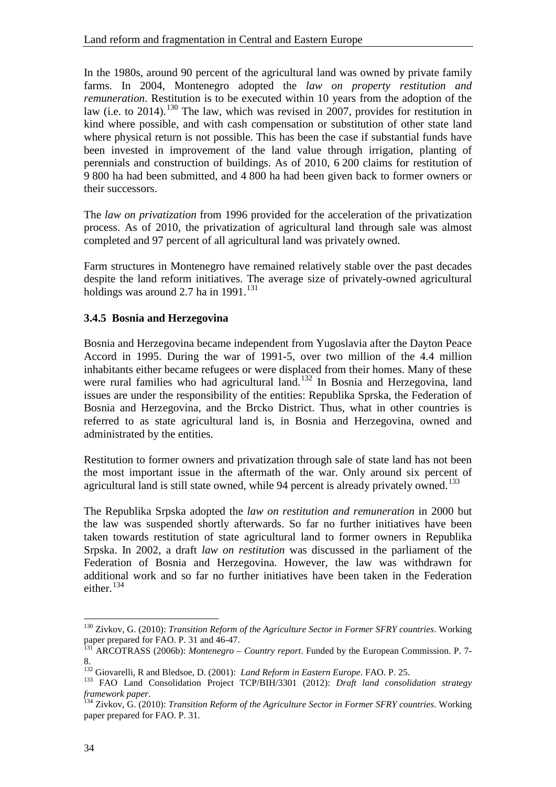In the 1980s, around 90 percent of the agricultural land was owned by private family farms. In 2004, Montenegro adopted the *law on property restitution and remuneration*. Restitution is to be executed within 10 years from the adoption of the law (i.e. to 2014).<sup>[130](#page-39-1)</sup> The law, which was revised in 2007, provides for restitution in kind where possible, and with cash compensation or substitution of other state land where physical return is not possible. This has been the case if substantial funds have been invested in improvement of the land value through irrigation, planting of perennials and construction of buildings. As of 2010, 6 200 claims for restitution of 9 800 ha had been submitted, and 4 800 ha had been given back to former owners or their successors.

The *law on privatization* from 1996 provided for the acceleration of the privatization process. As of 2010, the privatization of agricultural land through sale was almost completed and 97 percent of all agricultural land was privately owned.

Farm structures in Montenegro have remained relatively stable over the past decades despite the land reform initiatives. The average size of privately-owned agricultural holdings was around 2.7 ha in  $1991$ .<sup>131</sup>

#### <span id="page-39-0"></span>**3.4.5 Bosnia and Herzegovina**

Bosnia and Herzegovina became independent from Yugoslavia after the Dayton Peace Accord in 1995. During the war of 1991-5, over two million of the 4.4 million inhabitants either became refugees or were displaced from their homes. Many of these were rural families who had agricultural land.<sup>132</sup> In Bosnia and Herzegovina, land issues are under the responsibility of the entities: Republika Sprska, the Federation of Bosnia and Herzegovina, and the Brcko District. Thus, what in other countries is referred to as state agricultural land is, in Bosnia and Herzegovina, owned and administrated by the entities.

Restitution to former owners and privatization through sale of state land has not been the most important issue in the aftermath of the war. Only around six percent of agricultural land is still state owned, while 94 percent is already privately owned.<sup>[133](#page-39-4)</sup>

The Republika Srpska adopted the *law on restitution and remuneration* in 2000 but the law was suspended shortly afterwards. So far no further initiatives have been taken towards restitution of state agricultural land to former owners in Republika Srpska. In 2002, a draft *law on restitution* was discussed in the parliament of the Federation of Bosnia and Herzegovina. However, the law was withdrawn for additional work and so far no further initiatives have been taken in the Federation either.<sup>[134](#page-39-5)</sup>

<span id="page-39-1"></span><sup>&</sup>lt;sup>130</sup> Zivkov, G. (2010): *Transition Reform of the Agriculture Sector in Former SFRY countries*. Working paper prepared for FAO. P. 31 and 46-47.

<span id="page-39-2"></span>paper prepared for FAO. P. 31 and 46-47. <sup>131</sup> ARCOTRASS (2006b): *Montenegro – Country report*. Funded by the European Commission. P. 7-

<sup>8.&</sup>lt;br><sup>132</sup> Giovarelli, R and Bledsoe, D. (2001): *Land Reform in Eastern Europe*. FAO. P. 25.

<span id="page-39-4"></span><span id="page-39-3"></span><sup>&</sup>lt;sup>133</sup> FAO Land Consolidation Project TCP/BIH/3301 (2012): *Draft land consolidation strategy framework paper*.

<span id="page-39-5"></span><sup>&</sup>lt;sup>*f134*</sup> Zivkov, G. (2010): *Transition Reform of the Agriculture Sector in Former SFRY countries.* Working paper prepared for FAO. P. 31.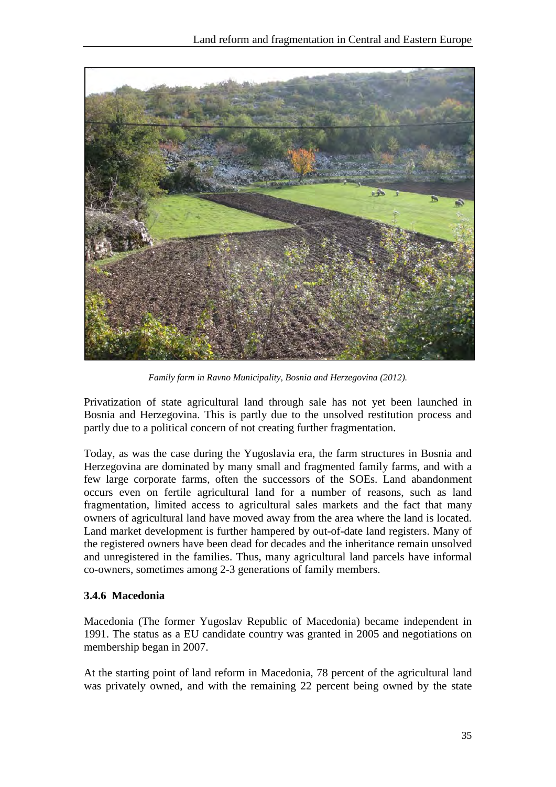

*Family farm in Ravno Municipality, Bosnia and Herzegovina (2012).*

Privatization of state agricultural land through sale has not yet been launched in Bosnia and Herzegovina. This is partly due to the unsolved restitution process and partly due to a political concern of not creating further fragmentation.

Today, as was the case during the Yugoslavia era, the farm structures in Bosnia and Herzegovina are dominated by many small and fragmented family farms, and with a few large corporate farms, often the successors of the SOEs. Land abandonment occurs even on fertile agricultural land for a number of reasons, such as land fragmentation, limited access to agricultural sales markets and the fact that many owners of agricultural land have moved away from the area where the land is located. Land market development is further hampered by out-of-date land registers. Many of the registered owners have been dead for decades and the inheritance remain unsolved and unregistered in the families. Thus, many agricultural land parcels have informal co-owners, sometimes among 2-3 generations of family members.

#### <span id="page-40-0"></span>**3.4.6 Macedonia**

Macedonia (The former Yugoslav Republic of Macedonia) became independent in 1991. The status as a EU candidate country was granted in 2005 and negotiations on membership began in 2007.

At the starting point of land reform in Macedonia, 78 percent of the agricultural land was privately owned, and with the remaining 22 percent being owned by the state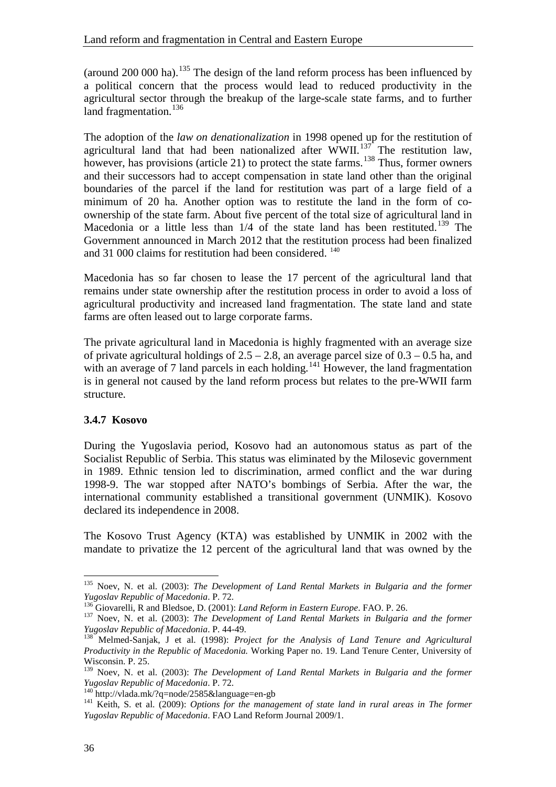(around 200 000 ha).<sup>[135](#page-41-1)</sup> The design of the land reform process has been influenced by a political concern that the process would lead to reduced productivity in the agricultural sector through the breakup of the large-scale state farms, and to further land fragmentation.<sup>[136](#page-41-2)</sup>

The adoption of the *law on denationalization* in 1998 opened up for the restitution of agricultural land that had been nationalized after  $\text{WWII.}^{137}$  $\text{WWII.}^{137}$  $\text{WWII.}^{137}$  The restitution law, however, has provisions (article 21) to protect the state farms.<sup>[138](#page-41-4)</sup> Thus, former owners and their successors had to accept compensation in state land other than the original boundaries of the parcel if the land for restitution was part of a large field of a minimum of 20 ha. Another option was to restitute the land in the form of coownership of the state farm. About five percent of the total size of agricultural land in Macedonia or a little less than  $1/4$  of the state land has been restituted.<sup>[139](#page-41-5)</sup> The Government announced in March 2012 that the restitution process had been finalized and 31 000 claims for restitution had been considered. <sup>[140](#page-41-6)</sup>

Macedonia has so far chosen to lease the 17 percent of the agricultural land that remains under state ownership after the restitution process in order to avoid a loss of agricultural productivity and increased land fragmentation. The state land and state farms are often leased out to large corporate farms.

The private agricultural land in Macedonia is highly fragmented with an average size of private agricultural holdings of  $2.5 - 2.8$ , an average parcel size of  $0.3 - 0.5$  ha, and with an average of 7 land parcels in each holding.<sup>[141](#page-41-7)</sup> However, the land fragmentation is in general not caused by the land reform process but relates to the pre-WWII farm structure.

#### <span id="page-41-0"></span>**3.4.7 Kosovo**

During the Yugoslavia period, Kosovo had an autonomous status as part of the Socialist Republic of Serbia. This status was eliminated by the Milosevic government in 1989. Ethnic tension led to discrimination, armed conflict and the war during 1998-9. The war stopped after NATO's bombings of Serbia. After the war, the international community established a transitional government (UNMIK). Kosovo declared its independence in 2008.

The Kosovo Trust Agency (KTA) was established by UNMIK in 2002 with the mandate to privatize the 12 percent of the agricultural land that was owned by the

<span id="page-41-1"></span><sup>&</sup>lt;sup>135</sup> Noev, N. et al. (2003): *The Development of Land Rental Markets in Bulgaria and the former Yugoslav Republic of Macedonia. P. 72.* 

<span id="page-41-3"></span><span id="page-41-2"></span><sup>&</sup>lt;sup>136</sup> Giovarelli, R and Bledsoe, D. (2001): *Land Reform in Eastern Europe*. FAO. P. 26.<br><sup>137</sup> Noev, N. et al. (2003): *The Development of Land Rental Markets in Bulgaria and the former Yugoslav Republic of Macedonia. P.* 

<span id="page-41-4"></span><sup>&</sup>lt;sup>138</sup> Melmed-Sanjak, J et al. (1998): *Project for the Analysis of Land Tenure and Agricultural Productivity in the Republic of Macedonia.* Working Paper no. 19. Land Tenure Center, University of Wisconsin. P. 25.

<span id="page-41-5"></span><sup>&</sup>lt;sup>139</sup> Noev, N. et al. (2003): *The Development of Land Rental Markets in Bulgaria and the former Yugoslav Republic of Macedonia. P. 72.* 

<span id="page-41-7"></span><span id="page-41-6"></span><sup>&</sup>lt;sup>140</sup> http://vlada.mk/?q=node/2585&language=en-gb<br><sup>141</sup> Keith, S. et al. (2009): *Options for the management of state land in rural areas in The former Yugoslav Republic of Macedonia*. FAO Land Reform Journal 2009/1.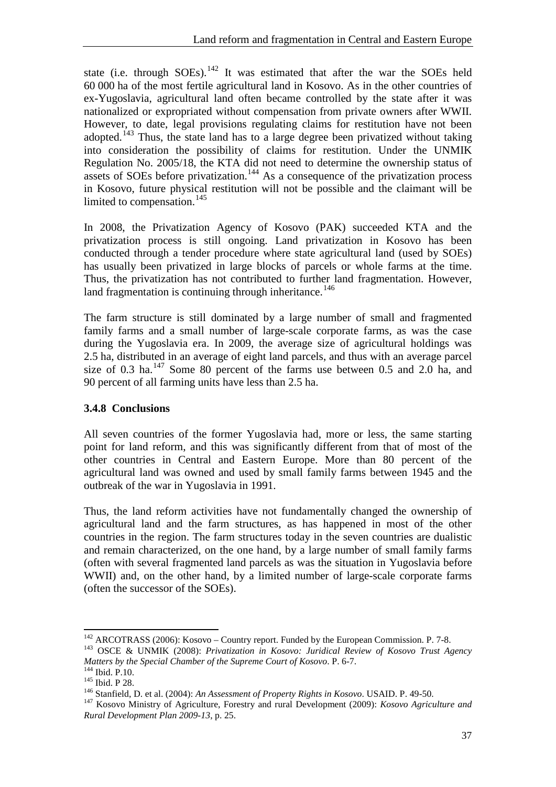state (i.e. through SOEs).<sup>[142](#page-42-1)</sup> It was estimated that after the war the SOEs held 60 000 ha of the most fertile agricultural land in Kosovo. As in the other countries of ex-Yugoslavia, agricultural land often became controlled by the state after it was nationalized or expropriated without compensation from private owners after WWII. However, to date, legal provisions regulating claims for restitution have not been adopted.[143](#page-42-2) Thus, the state land has to a large degree been privatized without taking into consideration the possibility of claims for restitution. Under the UNMIK Regulation No. 2005/18, the KTA did not need to determine the ownership status of assets of SOEs before privatization.<sup>[144](#page-42-3)</sup> As a consequence of the privatization process in Kosovo, future physical restitution will not be possible and the claimant will be limited to compensation.<sup>[145](#page-42-4)</sup>

In 2008, the Privatization Agency of Kosovo (PAK) succeeded KTA and the privatization process is still ongoing. Land privatization in Kosovo has been conducted through a tender procedure where state agricultural land (used by SOEs) has usually been privatized in large blocks of parcels or whole farms at the time. Thus, the privatization has not contributed to further land fragmentation. However, land fragmentation is continuing through inheritance.<sup>[146](#page-42-5)</sup>

The farm structure is still dominated by a large number of small and fragmented family farms and a small number of large-scale corporate farms, as was the case during the Yugoslavia era. In 2009, the average size of agricultural holdings was 2.5 ha, distributed in an average of eight land parcels, and thus with an average parcel size of 0.3 ha.<sup>[147](#page-42-6)</sup> Some 80 percent of the farms use between 0.5 and 2.0 ha, and 90 percent of all farming units have less than 2.5 ha.

#### <span id="page-42-0"></span>**3.4.8 Conclusions**

All seven countries of the former Yugoslavia had, more or less, the same starting point for land reform, and this was significantly different from that of most of the other countries in Central and Eastern Europe. More than 80 percent of the agricultural land was owned and used by small family farms between 1945 and the outbreak of the war in Yugoslavia in 1991.

Thus, the land reform activities have not fundamentally changed the ownership of agricultural land and the farm structures, as has happened in most of the other countries in the region. The farm structures today in the seven countries are dualistic and remain characterized, on the one hand, by a large number of small family farms (often with several fragmented land parcels as was the situation in Yugoslavia before WWII) and, on the other hand, by a limited number of large-scale corporate farms (often the successor of the SOEs).

<sup>&</sup>lt;sup>142</sup> ARCOTRASS (2006): Kosovo – Country report. Funded by the European Commission. P. 7-8.<br><sup>143</sup> OSCE & UNMIK (2008): *Privatization in Kosovo: Juridical Review of Kosovo Trust Agency*<br>*Matters by the Special Chamber of t* 

<span id="page-42-4"></span><span id="page-42-3"></span><span id="page-42-2"></span><span id="page-42-1"></span>

<span id="page-42-6"></span><span id="page-42-5"></span>

<sup>&</sup>lt;sup>144</sup> Ibid. P.10.<br><sup>145</sup> Ibid. P 28.<br><sup>146</sup> Stanfield, D. et al. (2004): An Assessment of Property Rights in Kosovo. USAID. P. 49-50.<br><sup>147</sup> Kosovo Ministry of Agriculture, Forestry and rural Development (2009): *Kosovo Agri Rural Development Plan 2009-13*, p. 25.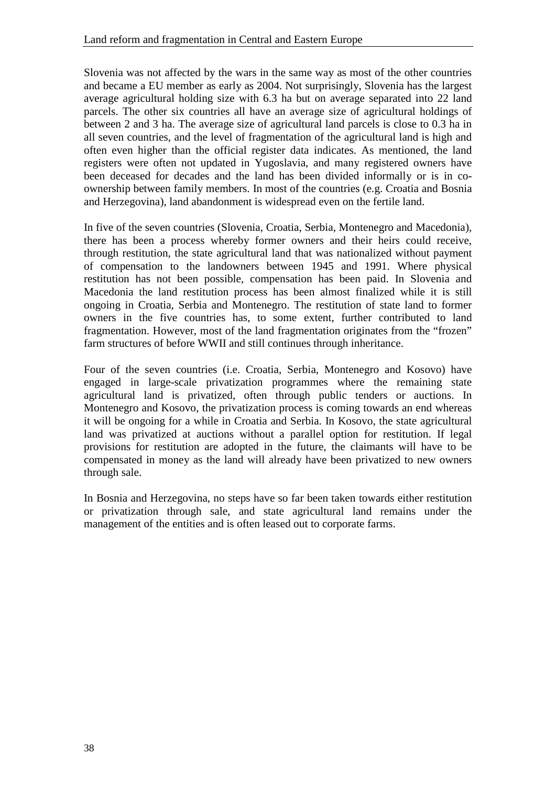Slovenia was not affected by the wars in the same way as most of the other countries and became a EU member as early as 2004. Not surprisingly, Slovenia has the largest average agricultural holding size with 6.3 ha but on average separated into 22 land parcels. The other six countries all have an average size of agricultural holdings of between 2 and 3 ha. The average size of agricultural land parcels is close to 0.3 ha in all seven countries, and the level of fragmentation of the agricultural land is high and often even higher than the official register data indicates. As mentioned, the land registers were often not updated in Yugoslavia, and many registered owners have been deceased for decades and the land has been divided informally or is in coownership between family members. In most of the countries (e.g. Croatia and Bosnia and Herzegovina), land abandonment is widespread even on the fertile land.

In five of the seven countries (Slovenia, Croatia, Serbia, Montenegro and Macedonia), there has been a process whereby former owners and their heirs could receive, through restitution, the state agricultural land that was nationalized without payment of compensation to the landowners between 1945 and 1991. Where physical restitution has not been possible, compensation has been paid. In Slovenia and Macedonia the land restitution process has been almost finalized while it is still ongoing in Croatia, Serbia and Montenegro. The restitution of state land to former owners in the five countries has, to some extent, further contributed to land fragmentation. However, most of the land fragmentation originates from the "frozen" farm structures of before WWII and still continues through inheritance.

Four of the seven countries (i.e. Croatia, Serbia, Montenegro and Kosovo) have engaged in large-scale privatization programmes where the remaining state agricultural land is privatized, often through public tenders or auctions. In Montenegro and Kosovo, the privatization process is coming towards an end whereas it will be ongoing for a while in Croatia and Serbia. In Kosovo, the state agricultural land was privatized at auctions without a parallel option for restitution. If legal provisions for restitution are adopted in the future, the claimants will have to be compensated in money as the land will already have been privatized to new owners through sale.

In Bosnia and Herzegovina, no steps have so far been taken towards either restitution or privatization through sale, and state agricultural land remains under the management of the entities and is often leased out to corporate farms.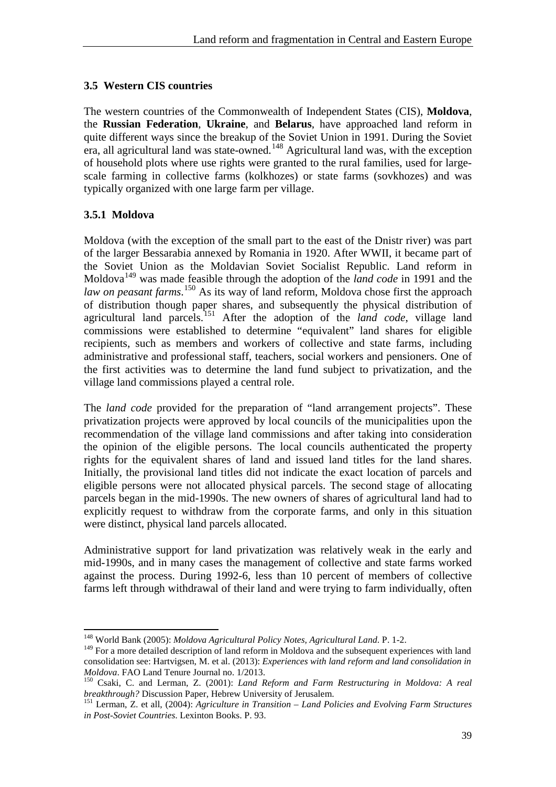#### <span id="page-44-0"></span>**3.5 Western CIS countries**

The western countries of the Commonwealth of Independent States (CIS), **Moldova**, the **Russian Federation**, **Ukraine**, and **Belarus**, have approached land reform in quite different ways since the breakup of the Soviet Union in 1991. During the Soviet era, all agricultural land was state-owned.<sup>[148](#page-44-2)</sup> Agricultural land was, with the exception of household plots where use rights were granted to the rural families, used for largescale farming in collective farms (kolkhozes) or state farms (sovkhozes) and was typically organized with one large farm per village.

#### <span id="page-44-1"></span>**3.5.1 Moldova**

 $\overline{a}$ 

Moldova (with the exception of the small part to the east of the Dnistr river) was part of the larger Bessarabia annexed by Romania in 1920. After WWII, it became part of the Soviet Union as the Moldavian Soviet Socialist Republic. Land reform in Moldova[149](#page-44-3) was made feasible through the adoption of the *land code* in 1991 and the law on peasant farms.<sup>150</sup> As its way of land reform, Moldova chose first the approach of distribution though paper shares, and subsequently the physical distribution of agricultural land parcels. [151](#page-44-5) After the adoption of the *land code*, village land commissions were established to determine "equivalent" land shares for eligible recipients, such as members and workers of collective and state farms, including administrative and professional staff, teachers, social workers and pensioners. One of the first activities was to determine the land fund subject to privatization, and the village land commissions played a central role.

The *land code* provided for the preparation of "land arrangement projects". These privatization projects were approved by local councils of the municipalities upon the recommendation of the village land commissions and after taking into consideration the opinion of the eligible persons. The local councils authenticated the property rights for the equivalent shares of land and issued land titles for the land shares. Initially, the provisional land titles did not indicate the exact location of parcels and eligible persons were not allocated physical parcels. The second stage of allocating parcels began in the mid-1990s. The new owners of shares of agricultural land had to explicitly request to withdraw from the corporate farms, and only in this situation were distinct, physical land parcels allocated.

Administrative support for land privatization was relatively weak in the early and mid-1990s, and in many cases the management of collective and state farms worked against the process. During 1992-6, less than 10 percent of members of collective farms left through withdrawal of their land and were trying to farm individually, often

<span id="page-44-2"></span><sup>148</sup> World Bank (2005): *Moldova Agricultural Policy Notes, Agricultural Land*. P. 1-2.

<span id="page-44-3"></span><sup>&</sup>lt;sup>149</sup> For a more detailed description of land reform in Moldova and the subsequent experiences with land consolidation see: Hartvigsen, M. et al. (2013): *Experiences with land reform and land consolidation in* 

<span id="page-44-4"></span><sup>&</sup>lt;sup>150</sup> Csaki, C. and Lerman, Z. (2001): *Land Reform and Farm Restructuring in Moldova: A real breakthrough?* Discussion Paper, Hebrew University of Jerusalem.

<span id="page-44-5"></span><sup>&</sup>lt;sup>151</sup> Lerman, Z. et all, (2004): *Agriculture in Transition – Land Policies and Evolving Farm Structures in Post-Soviet Countries*. Lexinton Books. P. 93.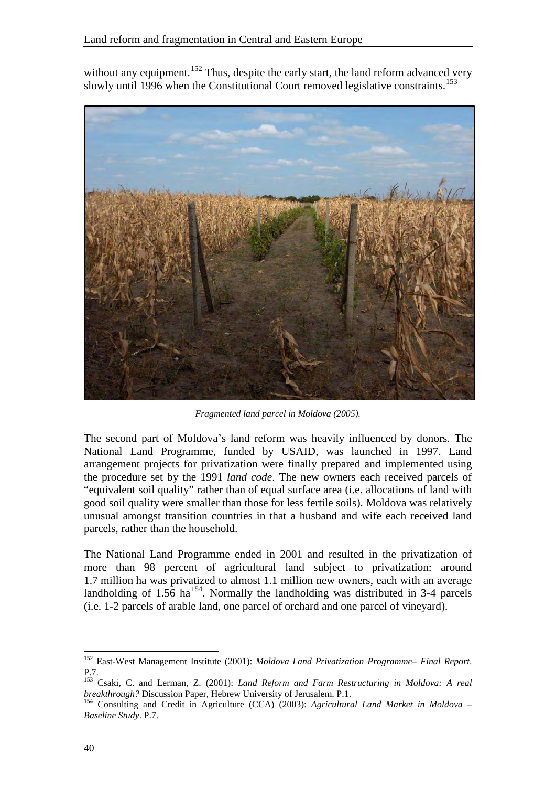without any equipment.<sup>[152](#page-45-0)</sup> Thus, despite the early start, the land reform advanced very slowly until 1996 when the Constitutional Court removed legislative constraints.<sup>[153](#page-45-1)</sup>



*Fragmented land parcel in Moldova (2005).*

The second part of Moldova's land reform was heavily influenced by donors. The National Land Programme, funded by USAID, was launched in 1997. Land arrangement projects for privatization were finally prepared and implemented using the procedure set by the 1991 *land code*. The new owners each received parcels of "equivalent soil quality" rather than of equal surface area (i.e. allocations of land with good soil quality were smaller than those for less fertile soils). Moldova was relatively unusual amongst transition countries in that a husband and wife each received land parcels, rather than the household.

The National Land Programme ended in 2001 and resulted in the privatization of more than 98 percent of agricultural land subject to privatization: around 1.7 million ha was privatized to almost 1.1 million new owners, each with an average landholding of 1.56 ha<sup>154</sup>. Normally the landholding was distributed in 3-4 parcels (i.e. 1-2 parcels of arable land, one parcel of orchard and one parcel of vineyard).

<span id="page-45-0"></span><sup>152</sup> East-West Management Institute (2001): *Moldova Land Privatization Programme– Final Report*. P.7.

<span id="page-45-1"></span><sup>&</sup>lt;sup>153</sup> Csaki, C. and Lerman, Z. (2001): *Land Reform and Farm Restructuring in Moldova: A real breakthrough?* Discussion Paper, Hebrew University of Jerusalem. P.1.

<span id="page-45-2"></span><sup>&</sup>lt;sup>154</sup> Consulting and Credit in Agriculture (CCA) (2003): *Agricultural Land Market in Moldova – Baseline Study*. P.7.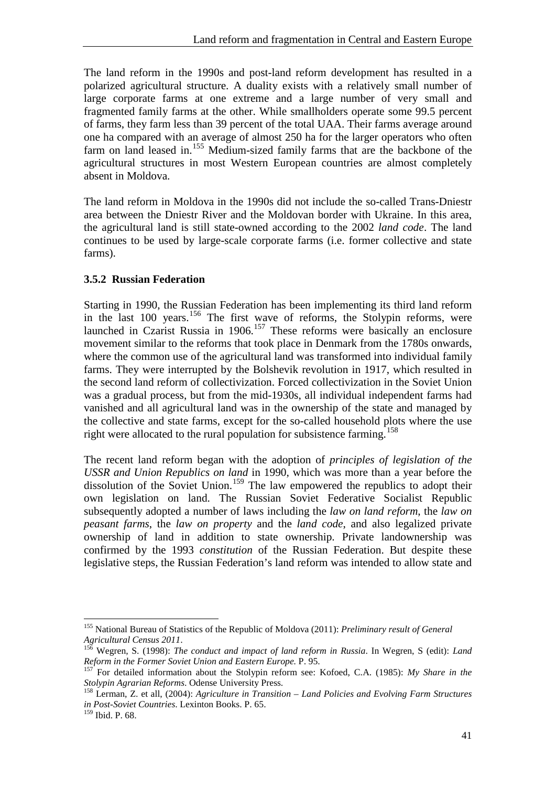The land reform in the 1990s and post-land reform development has resulted in a polarized agricultural structure. A duality exists with a relatively small number of large corporate farms at one extreme and a large number of very small and fragmented family farms at the other. While smallholders operate some 99.5 percent of farms, they farm less than 39 percent of the total UAA. Their farms average around one ha compared with an average of almost 250 ha for the larger operators who often farm on land leased in.<sup>155</sup> Medium-sized family farms that are the backbone of the agricultural structures in most Western European countries are almost completely absent in Moldova.

The land reform in Moldova in the 1990s did not include the so-called Trans-Dniestr area between the Dniestr River and the Moldovan border with Ukraine. In this area, the agricultural land is still state-owned according to the 2002 *land code*. The land continues to be used by large-scale corporate farms (i.e. former collective and state farms).

#### <span id="page-46-0"></span>**3.5.2 Russian Federation**

Starting in 1990, the Russian Federation has been implementing its third land reform in the last 100 years.<sup>[156](#page-46-2)</sup> The first wave of reforms, the Stolypin reforms, were launched in Czarist Russia in 1906.<sup>[157](#page-46-3)</sup> These reforms were basically an enclosure movement similar to the reforms that took place in Denmark from the 1780s onwards, where the common use of the agricultural land was transformed into individual family farms. They were interrupted by the Bolshevik revolution in 1917, which resulted in the second land reform of collectivization. Forced collectivization in the Soviet Union was a gradual process, but from the mid-1930s, all individual independent farms had vanished and all agricultural land was in the ownership of the state and managed by the collective and state farms, except for the so-called household plots where the use right were allocated to the rural population for subsistence farming.<sup>[158](#page-46-4)</sup>

The recent land reform began with the adoption of *principles of legislation of the USSR and Union Republics on land* in 1990, which was more than a year before the dissolution of the Soviet Union.<sup>[159](#page-46-5)</sup> The law empowered the republics to adopt their own legislation on land. The Russian Soviet Federative Socialist Republic subsequently adopted a number of laws including the *law on land reform*, the *law on peasant farms*, the *law on property* and the *land code*, and also legalized private ownership of land in addition to state ownership. Private landownership was confirmed by the 1993 *constitution* of the Russian Federation. But despite these legislative steps, the Russian Federation's land reform was intended to allow state and

<span id="page-46-1"></span><sup>155</sup> National Bureau of Statistics of the Republic of Moldova (2011): *Preliminary result of General Agricultural Census 2011*.

<span id="page-46-2"></span><sup>&</sup>lt;sup>156</sup> Wegren, S. (1998): *The conduct and impact of land reform in Russia*. In Wegren, S (edit): *Land Reform in the Former Soviet Union and Eastern Europe*, P. 95.

<span id="page-46-3"></span><sup>&</sup>lt;sup>157</sup> For detailed information about the Stolypin reform see: Kofoed, C.A. (1985): *My Share in the Stolypin Agrarian Reforms*. Odense University Press.

<span id="page-46-4"></span><sup>&</sup>lt;sup>158</sup> Lerman, Z. et all, (2004): *Agriculture in Transition – Land Policies and Evolving Farm Structures in Post-Soviet Countries*. Lexinton Books. P. 65.

<span id="page-46-5"></span><sup>159</sup> Ibid. P. 68.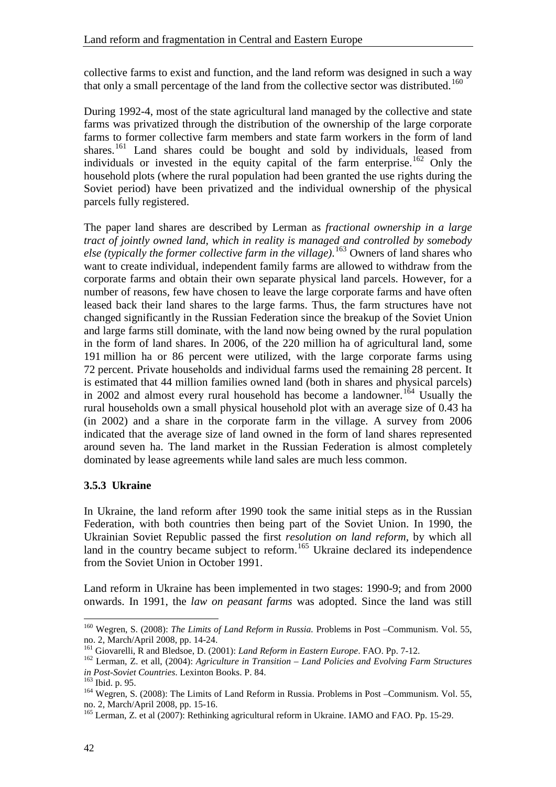collective farms to exist and function, and the land reform was designed in such a way that only a small percentage of the land from the collective sector was distributed.<sup>160</sup>

During 1992-4, most of the state agricultural land managed by the collective and state farms was privatized through the distribution of the ownership of the large corporate farms to former collective farm members and state farm workers in the form of land shares.<sup>[161](#page-47-2)</sup> Land shares could be bought and sold by individuals, leased from individuals or invested in the equity capital of the farm enterprise.<sup>[162](#page-47-3)</sup> Only the household plots (where the rural population had been granted the use rights during the Soviet period) have been privatized and the individual ownership of the physical parcels fully registered.

The paper land shares are described by Lerman as *fractional ownership in a large tract of jointly owned land, which in reality is managed and controlled by somebody else (typically the former collective farm in the village)*. [163](#page-47-4) Owners of land shares who want to create individual, independent family farms are allowed to withdraw from the corporate farms and obtain their own separate physical land parcels. However, for a number of reasons, few have chosen to leave the large corporate farms and have often leased back their land shares to the large farms. Thus, the farm structures have not changed significantly in the Russian Federation since the breakup of the Soviet Union and large farms still dominate, with the land now being owned by the rural population in the form of land shares. In 2006, of the 220 million ha of agricultural land, some 191 million ha or 86 percent were utilized, with the large corporate farms using 72 percent. Private households and individual farms used the remaining 28 percent. It is estimated that 44 million families owned land (both in shares and physical parcels) in 2002 and almost every rural household has become a landowner. [164](#page-47-5) Usually the rural households own a small physical household plot with an average size of 0.43 ha (in 2002) and a share in the corporate farm in the village. A survey from 2006 indicated that the average size of land owned in the form of land shares represented around seven ha. The land market in the Russian Federation is almost completely dominated by lease agreements while land sales are much less common.

#### <span id="page-47-0"></span>**3.5.3 Ukraine**

In Ukraine, the land reform after 1990 took the same initial steps as in the Russian Federation, with both countries then being part of the Soviet Union. In 1990, the Ukrainian Soviet Republic passed the first *resolution on land reform*, by which all land in the country became subject to reform.<sup>[165](#page-47-6)</sup> Ukraine declared its independence from the Soviet Union in October 1991.

Land reform in Ukraine has been implemented in two stages: 1990-9; and from 2000 onwards. In 1991, the *law on peasant farms* was adopted. Since the land was still

<sup>160</sup> Wegren, S. (2008): *The Limits of Land Reform in Russia.* Problems in Post –Communism. Vol. 55,

<span id="page-47-3"></span><span id="page-47-2"></span>

<span id="page-47-1"></span>no. 2, March/April 2008, pp. 14-24.<br><sup>161</sup> Giovarelli, R and Bledsoe, D. (2001): *Land Reform in Eastern Europe*. FAO. Pp. 7-12.<br><sup>162</sup> Lerman, Z. et all, (2004): *Agriculture in Transition – Land Policies and Evolving Farm* 

<span id="page-47-5"></span><span id="page-47-4"></span><sup>&</sup>lt;sup>163</sup> Ibid. p. 95.<br><sup>164</sup> Wegren, S. (2008): The Limits of Land Reform in Russia. Problems in Post –Communism. Vol. 55, no. 2, March/April 2008, pp. 15-16.

<span id="page-47-6"></span> $165$  Lerman, Z. et al (2007): Rethinking agricultural reform in Ukraine. IAMO and FAO. Pp. 15-29.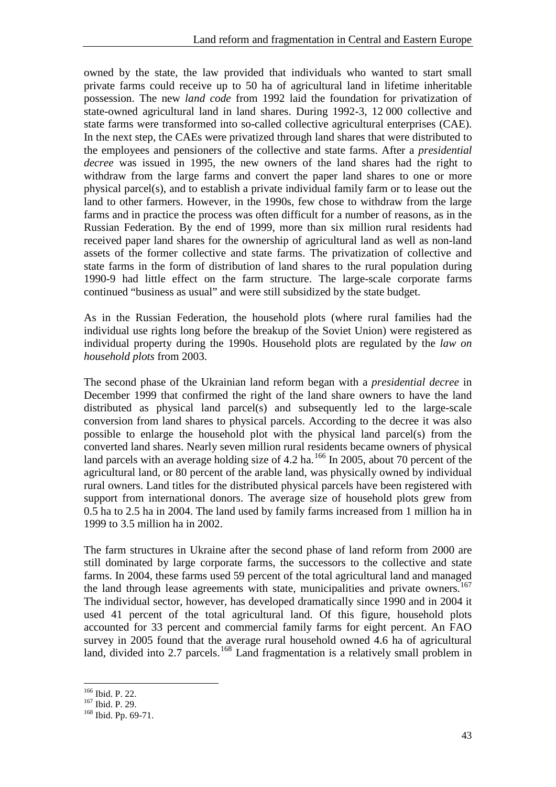owned by the state, the law provided that individuals who wanted to start small private farms could receive up to 50 ha of agricultural land in lifetime inheritable possession. The new *land code* from 1992 laid the foundation for privatization of state-owned agricultural land in land shares. During 1992-3, 12 000 collective and state farms were transformed into so-called collective agricultural enterprises (CAE). In the next step, the CAEs were privatized through land shares that were distributed to the employees and pensioners of the collective and state farms. After a *presidential decree* was issued in 1995, the new owners of the land shares had the right to withdraw from the large farms and convert the paper land shares to one or more physical parcel(s), and to establish a private individual family farm or to lease out the land to other farmers. However, in the 1990s, few chose to withdraw from the large farms and in practice the process was often difficult for a number of reasons, as in the Russian Federation. By the end of 1999, more than six million rural residents had received paper land shares for the ownership of agricultural land as well as non-land assets of the former collective and state farms. The privatization of collective and state farms in the form of distribution of land shares to the rural population during 1990-9 had little effect on the farm structure. The large-scale corporate farms continued "business as usual" and were still subsidized by the state budget.

As in the Russian Federation, the household plots (where rural families had the individual use rights long before the breakup of the Soviet Union) were registered as individual property during the 1990s. Household plots are regulated by the *law on household plots* from 2003.

The second phase of the Ukrainian land reform began with a *presidential decree* in December 1999 that confirmed the right of the land share owners to have the land distributed as physical land parcel(s) and subsequently led to the large-scale conversion from land shares to physical parcels. According to the decree it was also possible to enlarge the household plot with the physical land parcel(s) from the converted land shares. Nearly seven million rural residents became owners of physical land parcels with an average holding size of 4.2 ha.<sup>[166](#page-48-0)</sup> In 2005, about 70 percent of the agricultural land, or 80 percent of the arable land, was physically owned by individual rural owners. Land titles for the distributed physical parcels have been registered with support from international donors. The average size of household plots grew from 0.5 ha to 2.5 ha in 2004. The land used by family farms increased from 1 million ha in 1999 to 3.5 million ha in 2002.

The farm structures in Ukraine after the second phase of land reform from 2000 are still dominated by large corporate farms, the successors to the collective and state farms. In 2004, these farms used 59 percent of the total agricultural land and managed the land through lease agreements with state, municipalities and private owners.<sup>[167](#page-48-1)</sup> The individual sector, however, has developed dramatically since 1990 and in 2004 it used 41 percent of the total agricultural land. Of this figure, household plots accounted for 33 percent and commercial family farms for eight percent. An FAO survey in 2005 found that the average rural household owned 4.6 ha of agricultural land, divided into 2.7 parcels.<sup>[168](#page-48-2)</sup> Land fragmentation is a relatively small problem in

 <sup>166</sup> Ibid. P. 22.

<span id="page-48-2"></span><span id="page-48-1"></span><span id="page-48-0"></span> $\frac{167}{168}$  Ibid. Pp. 69-71.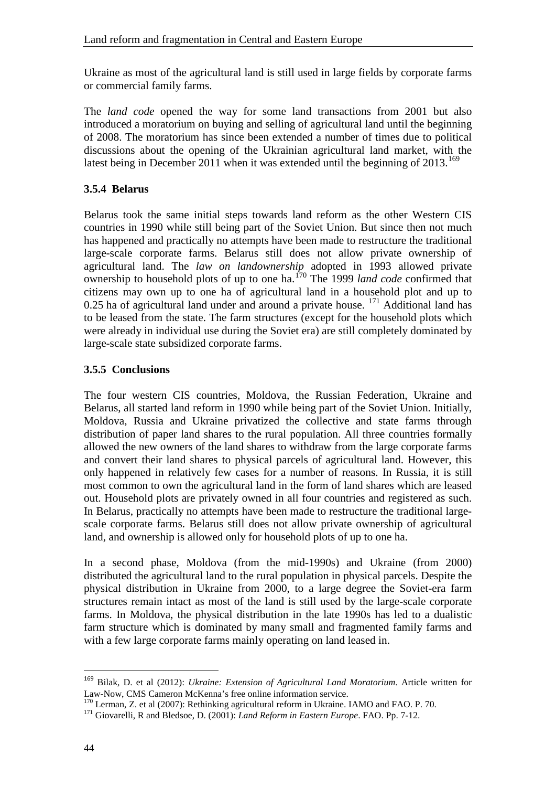Ukraine as most of the agricultural land is still used in large fields by corporate farms or commercial family farms.

The *land code* opened the way for some land transactions from 2001 but also introduced a moratorium on buying and selling of agricultural land until the beginning of 2008. The moratorium has since been extended a number of times due to political discussions about the opening of the Ukrainian agricultural land market, with the latest being in December 2011 when it was extended until the beginning of  $2013$ .<sup>[169](#page-49-2)</sup>

#### <span id="page-49-0"></span>**3.5.4 Belarus**

Belarus took the same initial steps towards land reform as the other Western CIS countries in 1990 while still being part of the Soviet Union. But since then not much has happened and practically no attempts have been made to restructure the traditional large-scale corporate farms. Belarus still does not allow private ownership of agricultural land. The *law on landownership* adopted in 1993 allowed private ownership to household plots of up to one ha.[170](#page-49-3) The 1999 *land code* confirmed that citizens may own up to one ha of agricultural land in a household plot and up to 0.25 ha of agricultural land under and around a private house. <sup>[171](#page-49-4)</sup> Additional land has to be leased from the state. The farm structures (except for the household plots which were already in individual use during the Soviet era) are still completely dominated by large-scale state subsidized corporate farms.

#### <span id="page-49-1"></span>**3.5.5 Conclusions**

The four western CIS countries, Moldova, the Russian Federation, Ukraine and Belarus, all started land reform in 1990 while being part of the Soviet Union. Initially, Moldova, Russia and Ukraine privatized the collective and state farms through distribution of paper land shares to the rural population. All three countries formally allowed the new owners of the land shares to withdraw from the large corporate farms and convert their land shares to physical parcels of agricultural land. However, this only happened in relatively few cases for a number of reasons. In Russia, it is still most common to own the agricultural land in the form of land shares which are leased out. Household plots are privately owned in all four countries and registered as such. In Belarus, practically no attempts have been made to restructure the traditional largescale corporate farms. Belarus still does not allow private ownership of agricultural land, and ownership is allowed only for household plots of up to one ha.

In a second phase, Moldova (from the mid-1990s) and Ukraine (from 2000) distributed the agricultural land to the rural population in physical parcels. Despite the physical distribution in Ukraine from 2000, to a large degree the Soviet-era farm structures remain intact as most of the land is still used by the large-scale corporate farms. In Moldova, the physical distribution in the late 1990s has led to a dualistic farm structure which is dominated by many small and fragmented family farms and with a few large corporate farms mainly operating on land leased in.

<span id="page-49-2"></span><sup>&</sup>lt;sup>169</sup> Bilak, D. et al (2012): *Ukraine: Extension of Agricultural Land Moratorium*. Article written for Law-Now. CMS Cameron McKenna's free online information service.

<span id="page-49-3"></span><sup>&</sup>lt;sup>170</sup> Lerman, Z. et al (2007): Rethinking agricultural reform in Ukraine. IAMO and FAO. P. 70.<br><sup>171</sup> Giovarelli, R and Bledsoe, D. (2001): *Land Reform in Eastern Europe*. FAO. Pp. 7-12.

<span id="page-49-4"></span>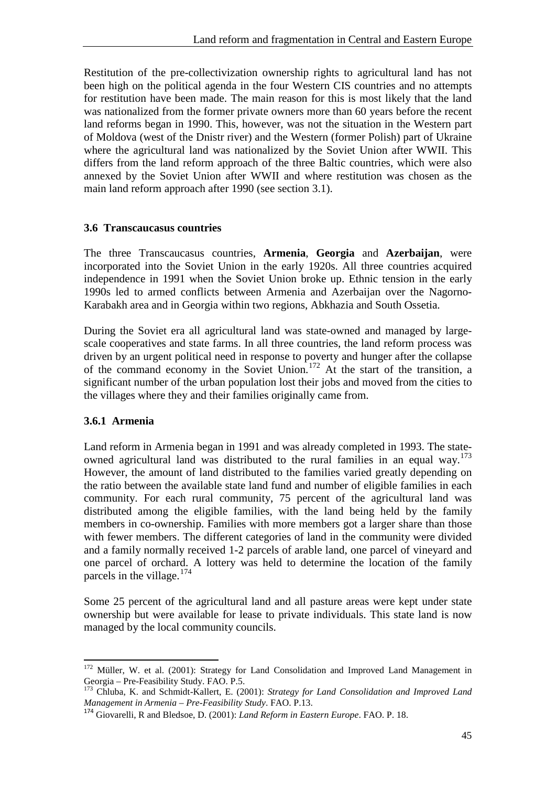Restitution of the pre-collectivization ownership rights to agricultural land has not been high on the political agenda in the four Western CIS countries and no attempts for restitution have been made. The main reason for this is most likely that the land was nationalized from the former private owners more than 60 years before the recent land reforms began in 1990. This, however, was not the situation in the Western part of Moldova (west of the Dnistr river) and the Western (former Polish) part of Ukraine where the agricultural land was nationalized by the Soviet Union after WWII. This differs from the land reform approach of the three Baltic countries, which were also annexed by the Soviet Union after WWII and where restitution was chosen as the main land reform approach after 1990 (see section 3.1).

#### <span id="page-50-0"></span>**3.6 Transcaucasus countries**

The three Transcaucasus countries, **Armenia**, **Georgia** and **Azerbaijan**, were incorporated into the Soviet Union in the early 1920s. All three countries acquired independence in 1991 when the Soviet Union broke up. Ethnic tension in the early 1990s led to armed conflicts between Armenia and Azerbaijan over the Nagorno-Karabakh area and in Georgia within two regions, Abkhazia and South Ossetia.

During the Soviet era all agricultural land was state-owned and managed by largescale cooperatives and state farms. In all three countries, the land reform process was driven by an urgent political need in response to poverty and hunger after the collapse of the command economy in the Soviet Union.<sup>[172](#page-50-2)</sup> At the start of the transition, a significant number of the urban population lost their jobs and moved from the cities to the villages where they and their families originally came from.

#### <span id="page-50-1"></span>**3.6.1 Armenia**

 $\overline{a}$ 

Land reform in Armenia began in 1991 and was already completed in 1993. The state-owned agricultural land was distributed to the rural families in an equal way.<sup>[173](#page-50-3)</sup> However, the amount of land distributed to the families varied greatly depending on the ratio between the available state land fund and number of eligible families in each community. For each rural community, 75 percent of the agricultural land was distributed among the eligible families, with the land being held by the family members in co-ownership. Families with more members got a larger share than those with fewer members. The different categories of land in the community were divided and a family normally received 1-2 parcels of arable land, one parcel of vineyard and one parcel of orchard. A lottery was held to determine the location of the family parcels in the village.<sup>[174](#page-50-4)</sup>

Some 25 percent of the agricultural land and all pasture areas were kept under state ownership but were available for lease to private individuals. This state land is now managed by the local community councils.

<span id="page-50-2"></span> $172$  Müller, W. et al. (2001): Strategy for Land Consolidation and Improved Land Management in Georgia – Pre-Feasibility Study. FAO. P.5.

<span id="page-50-3"></span><sup>&</sup>lt;sup>173</sup> Chluba, K. and Schmidt-Kallert, E. (2001): *Strategy for Land Consolidation and Improved Land Management in Armenia – Pre-Feasibility Study. FAO. P.13.* 

<span id="page-50-4"></span><sup>&</sup>lt;sup>174</sup> Giovarelli, R and Bledsoe, D. (2001): *Land Reform in Eastern Europe*. FAO. P. 18.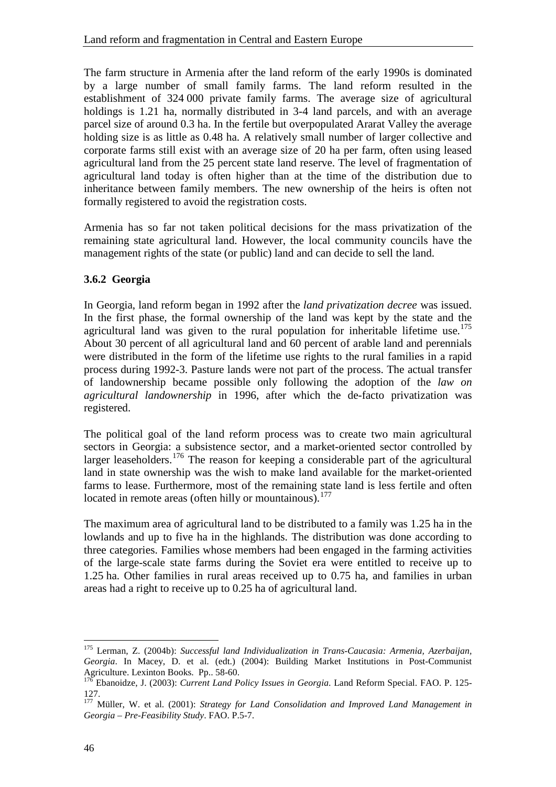The farm structure in Armenia after the land reform of the early 1990s is dominated by a large number of small family farms. The land reform resulted in the establishment of 324 000 private family farms. The average size of agricultural holdings is 1.21 ha, normally distributed in 3-4 land parcels, and with an average parcel size of around 0.3 ha. In the fertile but overpopulated Ararat Valley the average holding size is as little as 0.48 ha. A relatively small number of larger collective and corporate farms still exist with an average size of 20 ha per farm, often using leased agricultural land from the 25 percent state land reserve. The level of fragmentation of agricultural land today is often higher than at the time of the distribution due to inheritance between family members. The new ownership of the heirs is often not formally registered to avoid the registration costs.

Armenia has so far not taken political decisions for the mass privatization of the remaining state agricultural land. However, the local community councils have the management rights of the state (or public) land and can decide to sell the land.

#### <span id="page-51-0"></span>**3.6.2 Georgia**

In Georgia, land reform began in 1992 after the *land privatization decree* was issued. In the first phase, the formal ownership of the land was kept by the state and the agricultural land was given to the rural population for inheritable lifetime use.<sup>[175](#page-51-1)</sup> About 30 percent of all agricultural land and 60 percent of arable land and perennials were distributed in the form of the lifetime use rights to the rural families in a rapid process during 1992-3. Pasture lands were not part of the process. The actual transfer of landownership became possible only following the adoption of the *law on agricultural landownership* in 1996, after which the de-facto privatization was registered.

The political goal of the land reform process was to create two main agricultural sectors in Georgia: a subsistence sector, and a market-oriented sector controlled by larger leaseholders.<sup>[176](#page-51-2)</sup> The reason for keeping a considerable part of the agricultural land in state ownership was the wish to make land available for the market-oriented farms to lease. Furthermore, most of the remaining state land is less fertile and often located in remote areas (often hilly or mountainous).<sup>[177](#page-51-3)</sup>

The maximum area of agricultural land to be distributed to a family was 1.25 ha in the lowlands and up to five ha in the highlands. The distribution was done according to three categories. Families whose members had been engaged in the farming activities of the large-scale state farms during the Soviet era were entitled to receive up to 1.25 ha. Other families in rural areas received up to 0.75 ha, and families in urban areas had a right to receive up to 0.25 ha of agricultural land.

<span id="page-51-1"></span><sup>175</sup> Lerman, Z. (2004b): *Successful land Individualization in Trans-Caucasia: Armenia, Azerbaijan, Georgia*. In Macey, D. et al. (edt.) (2004): Building Market Institutions in Post-Communist Agriculture. Lexinton Books. Pp.. 58-60.<br><sup>176</sup> Ebanoidze, J. (2003): *Current Land Policy Issues in Georgia*. Land Reform Special. FAO. P. 125-

<span id="page-51-2"></span><sup>127.</sup>

<span id="page-51-3"></span><sup>177</sup> Müller, W. et al. (2001): *Strategy for Land Consolidation and Improved Land Management in Georgia – Pre-Feasibility Study*. FAO. P.5-7.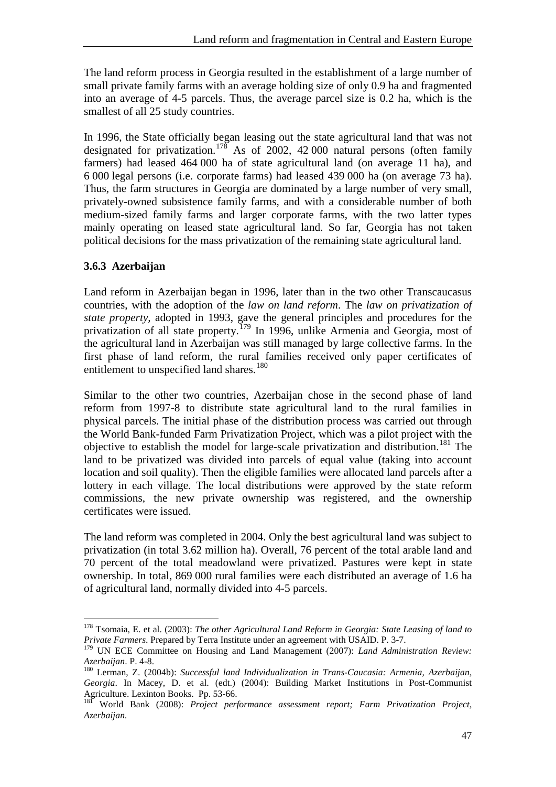The land reform process in Georgia resulted in the establishment of a large number of small private family farms with an average holding size of only 0.9 ha and fragmented into an average of 4-5 parcels. Thus, the average parcel size is 0.2 ha, which is the smallest of all 25 study countries.

In 1996, the State officially began leasing out the state agricultural land that was not designated for privatization.<sup>[178](#page-52-1)</sup> As of 2002, 42 000 natural persons (often family farmers) had leased 464 000 ha of state agricultural land (on average 11 ha), and 6 000 legal persons (i.e. corporate farms) had leased 439 000 ha (on average 73 ha). Thus, the farm structures in Georgia are dominated by a large number of very small, privately-owned subsistence family farms, and with a considerable number of both medium-sized family farms and larger corporate farms, with the two latter types mainly operating on leased state agricultural land. So far, Georgia has not taken political decisions for the mass privatization of the remaining state agricultural land.

#### <span id="page-52-0"></span>**3.6.3 Azerbaijan**

Land reform in Azerbaijan began in 1996, later than in the two other Transcaucasus countries, with the adoption of the *law on land reform*. The *law on privatization of state property,* adopted in 1993, gave the general principles and procedures for the privatization of all state property.<sup>[179](#page-52-2)</sup> In 1996, unlike Armenia and Georgia, most of the agricultural land in Azerbaijan was still managed by large collective farms. In the first phase of land reform, the rural families received only paper certificates of entitlement to unspecified land shares.<sup>[180](#page-52-3)</sup>

Similar to the other two countries, Azerbaijan chose in the second phase of land reform from 1997-8 to distribute state agricultural land to the rural families in physical parcels. The initial phase of the distribution process was carried out through the World Bank-funded Farm Privatization Project, which was a pilot project with the objective to establish the model for large-scale privatization and distribution. [181](#page-52-4) The land to be privatized was divided into parcels of equal value (taking into account location and soil quality). Then the eligible families were allocated land parcels after a lottery in each village. The local distributions were approved by the state reform commissions, the new private ownership was registered, and the ownership certificates were issued.

The land reform was completed in 2004. Only the best agricultural land was subject to privatization (in total 3.62 million ha). Overall, 76 percent of the total arable land and 70 percent of the total meadowland were privatized. Pastures were kept in state ownership. In total, 869 000 rural families were each distributed an average of 1.6 ha of agricultural land, normally divided into 4-5 parcels.

<span id="page-52-1"></span><sup>178</sup> Tsomaia, E. et al. (2003): *The other Agricultural Land Reform in Georgia: State Leasing of land to Private Farmers*. Prepared by Terra Institute under an agreement with USAID. P. 3-7.

<span id="page-52-2"></span><sup>&</sup>lt;sup>179</sup> UN ECE Committee on Housing and Land Management (2007): *Land Administration Review:*<br>Azerbaijan P. 4-8.

<span id="page-52-3"></span><sup>&</sup>lt;sup>180</sup> Lerman, Z. (2004b): *Successful land Individualization in Trans-Caucasia: Armenia, Azerbaijan, Georgia*. In Macey, D. et al. (edt.) (2004): Building Market Institutions in Post-Communist

<span id="page-52-4"></span><sup>&</sup>lt;sup>181</sup> World Bank (2008): Project performance assessment report; Farm Privatization Project, *Azerbaijan.*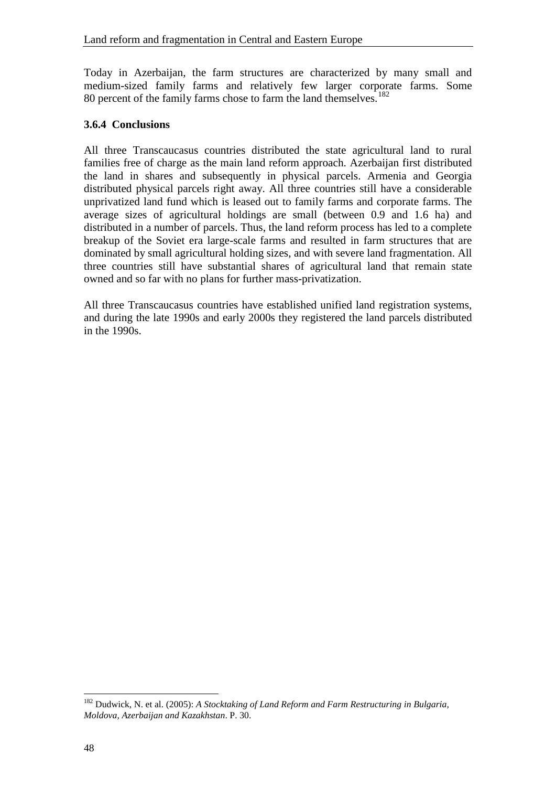Today in Azerbaijan, the farm structures are characterized by many small and medium-sized family farms and relatively few larger corporate farms. Some 80 percent of the family farms chose to farm the land themselves.<sup>[182](#page-53-1)</sup>

#### <span id="page-53-0"></span>**3.6.4 Conclusions**

All three Transcaucasus countries distributed the state agricultural land to rural families free of charge as the main land reform approach. Azerbaijan first distributed the land in shares and subsequently in physical parcels. Armenia and Georgia distributed physical parcels right away. All three countries still have a considerable unprivatized land fund which is leased out to family farms and corporate farms. The average sizes of agricultural holdings are small (between 0.9 and 1.6 ha) and distributed in a number of parcels. Thus, the land reform process has led to a complete breakup of the Soviet era large-scale farms and resulted in farm structures that are dominated by small agricultural holding sizes, and with severe land fragmentation. All three countries still have substantial shares of agricultural land that remain state owned and so far with no plans for further mass-privatization.

All three Transcaucasus countries have established unified land registration systems, and during the late 1990s and early 2000s they registered the land parcels distributed in the 1990s.

<span id="page-53-1"></span><sup>182</sup> Dudwick, N. et al. (2005): *A Stocktaking of Land Reform and Farm Restructuring in Bulgaria, Moldova, Azerbaijan and Kazakhstan*. P. 30.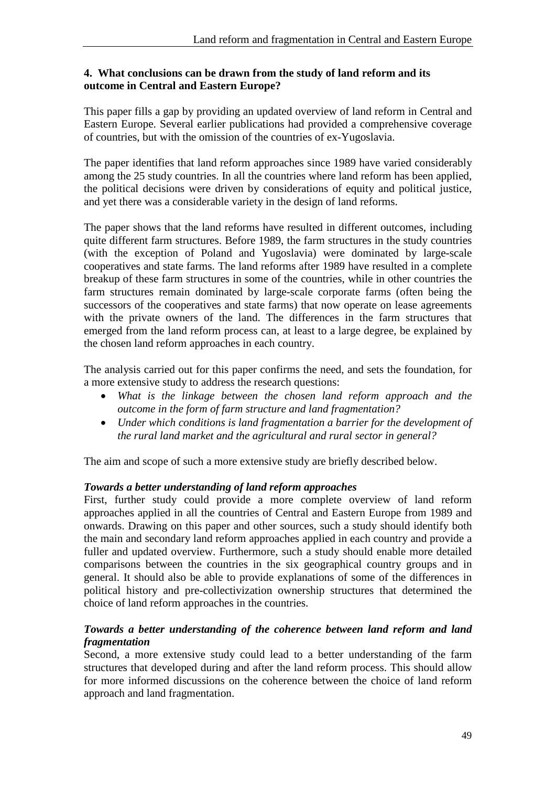#### <span id="page-54-0"></span>**4. What conclusions can be drawn from the study of land reform and its outcome in Central and Eastern Europe?**

This paper fills a gap by providing an updated overview of land reform in Central and Eastern Europe. Several earlier publications had provided a comprehensive coverage of countries, but with the omission of the countries of ex-Yugoslavia.

The paper identifies that land reform approaches since 1989 have varied considerably among the 25 study countries. In all the countries where land reform has been applied, the political decisions were driven by considerations of equity and political justice, and yet there was a considerable variety in the design of land reforms.

The paper shows that the land reforms have resulted in different outcomes, including quite different farm structures. Before 1989, the farm structures in the study countries (with the exception of Poland and Yugoslavia) were dominated by large-scale cooperatives and state farms. The land reforms after 1989 have resulted in a complete breakup of these farm structures in some of the countries, while in other countries the farm structures remain dominated by large-scale corporate farms (often being the successors of the cooperatives and state farms) that now operate on lease agreements with the private owners of the land. The differences in the farm structures that emerged from the land reform process can, at least to a large degree, be explained by the chosen land reform approaches in each country.

The analysis carried out for this paper confirms the need, and sets the foundation, for a more extensive study to address the research questions:

- *What is the linkage between the chosen land reform approach and the outcome in the form of farm structure and land fragmentation?*
- *Under which conditions is land fragmentation a barrier for the development of the rural land market and the agricultural and rural sector in general?*

The aim and scope of such a more extensive study are briefly described below.

#### *Towards a better understanding of land reform approaches*

First, further study could provide a more complete overview of land reform approaches applied in all the countries of Central and Eastern Europe from 1989 and onwards. Drawing on this paper and other sources, such a study should identify both the main and secondary land reform approaches applied in each country and provide a fuller and updated overview. Furthermore, such a study should enable more detailed comparisons between the countries in the six geographical country groups and in general. It should also be able to provide explanations of some of the differences in political history and pre-collectivization ownership structures that determined the choice of land reform approaches in the countries.

#### *Towards a better understanding of the coherence between land reform and land fragmentation*

Second, a more extensive study could lead to a better understanding of the farm structures that developed during and after the land reform process. This should allow for more informed discussions on the coherence between the choice of land reform approach and land fragmentation.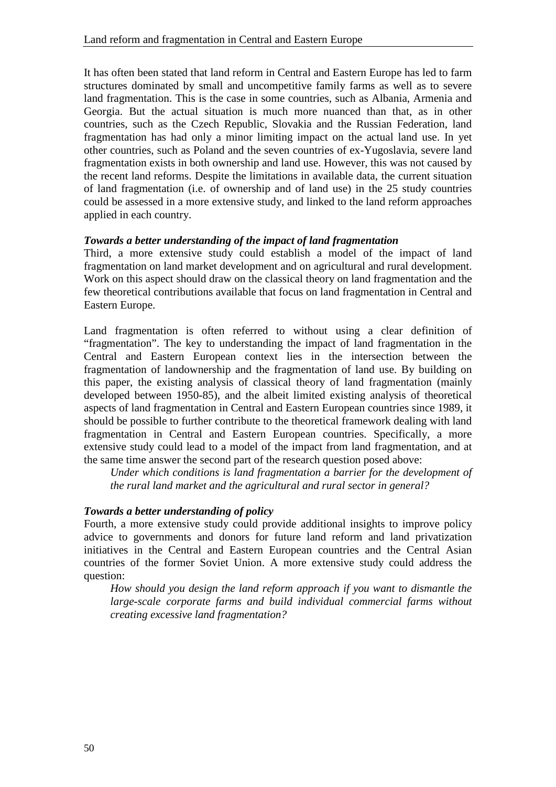It has often been stated that land reform in Central and Eastern Europe has led to farm structures dominated by small and uncompetitive family farms as well as to severe land fragmentation. This is the case in some countries, such as Albania, Armenia and Georgia. But the actual situation is much more nuanced than that, as in other countries, such as the Czech Republic, Slovakia and the Russian Federation, land fragmentation has had only a minor limiting impact on the actual land use. In yet other countries, such as Poland and the seven countries of ex-Yugoslavia, severe land fragmentation exists in both ownership and land use. However, this was not caused by the recent land reforms. Despite the limitations in available data, the current situation of land fragmentation (i.e. of ownership and of land use) in the 25 study countries could be assessed in a more extensive study, and linked to the land reform approaches applied in each country.

#### *Towards a better understanding of the impact of land fragmentation*

Third, a more extensive study could establish a model of the impact of land fragmentation on land market development and on agricultural and rural development. Work on this aspect should draw on the classical theory on land fragmentation and the few theoretical contributions available that focus on land fragmentation in Central and Eastern Europe.

Land fragmentation is often referred to without using a clear definition of "fragmentation". The key to understanding the impact of land fragmentation in the Central and Eastern European context lies in the intersection between the fragmentation of landownership and the fragmentation of land use. By building on this paper, the existing analysis of classical theory of land fragmentation (mainly developed between 1950-85), and the albeit limited existing analysis of theoretical aspects of land fragmentation in Central and Eastern European countries since 1989, it should be possible to further contribute to the theoretical framework dealing with land fragmentation in Central and Eastern European countries. Specifically, a more extensive study could lead to a model of the impact from land fragmentation, and at the same time answer the second part of the research question posed above:

*Under which conditions is land fragmentation a barrier for the development of the rural land market and the agricultural and rural sector in general?*

#### *Towards a better understanding of policy*

Fourth, a more extensive study could provide additional insights to improve policy advice to governments and donors for future land reform and land privatization initiatives in the Central and Eastern European countries and the Central Asian countries of the former Soviet Union. A more extensive study could address the question:

*How should you design the land reform approach if you want to dismantle the large-scale corporate farms and build individual commercial farms without creating excessive land fragmentation?*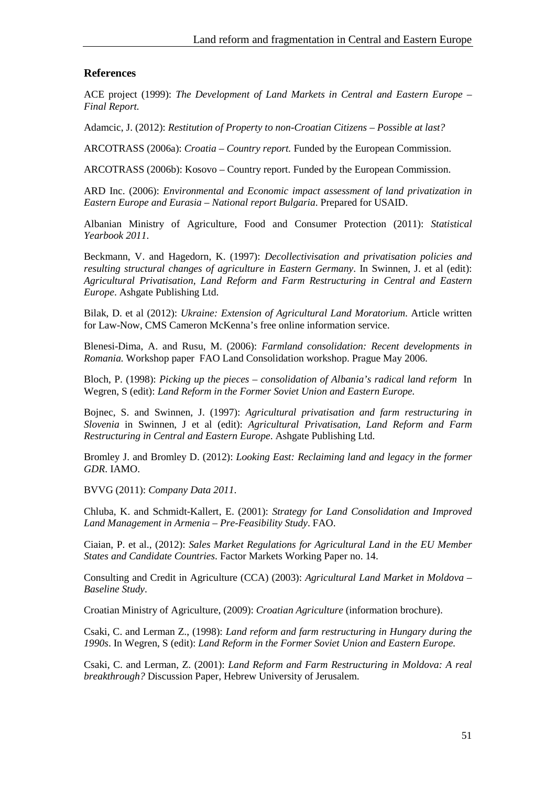#### <span id="page-56-0"></span>**References**

ACE project (1999): *The Development of Land Markets in Central and Eastern Europe – Final Report.*

Adamcic, J. (2012): *Restitution of Property to non-Croatian Citizens – Possible at last?*

ARCOTRASS (2006a): *Croatia – Country report.* Funded by the European Commission.

ARCOTRASS (2006b): Kosovo – Country report. Funded by the European Commission.

ARD Inc. (2006): *Environmental and Economic impact assessment of land privatization in Eastern Europe and Eurasia – National report Bulgaria*. Prepared for USAID.

Albanian Ministry of Agriculture, Food and Consumer Protection (2011): *Statistical Yearbook 2011*.

Beckmann, V. and Hagedorn, K. (1997): *Decollectivisation and privatisation policies and resulting structural changes of agriculture in Eastern Germany*. In Swinnen, J. et al (edit): *Agricultural Privatisation, Land Reform and Farm Restructuring in Central and Eastern Europe*. Ashgate Publishing Ltd.

Bilak, D. et al (2012): *Ukraine: Extension of Agricultural Land Moratorium*. Article written for Law-Now, CMS Cameron McKenna's free online information service.

Blenesi-Dima, A. and Rusu, M. (2006): *Farmland consolidation: Recent developments in Romania.* Workshop paper FAO Land Consolidation workshop. Prague May 2006.

Bloch, P. (1998): *Picking up the pieces – consolidation of Albania's radical land reform* In Wegren, S (edit): *Land Reform in the Former Soviet Union and Eastern Europe.*

Bojnec, S. and Swinnen, J. (1997): *Agricultural privatisation and farm restructuring in Slovenia* in Swinnen, J et al (edit): *Agricultural Privatisation, Land Reform and Farm Restructuring in Central and Eastern Europe*. Ashgate Publishing Ltd.

Bromley J. and Bromley D. (2012): *Looking East: Reclaiming land and legacy in the former GDR*. IAMO.

BVVG (2011): *Company Data 2011*.

Chluba, K. and Schmidt-Kallert, E. (2001): *Strategy for Land Consolidation and Improved Land Management in Armenia – Pre-Feasibility Study*. FAO.

Ciaian, P. et al., (2012): *Sales Market Regulations for Agricultural Land in the EU Member States and Candidate Countries*. Factor Markets Working Paper no. 14.

Consulting and Credit in Agriculture (CCA) (2003): *Agricultural Land Market in Moldova – Baseline Study*.

Croatian Ministry of Agriculture, (2009): *Croatian Agriculture* (information brochure).

Csaki, C. and Lerman Z., (1998): *Land reform and farm restructuring in Hungary during the 1990s*. In Wegren, S (edit): *Land Reform in the Former Soviet Union and Eastern Europe.*

Csaki, C. and Lerman, Z. (2001): *Land Reform and Farm Restructuring in Moldova: A real breakthrough?* Discussion Paper, Hebrew University of Jerusalem.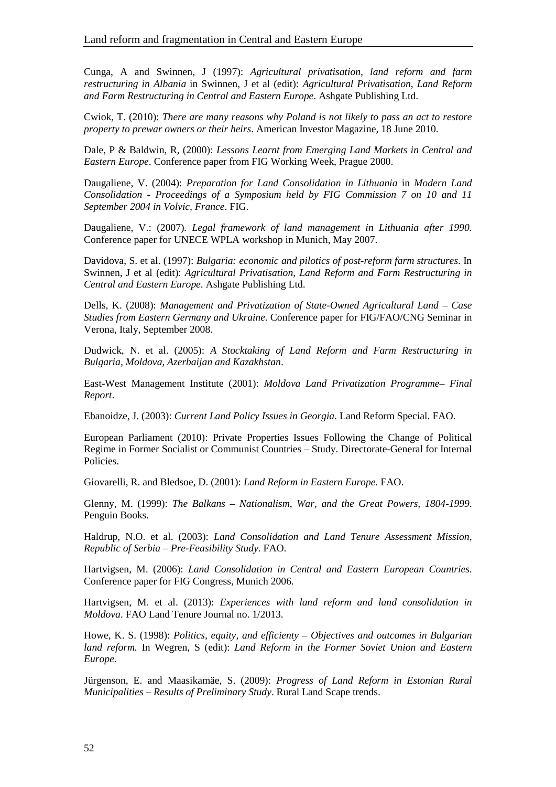Cunga, A and Swinnen, J (1997): *Agricultural privatisation, land reform and farm restructuring in Albania* in Swinnen, J et al (edit): *Agricultural Privatisation, Land Reform and Farm Restructuring in Central and Eastern Europe*. Ashgate Publishing Ltd.

Cwiok, T. (2010): *There are many reasons why Poland is not likely to pass an act to restore property to prewar owners or their heirs*. American Investor Magazine, 18 June 2010.

Dale, P & Baldwin, R, (2000): *Lessons Learnt from Emerging Land Markets in Central and Eastern Europe*. Conference paper from FIG Working Week, Prague 2000.

Daugaliene, V. (2004): *Preparation for Land Consolidation in Lithuania* in *Modern Land Consolidation - Proceedings of a Symposium held by FIG Commission 7 on 10 and 11 September 2004 in Volvic, France*. FIG.

Daugaliene, V.: (2007)*. Legal framework of land management in Lithuania after 1990.* Conference paper for UNECE WPLA workshop in Munich, May 2007.

Davidova, S. et al. (1997): *Bulgaria: economic and pilotics of post-reform farm structures*. In Swinnen, J et al (edit): *Agricultural Privatisation, Land Reform and Farm Restructuring in Central and Eastern Europe*. Ashgate Publishing Ltd.

Dells, K. (2008): *Management and Privatization of State-Owned Agricultural Land – Case Studies from Eastern Germany and Ukraine*. Conference paper for FIG/FAO/CNG Seminar in Verona, Italy, September 2008.

Dudwick, N. et al. (2005): *A Stocktaking of Land Reform and Farm Restructuring in Bulgaria, Moldova, Azerbaijan and Kazakhstan*.

East-West Management Institute (2001): *Moldova Land Privatization Programme– Final Report*.

Ebanoidze, J. (2003): *Current Land Policy Issues in Georgia*. Land Reform Special. FAO.

European Parliament (2010): Private Properties Issues Following the Change of Political Regime in Former Socialist or Communist Countries – Study. Directorate-General for Internal Policies.

Giovarelli, R. and Bledsoe, D. (2001): *Land Reform in Eastern Europe*. FAO.

Glenny, M. (1999): *The Balkans – Nationalism, War, and the Great Powers, 1804-1999*. Penguin Books.

Haldrup, N.O. et al. (2003): *Land Consolidation and Land Tenure Assessment Mission, Republic of Serbia – Pre-Feasibility Study.* FAO.

Hartvigsen, M. (2006): *Land Consolidation in Central and Eastern European Countries*. Conference paper for FIG Congress, Munich 2006.

Hartvigsen, M. et al. (2013): *Experiences with land reform and land consolidation in Moldova*. FAO Land Tenure Journal no. 1/2013.

Howe, K. S. (1998): *Politics, equity, and efficienty – Objectives and outcomes in Bulgarian land reform.* In Wegren, S (edit): *Land Reform in the Former Soviet Union and Eastern Europe.*

Jürgenson, E. and Maasikamäe, S. (2009): *Progress of Land Reform in Estonian Rural Municipalities – Results of Preliminary Study*. Rural Land Scape trends.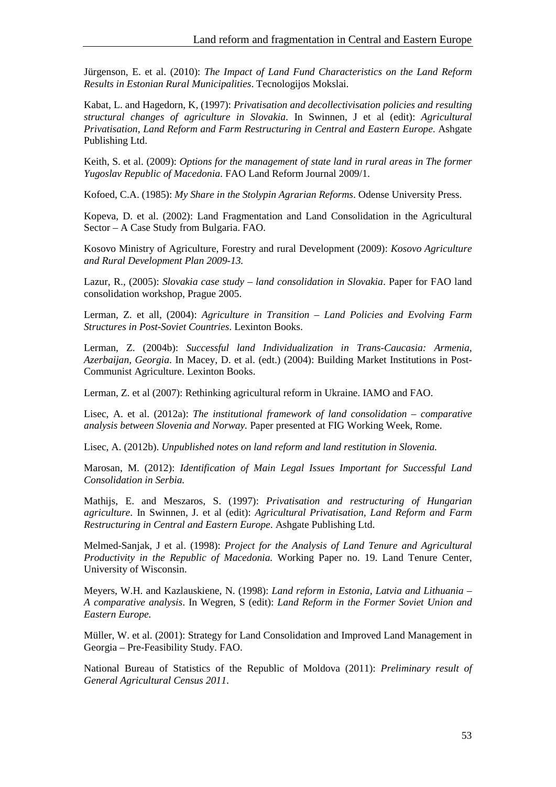Jürgenson, E. et al. (2010): *The Impact of Land Fund Characteristics on the Land Reform Results in Estonian Rural Municipalities*. Tecnologijos Mokslai.

Kabat, L. and Hagedorn, K, (1997): *Privatisation and decollectivisation policies and resulting structural changes of agriculture in Slovakia*. In Swinnen, J et al (edit): *Agricultural Privatisation, Land Reform and Farm Restructuring in Central and Eastern Europe*. Ashgate Publishing Ltd.

Keith, S. et al. (2009): *Options for the management of state land in rural areas in The former Yugoslav Republic of Macedonia*. FAO Land Reform Journal 2009/1.

Kofoed, C.A. (1985): *My Share in the Stolypin Agrarian Reforms*. Odense University Press.

Kopeva, D. et al. (2002): Land Fragmentation and Land Consolidation in the Agricultural Sector – A Case Study from Bulgaria. FAO.

Kosovo Ministry of Agriculture, Forestry and rural Development (2009): *Kosovo Agriculture and Rural Development Plan 2009-13.*

Lazur, R., (2005): *Slovakia case study – land consolidation in Slovakia*. Paper for FAO land consolidation workshop, Prague 2005.

Lerman, Z. et all, (2004): *Agriculture in Transition – Land Policies and Evolving Farm Structures in Post-Soviet Countries*. Lexinton Books.

Lerman, Z. (2004b): *Successful land Individualization in Trans-Caucasia: Armenia, Azerbaijan, Georgia*. In Macey, D. et al. (edt.) (2004): Building Market Institutions in Post-Communist Agriculture. Lexinton Books.

Lerman, Z. et al (2007): Rethinking agricultural reform in Ukraine. IAMO and FAO.

Lisec, A. et al. (2012a): *The institutional framework of land consolidation – comparative analysis between Slovenia and Norway.* Paper presented at FIG Working Week, Rome.

Lisec, A. (2012b). *Unpublished notes on land reform and land restitution in Slovenia.*

Marosan, M. (2012): *Identification of Main Legal Issues Important for Successful Land Consolidation in Serbia.* 

Mathijs, E. and Meszaros, S. (1997): *Privatisation and restructuring of Hungarian agriculture*. In Swinnen, J. et al (edit): *Agricultural Privatisation, Land Reform and Farm Restructuring in Central and Eastern Europe*. Ashgate Publishing Ltd.

Melmed-Sanjak, J et al. (1998): *Project for the Analysis of Land Tenure and Agricultural Productivity in the Republic of Macedonia.* Working Paper no. 19. Land Tenure Center, University of Wisconsin.

Meyers, W.H. and Kazlauskiene, N. (1998): *Land reform in Estonia, Latvia and Lithuania – A comparative analysis*. In Wegren, S (edit): *Land Reform in the Former Soviet Union and Eastern Europe.* 

Müller, W. et al. (2001): Strategy for Land Consolidation and Improved Land Management in Georgia – Pre-Feasibility Study. FAO.

National Bureau of Statistics of the Republic of Moldova (2011): *Preliminary result of General Agricultural Census 2011*.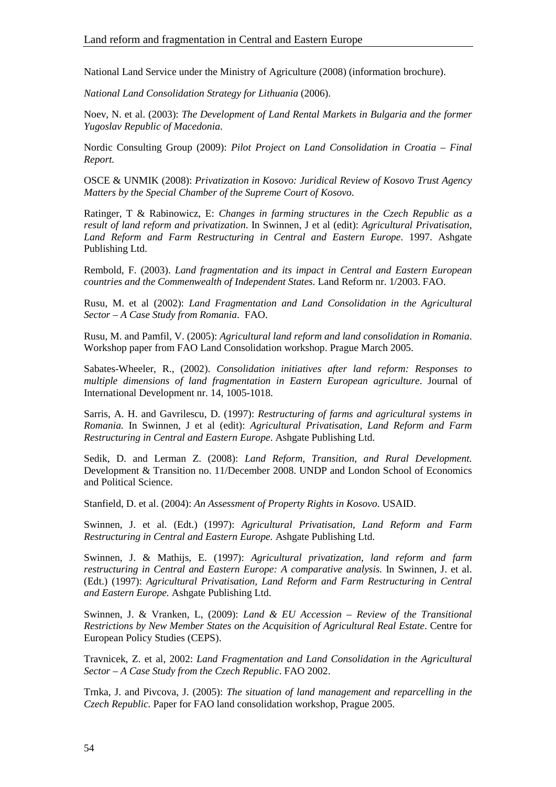National Land Service under the Ministry of Agriculture (2008) (information brochure).

*National Land Consolidation Strategy for Lithuania* (2006).

Noev, N. et al. (2003): *The Development of Land Rental Markets in Bulgaria and the former Yugoslav Republic of Macedonia*.

Nordic Consulting Group (2009): *Pilot Project on Land Consolidation in Croatia – Final Report.*

OSCE & UNMIK (2008): *Privatization in Kosovo: Juridical Review of Kosovo Trust Agency Matters by the Special Chamber of the Supreme Court of Kosovo*.

Ratinger, T & Rabinowicz, E: *Changes in farming structures in the Czech Republic as a result of land reform and privatization*. In Swinnen, J et al (edit): *Agricultural Privatisation, Land Reform and Farm Restructuring in Central and Eastern Europe*. 1997. Ashgate Publishing Ltd.

Rembold, F. (2003). *Land fragmentation and its impact in Central and Eastern European countries and the Commenwealth of Independent States*. Land Reform nr. 1/2003. FAO.

Rusu, M. et al (2002): *Land Fragmentation and Land Consolidation in the Agricultural Sector – A Case Study from Romania*. FAO.

Rusu, M. and Pamfil, V. (2005): *Agricultural land reform and land consolidation in Romania*. Workshop paper from FAO Land Consolidation workshop. Prague March 2005.

Sabates-Wheeler, R., (2002). *Consolidation initiatives after land reform: Responses to multiple dimensions of land fragmentation in Eastern European agriculture*. Journal of International Development nr. 14, 1005-1018.

Sarris, A. H. and Gavrilescu, D. (1997): *Restructuring of farms and agricultural systems in Romania.* In Swinnen, J et al (edit): *Agricultural Privatisation, Land Reform and Farm Restructuring in Central and Eastern Europe*. Ashgate Publishing Ltd.

Sedik, D. and Lerman Z. (2008): *Land Reform, Transition, and Rural Development.* Development & Transition no. 11/December 2008. UNDP and London School of Economics and Political Science.

Stanfield, D. et al. (2004): *An Assessment of Property Rights in Kosovo*. USAID.

Swinnen, J. et al. (Edt.) (1997): *Agricultural Privatisation, Land Reform and Farm Restructuring in Central and Eastern Europe.* Ashgate Publishing Ltd.

Swinnen, J. & Mathijs, E. (1997): *Agricultural privatization, land reform and farm restructuring in Central and Eastern Europe: A comparative analysis.* In Swinnen, J. et al. (Edt.) (1997): *Agricultural Privatisation, Land Reform and Farm Restructuring in Central and Eastern Europe.* Ashgate Publishing Ltd.

Swinnen, J. & Vranken, L, (2009): *Land & EU Accession – Review of the Transitional Restrictions by New Member States on the Acquisition of Agricultural Real Estate*. Centre for European Policy Studies (CEPS).

Travnicek, Z. et al, 2002: *Land Fragmentation and Land Consolidation in the Agricultural Sector – A Case Study from the Czech Republic*. FAO 2002.

Trnka, J. and Pivcova, J. (2005): *The situation of land management and reparcelling in the Czech Republic.* Paper for FAO land consolidation workshop, Prague 2005.